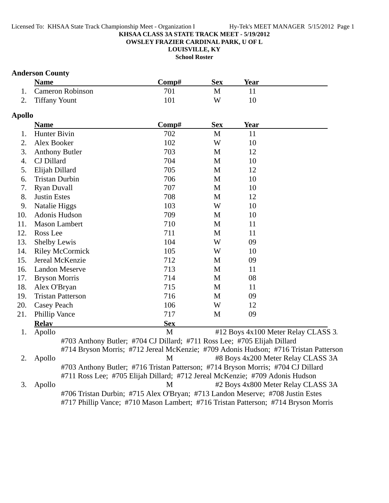#### Licensed To: KHSAA State Track Championship Meet - Organization I Hy-Tek's MEET MANAGER 5/15/2012 Page 1

#### **KHSAA CLASS 3A STATE TRACK MEET - 5/19/2012**

**OWSLEY FRAZIER CARDINAL PARK, U OF L**

**LOUISVILLE, KY**

**School Roster**

### **Anderson County**

| <b>Name</b>         | 'Comp#- | Sex | Year |  |
|---------------------|---------|-----|------|--|
| 1. Cameron Robinson | 701     |     |      |  |
| 2. Tiffany Yount    | 101     | W   |      |  |

### **Apollo**

|     | <b>Name</b>                                                                          | Comp#      | <b>Sex</b>   | <b>Year</b> |                                     |
|-----|--------------------------------------------------------------------------------------|------------|--------------|-------------|-------------------------------------|
| 1.  | Hunter Bivin                                                                         | 702        | M            | 11          |                                     |
| 2.  | Alex Booker                                                                          | 102        | W            | 10          |                                     |
| 3.  | <b>Anthony Butler</b>                                                                | 703        | M            | 12          |                                     |
| 4.  | CJ Dillard                                                                           | 704        | $\mathbf{M}$ | 10          |                                     |
| 5.  | Elijah Dillard                                                                       | 705        | M            | 12          |                                     |
| 6.  | <b>Tristan Durbin</b>                                                                | 706        | M            | 10          |                                     |
| 7.  | <b>Ryan Duvall</b>                                                                   | 707        | M            | 10          |                                     |
| 8.  | <b>Justin Estes</b>                                                                  | 708        | M            | 12          |                                     |
| 9.  | Natalie Higgs                                                                        | 103        | W            | 10          |                                     |
| 10. | Adonis Hudson                                                                        | 709        | M            | 10          |                                     |
| 11. | <b>Mason Lambert</b>                                                                 | 710        | M            | 11          |                                     |
| 12. | Ross Lee                                                                             | 711        | M            | 11          |                                     |
| 13. | <b>Shelby Lewis</b>                                                                  | 104        | W            | 09          |                                     |
| 14. | <b>Riley McCormick</b>                                                               | 105        | W            | 10          |                                     |
| 15. | Jereal McKenzie                                                                      | 712        | M            | 09          |                                     |
| 16. | <b>Landon Meserve</b>                                                                | 713        | M            | 11          |                                     |
| 17. | <b>Bryson Morris</b>                                                                 | 714        | M            | 08          |                                     |
| 18. | Alex O'Bryan                                                                         | 715        | M            | 11          |                                     |
| 19. | <b>Tristan Patterson</b>                                                             | 716        | M            | 09          |                                     |
| 20. | <b>Casey Peach</b>                                                                   | 106        | W            | 12          |                                     |
| 21. | Phillip Vance                                                                        | 717        | M            | 09          |                                     |
|     | <b>Relay</b>                                                                         | <b>Sex</b> |              |             |                                     |
| 1.  | Apollo                                                                               | M          |              |             | #12 Boys 4x100 Meter Relay CLASS 3. |
|     | #703 Anthony Butler; #704 CJ Dillard; #711 Ross Lee; #705 Elijah Dillard             |            |              |             |                                     |
|     | #714 Bryson Morris; #712 Jereal McKenzie; #709 Adonis Hudson; #716 Tristan Patterson |            |              |             |                                     |
| 2.  | Apollo                                                                               | M          |              |             | #8 Boys 4x200 Meter Relay CLASS 3A  |
|     | #703 Anthony Butler; #716 Tristan Patterson; #714 Bryson Morris; #704 CJ Dillard     |            |              |             |                                     |
|     | #711 Ross Lee; #705 Elijah Dillard; #712 Jereal McKenzie; #709 Adonis Hudson         |            |              |             |                                     |
| 3.  | Apollo                                                                               | M          |              |             | #2 Boys 4x800 Meter Relay CLASS 3A  |
|     | #706 Tristan Durbin; #715 Alex O'Bryan; #713 Landon Meserve; #708 Justin Estes       |            |              |             |                                     |
|     | #717 Phillip Vance; #710 Mason Lambert; #716 Tristan Patterson; #714 Bryson Morris   |            |              |             |                                     |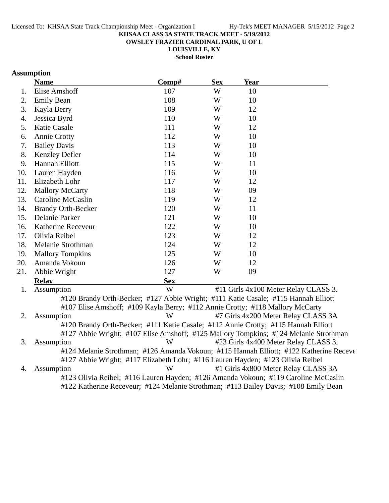**OWSLEY FRAZIER CARDINAL PARK, U OF L**

**LOUISVILLE, KY**

**School Roster**

### **Assumption**

|     | <b>Name</b>                                                                          | Comp#      | <b>Sex</b> | <b>Year</b> |                                                                                        |
|-----|--------------------------------------------------------------------------------------|------------|------------|-------------|----------------------------------------------------------------------------------------|
| 1.  | <b>Elise Amshoff</b>                                                                 | 107        | W          | 10          |                                                                                        |
| 2.  | <b>Emily Bean</b>                                                                    | 108        | W          | 10          |                                                                                        |
| 3.  | Kayla Berry                                                                          | 109        | W          | 12          |                                                                                        |
| 4.  | Jessica Byrd                                                                         | 110        | W          | 10          |                                                                                        |
| 5.  | Katie Casale                                                                         | 111        | W          | 12          |                                                                                        |
| 6.  | <b>Annie Crotty</b>                                                                  | 112        | W          | 10          |                                                                                        |
| 7.  | <b>Bailey Davis</b>                                                                  | 113        | W          | 10          |                                                                                        |
| 8.  | Kenzley Defler                                                                       | 114        | W          | 10          |                                                                                        |
| 9.  | Hannah Elliott                                                                       | 115        | W          | 11          |                                                                                        |
| 10. | Lauren Hayden                                                                        | 116        | W          | 10          |                                                                                        |
| 11. | Elizabeth Lohr                                                                       | 117        | W          | 12          |                                                                                        |
| 12. | <b>Mallory McCarty</b>                                                               | 118        | W          | 09          |                                                                                        |
| 13. | Caroline McCaslin                                                                    | 119        | W          | 12          |                                                                                        |
| 14. | <b>Brandy Orth-Becker</b>                                                            | 120        | W          | 11          |                                                                                        |
| 15. | Delanie Parker                                                                       | 121        | W          | 10          |                                                                                        |
| 16. | Katherine Receveur                                                                   | 122        | W          | 10          |                                                                                        |
| 17. | Olivia Reibel                                                                        | 123        | W          | 12          |                                                                                        |
| 18. | Melanie Strothman                                                                    | 124        | W          | 12          |                                                                                        |
| 19. | <b>Mallory Tompkins</b>                                                              | 125        | W          | 10          |                                                                                        |
| 20. | Amanda Vokoun                                                                        | 126        | W          | 12          |                                                                                        |
| 21. | Abbie Wright                                                                         | 127        | W          | 09          |                                                                                        |
|     | <b>Relay</b>                                                                         | <b>Sex</b> |            |             |                                                                                        |
| 1.  | Assumption                                                                           | W          |            |             | #11 Girls 4x100 Meter Relay CLASS 3.                                                   |
|     | #120 Brandy Orth-Becker; #127 Abbie Wright; #111 Katie Casale; #115 Hannah Elliott   |            |            |             |                                                                                        |
|     | #107 Elise Amshoff; #109 Kayla Berry; #112 Annie Crotty; #118 Mallory McCarty        |            |            |             |                                                                                        |
| 2.  | Assumption                                                                           | W          |            |             | #7 Girls 4x200 Meter Relay CLASS 3A                                                    |
|     | #120 Brandy Orth-Becker; #111 Katie Casale; #112 Annie Crotty; #115 Hannah Elliott   |            |            |             |                                                                                        |
|     | #127 Abbie Wright; #107 Elise Amshoff; #125 Mallory Tompkins; #124 Melanie Strothman |            |            |             |                                                                                        |
| 3.  | Assumption                                                                           | W          |            |             | #23 Girls 4x400 Meter Relay CLASS 3.                                                   |
|     |                                                                                      |            |            |             | #124 Melanie Strothman; #126 Amanda Vokoun; #115 Hannah Elliott; #122 Katherine Receve |
|     | #127 Abbie Wright; #117 Elizabeth Lohr; #116 Lauren Hayden; #123 Olivia Reibel       |            |            |             |                                                                                        |

4. Assumption W #1 Girls 4x800 Meter Relay CLASS 3A #123 Olivia Reibel; #116 Lauren Hayden; #126 Amanda Vokoun; #119 Caroline McCaslin #122 Katherine Receveur; #124 Melanie Strothman; #113 Bailey Davis; #108 Emily Bean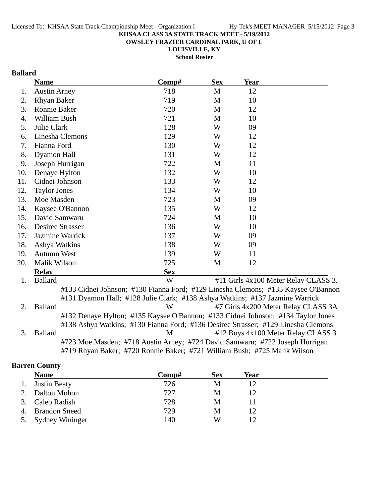**OWSLEY FRAZIER CARDINAL PARK, U OF L**

**LOUISVILLE, KY School Roster**

## **Ballard**

|     | <b>Name</b>                                                                       | Comp#      | <b>Sex</b>  | <b>Year</b> |                                      |
|-----|-----------------------------------------------------------------------------------|------------|-------------|-------------|--------------------------------------|
| 1.  | <b>Austin Arney</b>                                                               | 718        | M           | 12          |                                      |
| 2.  | <b>Rhyan Baker</b>                                                                | 719        | M           | 10          |                                      |
| 3.  | <b>Ronnie Baker</b>                                                               | 720        | M           | 12          |                                      |
| 4.  | William Bush                                                                      | 721        | $\mathbf M$ | 10          |                                      |
| 5.  | Julie Clark                                                                       | 128        | W           | 09          |                                      |
| 6.  | Linesha Clemons                                                                   | 129        | W           | 12          |                                      |
| 7.  | Fianna Ford                                                                       | 130        | W           | 12          |                                      |
| 8.  | Dyamon Hall                                                                       | 131        | W           | 12          |                                      |
| 9.  | Joseph Hurrigan                                                                   | 722        | M           | 11          |                                      |
| 10. | Denaye Hylton                                                                     | 132        | W           | 10          |                                      |
| 11. | Cidnei Johnson                                                                    | 133        | W           | 12          |                                      |
| 12. | <b>Taylor Jones</b>                                                               | 134        | W           | 10          |                                      |
| 13. | Moe Masden                                                                        | 723        | M           | 09          |                                      |
| 14. | Kaysee O'Bannon                                                                   | 135        | W           | 12          |                                      |
| 15. | David Samwaru                                                                     | 724        | M           | 10          |                                      |
| 16. | Desiree Strasser                                                                  | 136        | W           | 10          |                                      |
| 17. | Jazmine Warrick                                                                   | 137        | W           | 09          |                                      |
| 18. | Ashya Watkins                                                                     | 138        | W           | 09          |                                      |
| 19. | <b>Autumn West</b>                                                                | 139        | W           | 11          |                                      |
| 20. | Malik Wilson                                                                      | 725        | M           | 12          |                                      |
|     | <b>Relay</b>                                                                      | <b>Sex</b> |             |             |                                      |
| 1.  | <b>Ballard</b>                                                                    | W          |             |             | #11 Girls 4x100 Meter Relay CLASS 3. |
|     | #133 Cidnei Johnson; #130 Fianna Ford; #129 Linesha Clemons; #135 Kaysee O'Bannon |            |             |             |                                      |
|     | #131 Dyamon Hall; #128 Julie Clark; #138 Ashya Watkins; #137 Jazmine Warrick      |            |             |             |                                      |
| 2.  | <b>Ballard</b>                                                                    | W          |             |             | #7 Girls 4x200 Meter Relay CLASS 3A  |
|     | #132 Denaye Hylton; #135 Kaysee O'Bannon; #133 Cidnei Johnson; #134 Taylor Jones  |            |             |             |                                      |
|     | #138 Ashya Watkins; #130 Fianna Ford; #136 Desiree Strasser; #129 Linesha Clemons |            |             |             |                                      |
| 3.  | <b>Ballard</b>                                                                    | M          |             |             | #12 Boys 4x100 Meter Relay CLASS 3.  |
|     | #723 Moe Masden; #718 Austin Arney; #724 David Samwaru; #722 Joseph Hurrigan      |            |             |             |                                      |
|     | #719 Rhyan Baker; #720 Ronnie Baker; #721 William Bush; #725 Malik Wilson         |            |             |             |                                      |

### **Barren County**

|    | <b>Name</b>          | Comp# | <b>Sex</b> | Year |  |
|----|----------------------|-------|------------|------|--|
|    | 1. Justin Beaty      | 726   | M          | 12   |  |
|    | Dalton Mohon         | 727   | M          | 12   |  |
| 3. | Caleb Radish         | 728   | M          |      |  |
| 4. | <b>Brandon Sneed</b> | 729   | M          | 12   |  |
|    | 5. Sydney Wininger   | 140   | W          | 12   |  |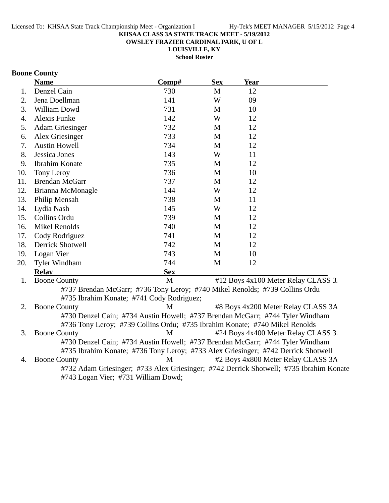**OWSLEY FRAZIER CARDINAL PARK, U OF L**

**LOUISVILLE, KY School Roster**

### **Boone County**

|     | <b>Name</b>                                                                                                                                                        | Comp#      | <b>Sex</b> | <b>Year</b> |                                                                                        |
|-----|--------------------------------------------------------------------------------------------------------------------------------------------------------------------|------------|------------|-------------|----------------------------------------------------------------------------------------|
| 1.  | Denzel Cain                                                                                                                                                        | 730        | M          | 12          |                                                                                        |
| 2.  | Jena Doellman                                                                                                                                                      | 141        | W          | 09          |                                                                                        |
| 3.  | William Dowd                                                                                                                                                       | 731        | M          | 10          |                                                                                        |
| 4.  | <b>Alexis Funke</b>                                                                                                                                                | 142        | W          | 12          |                                                                                        |
| 5.  | <b>Adam Griesinger</b>                                                                                                                                             | 732        | M          | 12          |                                                                                        |
| 6.  | Alex Griesinger                                                                                                                                                    | 733        | M          | 12          |                                                                                        |
| 7.  | <b>Austin Howell</b>                                                                                                                                               | 734        | M          | 12          |                                                                                        |
| 8.  | Jessica Jones                                                                                                                                                      | 143        | W          | 11          |                                                                                        |
| 9.  | Ibrahim Konate                                                                                                                                                     | 735        | M          | 12          |                                                                                        |
| 10. | Tony Leroy                                                                                                                                                         | 736        | M          | 10          |                                                                                        |
| 11. | <b>Brendan McGarr</b>                                                                                                                                              | 737        | M          | 12          |                                                                                        |
| 12. | Brianna McMonagle                                                                                                                                                  | 144        | W          | 12          |                                                                                        |
| 13. | Philip Mensah                                                                                                                                                      | 738        | M          | 11          |                                                                                        |
| 14. | Lydia Nash                                                                                                                                                         | 145        | W          | 12          |                                                                                        |
| 15. | Collins Ordu                                                                                                                                                       | 739        | M          | 12          |                                                                                        |
| 16. | <b>Mikel Renolds</b>                                                                                                                                               | 740        | M          | 12          |                                                                                        |
| 17. | Cody Rodriguez                                                                                                                                                     | 741        | M          | 12          |                                                                                        |
| 18. | <b>Derrick Shotwell</b>                                                                                                                                            | 742        | M          | 12          |                                                                                        |
| 19. | Logan Vier                                                                                                                                                         | 743        | M          | 10          |                                                                                        |
| 20. | <b>Tyler Windham</b>                                                                                                                                               | 744        | M          | 12          |                                                                                        |
|     | <b>Relay</b>                                                                                                                                                       | <b>Sex</b> |            |             |                                                                                        |
| 1.  | <b>Boone County</b>                                                                                                                                                | M          |            |             | #12 Boys 4x100 Meter Relay CLASS 3.                                                    |
|     | #737 Brendan McGarr; #736 Tony Leroy; #740 Mikel Renolds; #739 Collins Ordu<br>#735 Ibrahim Konate; #741 Cody Rodriguez;                                           |            |            |             |                                                                                        |
| 2.  | <b>Boone County</b>                                                                                                                                                | M          |            |             | #8 Boys 4x200 Meter Relay CLASS 3A                                                     |
|     | #730 Denzel Cain; #734 Austin Howell; #737 Brendan McGarr; #744 Tyler Windham                                                                                      |            |            |             |                                                                                        |
|     | #736 Tony Leroy; #739 Collins Ordu; #735 Ibrahim Konate; #740 Mikel Renolds                                                                                        |            |            |             |                                                                                        |
| 3.  | <b>Boone County</b>                                                                                                                                                | M          |            |             | #24 Boys 4x400 Meter Relay CLASS 3.                                                    |
|     | #730 Denzel Cain; #734 Austin Howell; #737 Brendan McGarr; #744 Tyler Windham<br>#735 Ibrahim Konate; #736 Tony Leroy; #733 Alex Griesinger; #742 Derrick Shotwell |            |            |             |                                                                                        |
| 4.  | <b>Boone County</b>                                                                                                                                                | M          |            |             | #2 Boys 4x800 Meter Relay CLASS 3A                                                     |
|     |                                                                                                                                                                    |            |            |             | #732 Adam Griesinger; #733 Alex Griesinger; #742 Derrick Shotwell; #735 Ibrahim Konate |

#743 Logan Vier; #731 William Dowd;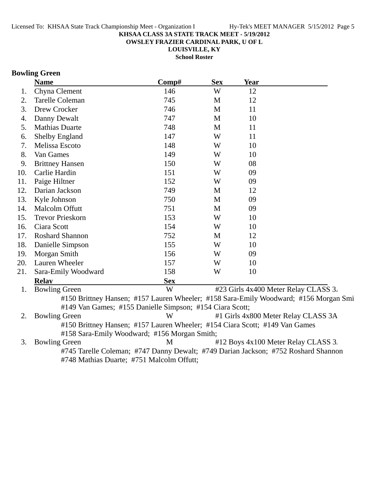**OWSLEY FRAZIER CARDINAL PARK, U OF L**

**LOUISVILLE, KY**

**School Roster**

### **Bowling Green**

| 146        | W | 12 |                                                                                                                              |
|------------|---|----|------------------------------------------------------------------------------------------------------------------------------|
|            |   |    |                                                                                                                              |
| 745        | M | 12 |                                                                                                                              |
| 746        | M | 11 |                                                                                                                              |
| 747        | M | 10 |                                                                                                                              |
| 748        | M | 11 |                                                                                                                              |
| 147        | W | 11 |                                                                                                                              |
| 148        | W | 10 |                                                                                                                              |
| 149        | W | 10 |                                                                                                                              |
| 150        | W | 08 |                                                                                                                              |
| 151        | W | 09 |                                                                                                                              |
| 152        | W | 09 |                                                                                                                              |
| 749        | M | 12 |                                                                                                                              |
| 750        | M | 09 |                                                                                                                              |
| 751        | M | 09 |                                                                                                                              |
| 153        | W | 10 |                                                                                                                              |
| 154        | W | 10 |                                                                                                                              |
| 752        | M | 12 |                                                                                                                              |
| 155        | W | 10 |                                                                                                                              |
| 156        | W | 09 |                                                                                                                              |
| 157        | W | 10 |                                                                                                                              |
| 158        | W | 10 |                                                                                                                              |
| <b>Sex</b> |   |    |                                                                                                                              |
| W          |   |    |                                                                                                                              |
|            |   |    | #23 Girls 4x400 Meter Relay CLASS 3.<br>#150 Brittney Hansen; #157 Lauren Wheeler; #158 Sara-Emily Woodward; #156 Morgan Smi |

#149 Van Games; #155 Danielle Simpson; #154 Ciara Scott;

2. Bowling Green W #1 Girls 4x800 Meter Relay CLASS 3A #150 Brittney Hansen; #157 Lauren Wheeler; #154 Ciara Scott; #149 Van Games #158 Sara-Emily Woodward; #156 Morgan Smith;

3. Bowling Green M #12 Boys 4x100 Meter Relay CLASS 3. #745 Tarelle Coleman; #747 Danny Dewalt; #749 Darian Jackson; #752 Roshard Shannon #748 Mathias Duarte; #751 Malcolm Offutt;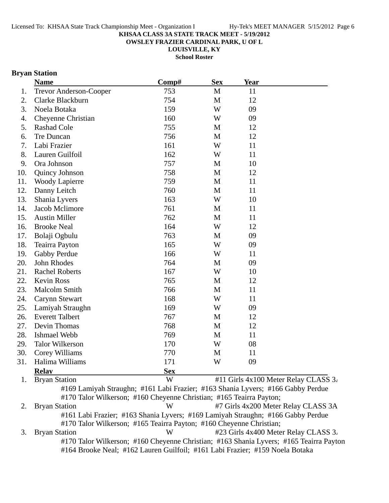**OWSLEY FRAZIER CARDINAL PARK, U OF L**

**LOUISVILLE, KY**

**School Roster**

### **Bryan Station**

| <b>Name</b> |                        | Comp#      | <b>Sex</b>  | <b>Year</b>                          |  |
|-------------|------------------------|------------|-------------|--------------------------------------|--|
| 1.          | Trevor Anderson-Cooper | 753        | $\mathbf M$ | 11                                   |  |
| 2.          | Clarke Blackburn       | 754        | $\mathbf M$ | 12                                   |  |
| 3.          | Noela Botaka           | 159        | W           | 09                                   |  |
| 4.          | Cheyenne Christian     | 160        | W           | 09                                   |  |
| 5.          | <b>Rashad Cole</b>     | 755        | M           | 12                                   |  |
| 6.          | Tre Duncan             | 756        | M           | 12                                   |  |
| 7.          | Labi Frazier           | 161        | W           | 11                                   |  |
| 8.          | Lauren Guilfoil        | 162        | W           | 11                                   |  |
| 9.          | Ora Johnson            | 757        | M           | 10                                   |  |
| 10.         | Quincy Johnson         | 758        | M           | 12                                   |  |
| 11.         | <b>Woody Lapierre</b>  | 759        | M           | 11                                   |  |
| 12.         | Danny Leitch           | 760        | M           | 11                                   |  |
| 13.         | Shania Lyvers          | 163        | W           | 10                                   |  |
| 14.         | Jacob Mclimore         | 761        | M           | 11                                   |  |
| 15.         | <b>Austin Miller</b>   | 762        | M           | 11                                   |  |
| 16.         | <b>Brooke Neal</b>     | 164        | W           | 12                                   |  |
| 17.         | Bolaji Ogbulu          | 763        | $\mathbf M$ | 09                                   |  |
| 18.         | <b>Teairra Payton</b>  | 165        | W           | 09                                   |  |
| 19.         | Gabby Perdue           | 166        | W           | 11                                   |  |
| 20.         | John Rhodes            | 764        | M           | 09                                   |  |
| 21.         | <b>Rachel Roberts</b>  | 167        | W           | 10                                   |  |
| 22.         | <b>Kevin Ross</b>      | 765        | M           | 12                                   |  |
| 23.         | <b>Malcolm Smith</b>   | 766        | M           | 11                                   |  |
| 24.         | <b>Carynn Stewart</b>  | 168        | W           | 11                                   |  |
| 25.         | Lamiyah Straughn       | 169        | W           | 09                                   |  |
| 26.         | <b>Everett Talbert</b> | 767        | M           | 12                                   |  |
| 27.         | Devin Thomas           | 768        | M           | 12                                   |  |
| 28.         | Ishmael Webb           | 769        | M           | 11                                   |  |
| 29.         | <b>Talor Wilkerson</b> | 170        | W           | 08                                   |  |
| 30.         | Corey Williams         | 770        | M           | 11                                   |  |
| 31.         | Halima Williams        | 171        | W           | 09                                   |  |
|             | <b>Relay</b>           | <b>Sex</b> |             |                                      |  |
| 1.          | <b>Bryan Station</b>   | W          |             | #11 Girls 4x100 Meter Relay CLASS 3. |  |

#169 Lamiyah Straughn; #161 Labi Frazier; #163 Shania Lyvers; #166 Gabby Perdue #170 Talor Wilkerson; #160 Cheyenne Christian; #165 Teairra Payton;

2. Bryan Station W #7 Girls 4x200 Meter Relay CLASS 3A #161 Labi Frazier; #163 Shania Lyvers; #169 Lamiyah Straughn; #166 Gabby Perdue #170 Talor Wilkerson; #165 Teairra Payton; #160 Cheyenne Christian; 3. Bryan Station W #23 Girls 4x400 Meter Relay CLASS 3. #170 Talor Wilkerson; #160 Cheyenne Christian; #163 Shania Lyvers; #165 Teairra Payton #164 Brooke Neal; #162 Lauren Guilfoil; #161 Labi Frazier; #159 Noela Botaka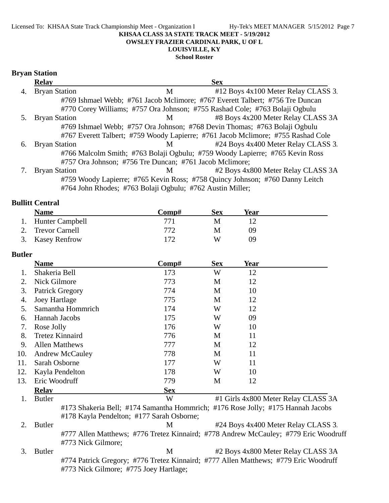#### Licensed To: KHSAA State Track Championship Meet - Organization I Hy-Tek's MEET MANAGER 5/15/2012 Page 7 **KHSAA CLASS 3A STATE TRACK MEET - 5/19/2012 OWSLEY FRAZIER CARDINAL PARK, U OF L LOUISVILLE, KY**

#### **School Roster**

#### **Bryan Station**

|    | <b>Relay</b>         |                                                         | <b>Sex</b>                                                                       |  |
|----|----------------------|---------------------------------------------------------|----------------------------------------------------------------------------------|--|
|    | <b>Bryan Station</b> | M                                                       | #12 Boys 4x100 Meter Relay CLASS 3.                                              |  |
|    |                      |                                                         | #769 Ishmael Webb; #761 Jacob Mclimore; #767 Everett Talbert; #756 Tre Duncan    |  |
|    |                      |                                                         | #770 Corey Williams; #757 Ora Johnson; #755 Rashad Cole; #763 Bolaji Ogbulu      |  |
|    | <b>Bryan Station</b> | M                                                       | #8 Boys 4x200 Meter Relay CLASS 3A                                               |  |
|    |                      |                                                         | #769 Ishmael Webb; #757 Ora Johnson; #768 Devin Thomas; #763 Bolaji Ogbulu       |  |
|    |                      |                                                         | #767 Everett Talbert; #759 Woody Lapierre; #761 Jacob Mclimore; #755 Rashad Cole |  |
| 6. | <b>Bryan Station</b> | M <sub>1</sub>                                          | #24 Boys 4x400 Meter Relay CLASS 3.                                              |  |
|    |                      |                                                         | #766 Malcolm Smith; #763 Bolaji Ogbulu; #759 Woody Lapierre; #765 Kevin Ross     |  |
|    |                      | #757 Ora Johnson; #756 Tre Duncan; #761 Jacob Mclimore; |                                                                                  |  |
|    | <b>Bryan Station</b> | М                                                       | #2 Boys 4x800 Meter Relay CLASS 3A                                               |  |
|    |                      |                                                         | #759 Woody Lapierre; #765 Kevin Ross; #758 Quincy Johnson; #760 Danny Leitch     |  |

#764 John Rhodes; #763 Bolaji Ogbulu; #762 Austin Miller;

#### **Bullitt Central**

| <b>Name</b>        | Comp# | Sex | Year |  |
|--------------------|-------|-----|------|--|
| 1. Hunter Campbell | 771   |     |      |  |
| 2. Trevor Carnell  | 772   | M   | ΩQ   |  |
| 3. Kasey Renfrow   | 172   | W   | ባዓ   |  |

#### **Butler**

|     | <b>Name</b>            | Comp#      | <b>Sex</b> | <b>Year</b> |                                     |
|-----|------------------------|------------|------------|-------------|-------------------------------------|
|     | Shakeria Bell          | 173        | W          | 12          |                                     |
| 2.  | <b>Nick Gilmore</b>    | 773        | M          | 12          |                                     |
| 3.  | Patrick Gregory        | 774        | M          | 10          |                                     |
| 4.  | Joey Hartlage          | 775        | M          | 12          |                                     |
| 5.  | Samantha Hommrich      | 174        | W          | 12          |                                     |
| 6.  | Hannah Jacobs          | 175        | W          | 09          |                                     |
| 7.  | Rose Jolly             | 176        | W          | 10          |                                     |
| 8.  | <b>Tretez Kinnaird</b> | 776        | M          | 11          |                                     |
| 9.  | <b>Allen Matthews</b>  | 777        | M          | 12          |                                     |
| 10. | <b>Andrew McCauley</b> | 778        | M          | 11          |                                     |
| 11. | Sarah Osborne          | 177        | W          | 11          |                                     |
| 12. | Kayla Pendelton        | 178        | W          | 10          |                                     |
| 13. | Eric Woodruff          | 779        | M          | 12          |                                     |
|     | <b>Relay</b>           | <b>Sex</b> |            |             |                                     |
|     | <b>Butler</b>          | W          |            |             | #1 Girls 4x800 Meter Relay CLASS 3A |

#173 Shakeria Bell; #174 Samantha Hommrich; #176 Rose Jolly; #175 Hannah Jacobs #178 Kayla Pendelton; #177 Sarah Osborne;

2. Butler M #24 Boys 4x400 Meter Relay CLASS 3. #777 Allen Matthews; #776 Tretez Kinnaird; #778 Andrew McCauley; #779 Eric Woodruff #773 Nick Gilmore;

3. Butler M #2 Boys 4x800 Meter Relay CLASS 3A #774 Patrick Gregory; #776 Tretez Kinnaird; #777 Allen Matthews; #779 Eric Woodruff #773 Nick Gilmore; #775 Joey Hartlage;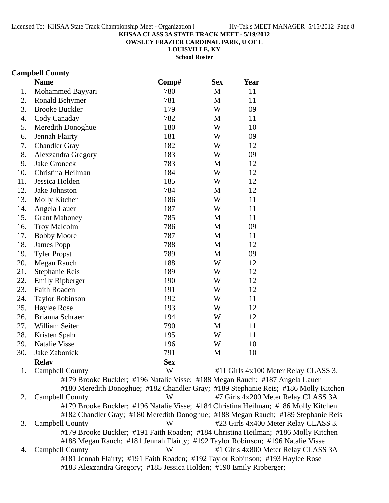**OWSLEY FRAZIER CARDINAL PARK, U OF L**

**LOUISVILLE, KY**

**School Roster**

### **Campbell County**

|     | <b>Name</b>            | Comp#                                                                               | <b>Sex</b>   | Year |                                      |
|-----|------------------------|-------------------------------------------------------------------------------------|--------------|------|--------------------------------------|
| 1.  | Mohammed Bayyari       | 780                                                                                 | $\mathbf{M}$ | 11   |                                      |
| 2.  | <b>Ronald Behymer</b>  | 781                                                                                 | M            | 11   |                                      |
| 3.  | <b>Brooke Buckler</b>  | 179                                                                                 | W            | 09   |                                      |
| 4.  | Cody Canaday           | 782                                                                                 | M            | 11   |                                      |
| 5.  | Meredith Donoghue      | 180                                                                                 | W            | 10   |                                      |
| 6.  | Jennah Flairty         | 181                                                                                 | W            | 09   |                                      |
| 7.  | <b>Chandler Gray</b>   | 182                                                                                 | W            | 12   |                                      |
| 8.  | Alexzandra Gregory     | 183                                                                                 | W            | 09   |                                      |
| 9.  | <b>Jake Groneck</b>    | 783                                                                                 | M            | 12   |                                      |
| 10. | Christina Heilman      | 184                                                                                 | W            | 12   |                                      |
| 11. | Jessica Holden         | 185                                                                                 | W            | 12   |                                      |
| 12. | Jake Johnston          | 784                                                                                 | $\mathbf{M}$ | 12   |                                      |
| 13. | Molly Kitchen          | 186                                                                                 | W            | 11   |                                      |
| 14. | Angela Lauer           | 187                                                                                 | W            | 11   |                                      |
| 15. | <b>Grant Mahoney</b>   | 785                                                                                 | M            | 11   |                                      |
| 16. | <b>Troy Malcolm</b>    | 786                                                                                 | M            | 09   |                                      |
| 17. | <b>Bobby Moore</b>     | 787                                                                                 | M            | 11   |                                      |
| 18. | James Popp             | 788                                                                                 | M            | 12   |                                      |
| 19. | <b>Tyler Propst</b>    | 789                                                                                 | M            | 09   |                                      |
| 20. | Megan Rauch            | 188                                                                                 | W            | 12   |                                      |
| 21. | Stephanie Reis         | 189                                                                                 | W            | 12   |                                      |
| 22. | <b>Emily Ripberger</b> | 190                                                                                 | W            | 12   |                                      |
| 23. | Faith Roaden           | 191                                                                                 | W            | 12   |                                      |
| 24. | <b>Taylor Robinson</b> | 192                                                                                 | W            | 11   |                                      |
| 25. | <b>Haylee Rose</b>     | 193                                                                                 | W            | 12   |                                      |
| 26. | Brianna Schraer        | 194                                                                                 | W            | 12   |                                      |
| 27. | William Seiter         | 790                                                                                 | $\mathbf M$  | 11   |                                      |
| 28. | Kristen Spahr          | 195                                                                                 | W            | 11   |                                      |
| 29. | <b>Natalie Visse</b>   | 196                                                                                 | W            | 10   |                                      |
| 30. | Jake Zabonick          | 791                                                                                 | M            | 10   |                                      |
|     | <b>Relav</b>           | <b>Sex</b>                                                                          |              |      |                                      |
| 1.  | <b>Campbell County</b> | W                                                                                   |              |      | #11 Girls 4x100 Meter Relay CLASS 3. |
|     |                        | #179 Brooke Buckler; #196 Natalie Visse; #188 Megan Rauch; #187 Angela Lauer        |              |      |                                      |
|     |                        | #180 Meredith Donoghue; #182 Chandler Gray; #189 Stephanie Reis; #186 Molly Kitchen |              |      |                                      |
| 2.  | Campbell County        | W                                                                                   |              |      | #7 Girls 4x200 Meter Relay CLASS 3A  |
|     |                        | #179 Brooke Buckler; #196 Natalie Visse; #184 Christina Heilman; #186 Molly Kitchen |              |      |                                      |

#182 Chandler Gray; #180 Meredith Donoghue; #188 Megan Rauch; #189 Stephanie Reis 3. Campbell County W #23 Girls 4x400 Meter Relay CLASS 3. #179 Brooke Buckler; #191 Faith Roaden; #184 Christina Heilman; #186 Molly Kitchen #188 Megan Rauch; #181 Jennah Flairty; #192 Taylor Robinson; #196 Natalie Visse 4. Campbell County W #1 Girls 4x800 Meter Relay CLASS 3A #181 Jennah Flairty; #191 Faith Roaden; #192 Taylor Robinson; #193 Haylee Rose

#183 Alexzandra Gregory; #185 Jessica Holden; #190 Emily Ripberger;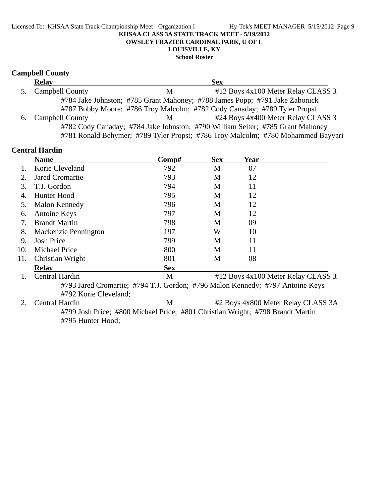#### Licensed To: KHSAA State Track Championship Meet - Organization I Hy-Tek's MEET MANAGER 5/15/2012 Page 9 **KHSAA CLASS 3A STATE TRACK MEET - 5/19/2012 OWSLEY FRAZIER CARDINAL PARK, U OF L LOUISVILLE, KY**

#### **School Roster**

### **Campbell County**

|    | <b>Relay</b>           |   | <b>Sex</b>                                                                       |  |
|----|------------------------|---|----------------------------------------------------------------------------------|--|
| 5. | <b>Campbell County</b> | М | #12 Boys 4x100 Meter Relay CLASS 3.                                              |  |
|    |                        |   | #784 Jake Johnston; #785 Grant Mahoney; #788 James Popp; #791 Jake Zabonick      |  |
|    |                        |   | #787 Bobby Moore; #786 Troy Malcolm; #782 Cody Canaday; #789 Tyler Propst        |  |
|    | 6. Campbell County     | M | #24 Boys 4x400 Meter Relay CLASS 3.                                              |  |
|    |                        |   | #782 Cody Canaday; #784 Jake Johnston; #790 William Seiter; #785 Grant Mahoney   |  |
|    |                        |   | #781 Ronald Behymer; #789 Tyler Propst; #786 Troy Malcolm; #780 Mohammed Bayyari |  |

|             | <b>Central Hardin</b>                                                          |            |            |      |                                     |
|-------------|--------------------------------------------------------------------------------|------------|------------|------|-------------------------------------|
|             | <b>Name</b>                                                                    | Comp#      | <b>Sex</b> | Year |                                     |
|             | Korie Cleveland                                                                | 792        | M          | 07   |                                     |
| 2.          | <b>Jared Cromartie</b>                                                         | 793        | M          | 12   |                                     |
| 3.          | T.J. Gordon                                                                    | 794        | M          | 11   |                                     |
| 4.          | Hunter Hood                                                                    | 795        | M          | 12   |                                     |
| 5.          | Malon Kennedy                                                                  | 796        | M          | 12   |                                     |
| 6.          | <b>Antoine Keys</b>                                                            | 797        | M          | 12   |                                     |
| 7.          | <b>Brandt Martin</b>                                                           | 798        | M          | 09   |                                     |
| 8.          | Mackenzie Pennington                                                           | 197        | W          | 10   |                                     |
| 9.          | <b>Josh Price</b>                                                              | 799        | M          | 11   |                                     |
| 10.         | <b>Michael Price</b>                                                           | 800        | M          | 11   |                                     |
| 11.         | Christian Wright                                                               | 801        | M          | 08   |                                     |
|             | <b>Relay</b>                                                                   | <b>Sex</b> |            |      |                                     |
| 1.          | <b>Central Hardin</b>                                                          | M          |            |      | #12 Boys 4x100 Meter Relay CLASS 3. |
|             | #793 Jared Cromartie; #794 T.J. Gordon; #796 Malon Kennedy; #797 Antoine Keys  |            |            |      |                                     |
|             | #792 Korie Cleveland;                                                          |            |            |      |                                     |
| $2_{\cdot}$ | Central Hardin                                                                 | M          |            |      | #2 Boys 4x800 Meter Relay CLASS 3A  |
|             | #799 Josh Price; #800 Michael Price; #801 Christian Wright; #798 Brandt Martin |            |            |      |                                     |
|             | #795 Hunter Hood;                                                              |            |            |      |                                     |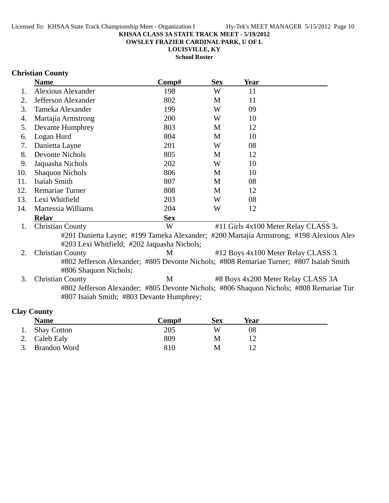**OWSLEY FRAZIER CARDINAL PARK, U OF L**

**LOUISVILLE, KY**

**School Roster**

### **Christian County**

|     | <b>Name</b>                                                                                                                            | Comp#      | <b>Sex</b> | Year |                                      |
|-----|----------------------------------------------------------------------------------------------------------------------------------------|------------|------------|------|--------------------------------------|
| 1.  | <b>Alexious Alexander</b>                                                                                                              | 198        | W          | 11   |                                      |
| 2.  | Jefferson Alexander                                                                                                                    | 802        | M          | 11   |                                      |
| 3.  | Tameka Alexander                                                                                                                       | 199        | W          | 09   |                                      |
| 4.  | Martajia Armstrong                                                                                                                     | 200        | W          | 10   |                                      |
| 5.  | Devante Humphrey                                                                                                                       | 803        | M          | 12   |                                      |
| 6.  | Logan Hurd                                                                                                                             | 804        | M          | 10   |                                      |
| 7.  | Danietta Layne                                                                                                                         | 201        | W          | 08   |                                      |
| 8.  | <b>Devonte Nichols</b>                                                                                                                 | 805        | M          | 12   |                                      |
| 9.  | Jaquasha Nichols                                                                                                                       | 202        | W          | 10   |                                      |
| 10. | <b>Shaquon Nichols</b>                                                                                                                 | 806        | M          | 10   |                                      |
| 11. | Isaiah Smith                                                                                                                           | 807        | M          | 08   |                                      |
| 12. | Remariae Turner                                                                                                                        | 808        | M          | 12   |                                      |
| 13. | Lexi Whitfield                                                                                                                         | 203        | W          | 08   |                                      |
| 14. | Martessia Williams                                                                                                                     | 204        | W          | 12   |                                      |
|     | <b>Relay</b>                                                                                                                           | <b>Sex</b> |            |      |                                      |
| 1.  | <b>Christian County</b>                                                                                                                | W          |            |      | #11 Girls 4x100 Meter Relay CLASS 3. |
|     | #201 Danietta Layne; #199 Tameka Alexander; #200 Martajia Armstrong; #198 Alexious Alex<br>#203 Lexi Whitfield; #202 Jaquasha Nichols; |            |            |      |                                      |
| 2.  | <b>Christian County</b>                                                                                                                | M          |            |      | #12 Boys 4x100 Meter Relay CLASS 3.  |
|     | #802 Jefferson Alexander; #805 Devonte Nichols; #808 Remariae Turner; #807 Isaiah Smith                                                |            |            |      |                                      |
| 3.  | #806 Shaquon Nichols;                                                                                                                  | M          |            |      |                                      |
|     | <b>Christian County</b>                                                                                                                |            |            |      | #8 Boys 4x200 Meter Relay CLASS 3A   |
|     | #802 Jefferson Alexander; #805 Devonte Nichols; #806 Shaquon Nichols; #808 Remariae Tur<br>#807 Isaiah Smith; #803 Devante Humphrey;   |            |            |      |                                      |
|     | <b>Clay County</b>                                                                                                                     |            |            |      |                                      |

| <b>Name</b>     | Comp# | <b>Sex</b> | Year |  |
|-----------------|-------|------------|------|--|
| 1. Shay Cotton  | 205   | W          | 08   |  |
| 2. Caleb Ealy   | 809   | М          |      |  |
| 3. Brandon Word | 810   | М          |      |  |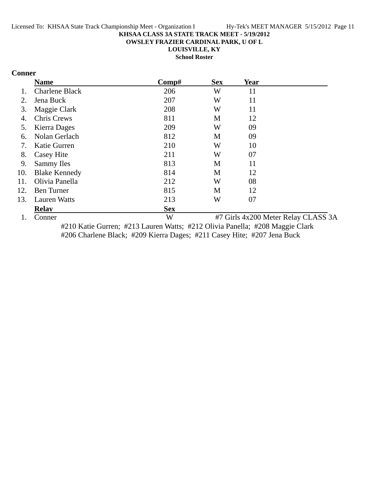**OWSLEY FRAZIER CARDINAL PARK, U OF L**

**LOUISVILLE, KY**

**School Roster**

### **Conner**

|     | <b>Name</b>           | Comp#      | <b>Sex</b> | <b>Year</b> |                                     |
|-----|-----------------------|------------|------------|-------------|-------------------------------------|
|     | <b>Charlene Black</b> | 206        | W          | 11          |                                     |
| 2.  | Jena Buck             | 207        | W          | 11          |                                     |
| 3.  | Maggie Clark          | 208        | W          | 11          |                                     |
| 4.  | Chris Crews           | 811        | M          | 12          |                                     |
| 5.  | Kierra Dages          | 209        | W          | 09          |                                     |
| 6.  | Nolan Gerlach         | 812        | M          | 09          |                                     |
| 7.  | Katie Gurren          | 210        | W          | 10          |                                     |
| 8.  | Casey Hite            | 211        | W          | 07          |                                     |
| 9.  | Sammy Iles            | 813        | M          | 11          |                                     |
| 10. | <b>Blake Kennedy</b>  | 814        | M          | 12          |                                     |
| 11. | Olivia Panella        | 212        | W          | 08          |                                     |
| 12. | <b>Ben Turner</b>     | 815        | M          | 12          |                                     |
| 13. | <b>Lauren Watts</b>   | 213        | W          | 07          |                                     |
|     | <b>Relav</b>          | <b>Sex</b> |            |             |                                     |
|     | Conner                | W          |            |             | #7 Girls 4x200 Meter Relay CLASS 3A |

#210 Katie Gurren; #213 Lauren Watts; #212 Olivia Panella; #208 Maggie Clark #206 Charlene Black; #209 Kierra Dages; #211 Casey Hite; #207 Jena Buck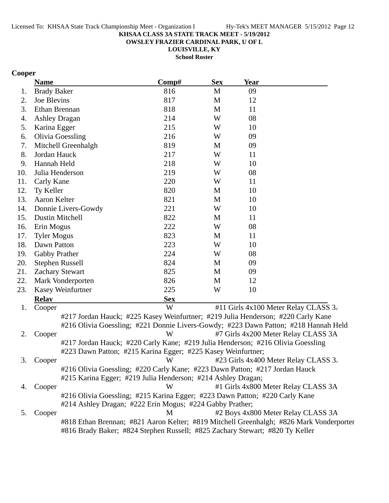**OWSLEY FRAZIER CARDINAL PARK, U OF L**

**LOUISVILLE, KY**

**School Roster**

### **Cooper**

|     | <b>Name</b>                                                                             | Comp#      | <b>Sex</b> | Year |                                      |
|-----|-----------------------------------------------------------------------------------------|------------|------------|------|--------------------------------------|
| 1.  | <b>Brady Baker</b>                                                                      | 816        | M          | 09   |                                      |
| 2.  | Joe Blevins                                                                             | 817        | M          | 12   |                                      |
| 3.  | Ethan Brennan                                                                           | 818        | M          | 11   |                                      |
| 4.  | <b>Ashley Dragan</b>                                                                    | 214        | W          | 08   |                                      |
| 5.  | Karina Egger                                                                            | 215        | W          | 10   |                                      |
| 6.  | <b>Olivia Goessling</b>                                                                 | 216        | W          | 09   |                                      |
| 7.  | Mitchell Greenhalgh                                                                     | 819        | M          | 09   |                                      |
| 8.  | Jordan Hauck                                                                            | 217        | W          | 11   |                                      |
| 9.  | Hannah Held                                                                             | 218        | W          | 10   |                                      |
| 10. | Julia Henderson                                                                         | 219        | W          | 08   |                                      |
| 11. | Carly Kane                                                                              | 220        | W          | 11   |                                      |
| 12. | Ty Keller                                                                               | 820        | M          | 10   |                                      |
| 13. | Aaron Kelter                                                                            | 821        | M          | 10   |                                      |
| 14. | Donnie Livers-Gowdy                                                                     | 221        | W          | 10   |                                      |
| 15. | <b>Dustin Mitchell</b>                                                                  | 822        | M          | 11   |                                      |
| 16. | Erin Mogus                                                                              | 222        | W          | 08   |                                      |
| 17. | <b>Tyler Mogus</b>                                                                      | 823        | M          | 11   |                                      |
| 18. | Dawn Patton                                                                             | 223        | W          | 10   |                                      |
| 19. | Gabby Prather                                                                           | 224        | W          | 08   |                                      |
| 20. | <b>Stephen Russell</b>                                                                  | 824        | M          | 09   |                                      |
| 21. | <b>Zachary Stewart</b>                                                                  | 825        | M          | 09   |                                      |
| 22. | Mark Vonderporten                                                                       | 826        | M          | 12   |                                      |
| 23. | Kasey Weinfurtner                                                                       | 225        | W          | 10   |                                      |
|     | <b>Relay</b>                                                                            | <b>Sex</b> |            |      |                                      |
| 1.  | Cooper                                                                                  | W          |            |      | #11 Girls 4x100 Meter Relay CLASS 3. |
|     | #217 Jordan Hauck; #225 Kasey Weinfurtner; #219 Julia Henderson; #220 Carly Kane        |            |            |      |                                      |
|     | #216 Olivia Goessling; #221 Donnie Livers-Gowdy; #223 Dawn Patton; #218 Hannah Held     |            |            |      |                                      |
| 2.  | Cooper                                                                                  | W          |            |      | #7 Girls 4x200 Meter Relay CLASS 3A  |
|     | #217 Jordan Hauck; #220 Carly Kane; #219 Julia Henderson; #216 Olivia Goessling         |            |            |      |                                      |
|     | #223 Dawn Patton; #215 Karina Egger; #225 Kasey Weinfurtner;                            |            |            |      |                                      |
| 3.  | Cooper                                                                                  | W          |            |      | #23 Girls 4x400 Meter Relay CLASS 3. |
|     | #216 Olivia Goessling; #220 Carly Kane; #223 Dawn Patton; #217 Jordan Hauck             |            |            |      |                                      |
|     | #215 Karina Egger; #219 Julia Henderson; #214 Ashley Dragan;                            |            |            |      |                                      |
| 4.  | Cooper                                                                                  | W          |            |      | #1 Girls 4x800 Meter Relay CLASS 3A  |
|     | #216 Olivia Goessling; #215 Karina Egger; #223 Dawn Patton; #220 Carly Kane             |            |            |      |                                      |
|     | #214 Ashley Dragan; #222 Erin Mogus; #224 Gabby Prather;                                |            |            |      |                                      |
| 5.  | Cooper                                                                                  | М          |            |      | #2 Boys 4x800 Meter Relay CLASS 3A   |
|     | #818 Ethan Brennan; #821 Aaron Kelter; #819 Mitchell Greenhalgh; #826 Mark Vonderporter |            |            |      |                                      |
|     | #816 Brady Baker; #824 Stephen Russell; #825 Zachary Stewart; #820 Ty Keller            |            |            |      |                                      |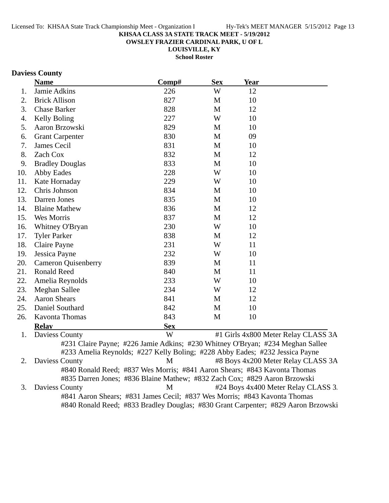**OWSLEY FRAZIER CARDINAL PARK, U OF L**

**LOUISVILLE, KY**

**School Roster**

### **Daviess County**

|                  | <b>Name</b>                                                                       | Comp#      | <b>Sex</b>   | <b>Year</b>                         |  |
|------------------|-----------------------------------------------------------------------------------|------------|--------------|-------------------------------------|--|
| 1.               | Jamie Adkins                                                                      | 226        | W            | 12                                  |  |
| 2.               | <b>Brick Allison</b>                                                              | 827        | $\mathbf{M}$ | 10                                  |  |
| 3.               | <b>Chase Barker</b>                                                               | 828        | M            | 12                                  |  |
| $\overline{4}$ . | Kelly Boling                                                                      | 227        | W            | 10                                  |  |
| 5.               | Aaron Brzowski                                                                    | 829        | M            | 10                                  |  |
| 6.               | <b>Grant Carpenter</b>                                                            | 830        | M            | 09                                  |  |
| 7.               | James Cecil                                                                       | 831        | M            | 10                                  |  |
| 8.               | Zach Cox                                                                          | 832        | M            | 12                                  |  |
| 9.               | <b>Bradley Douglas</b>                                                            | 833        | M            | 10                                  |  |
| 10.              | <b>Abby Eades</b>                                                                 | 228        | W            | 10                                  |  |
| 11.              | Kate Hornaday                                                                     | 229        | W            | 10                                  |  |
| 12.              | Chris Johnson                                                                     | 834        | M            | 10                                  |  |
| 13.              | Darren Jones                                                                      | 835        | M            | 10                                  |  |
| 14.              | <b>Blaine Mathew</b>                                                              | 836        | M            | 12                                  |  |
| 15.              | Wes Morris                                                                        | 837        | $\mathbf M$  | 12                                  |  |
| 16.              | Whitney O'Bryan                                                                   | 230        | W            | 10                                  |  |
| 17.              | <b>Tyler Parker</b>                                                               | 838        | M            | 12                                  |  |
| 18.              | Claire Payne                                                                      | 231        | W            | 11                                  |  |
| 19.              | Jessica Payne                                                                     | 232        | W            | 10                                  |  |
| 20.              | <b>Cameron Quisenberry</b>                                                        | 839        | M            | 11                                  |  |
| 21.              | <b>Ronald Reed</b>                                                                | 840        | M            | 11                                  |  |
| 22.              | Amelia Reynolds                                                                   | 233        | W            | 10                                  |  |
| 23.              | <b>Meghan Sallee</b>                                                              | 234        | W            | 12                                  |  |
| 24.              | <b>Aaron Shears</b>                                                               | 841        | M            | 12                                  |  |
| 25.              | Daniel Southard                                                                   | 842        | M            | 10                                  |  |
| 26.              | <b>Kavonta Thomas</b>                                                             | 843        | M            | 10                                  |  |
|                  | <b>Relay</b>                                                                      | <b>Sex</b> |              |                                     |  |
| 1.               | Daviess County                                                                    | W          |              | #1 Girls 4x800 Meter Relay CLASS 3A |  |
|                  | #231 Claire Payne; #226 Jamie Adkins; #230 Whitney O'Bryan; #234 Meghan Sallee    |            |              |                                     |  |
|                  | #233 Amelia Reynolds; #227 Kelly Boling; #228 Abby Eades; #232 Jessica Payne      |            |              |                                     |  |
| 2.               | Daviess County                                                                    | M          |              | #8 Boys 4x200 Meter Relay CLASS 3A  |  |
|                  | #840 Ronald Reed; #837 Wes Morris; #841 Aaron Shears; #843 Kavonta Thomas         |            |              |                                     |  |
|                  | #835 Darren Jones; #836 Blaine Mathew; #832 Zach Cox; #829 Aaron Brzowski         |            |              |                                     |  |
| 3.               | Daviess County                                                                    | M          |              | #24 Boys 4x400 Meter Relay CLASS 3. |  |
|                  | #841 Aaron Shears; #831 James Cecil; #837 Wes Morris; #843 Kavonta Thomas         |            |              |                                     |  |
|                  | #840 Ronald Reed; #833 Bradley Douglas; #830 Grant Carpenter; #829 Aaron Brzowski |            |              |                                     |  |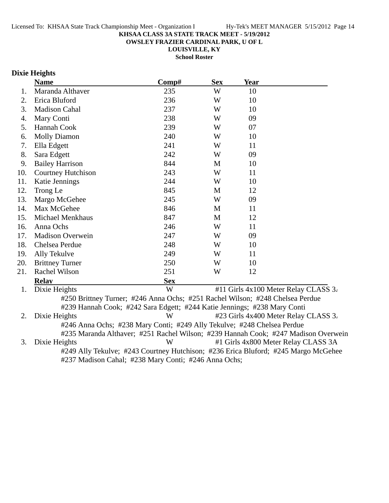**OWSLEY FRAZIER CARDINAL PARK, U OF L**

**LOUISVILLE, KY**

**School Roster**

### **Dixie Heights**

|     | <b>Name</b>                                                              | Comp#                                                                         | <b>Sex</b> | <b>Year</b> |                                      |
|-----|--------------------------------------------------------------------------|-------------------------------------------------------------------------------|------------|-------------|--------------------------------------|
| 1.  | Maranda Althaver                                                         | 235                                                                           | W          | 10          |                                      |
| 2.  | Erica Bluford                                                            | 236                                                                           | W          | 10          |                                      |
| 3.  | <b>Madison Cahal</b>                                                     | 237                                                                           | W          | 10          |                                      |
| 4.  | Mary Conti                                                               | 238                                                                           | W          | 09          |                                      |
| 5.  | Hannah Cook                                                              | 239                                                                           | W          | 07          |                                      |
| 6.  | <b>Molly Diamon</b>                                                      | 240                                                                           | W          | 10          |                                      |
| 7.  | Ella Edgett                                                              | 241                                                                           | W          | 11          |                                      |
| 8.  | Sara Edgett                                                              | 242                                                                           | W          | 09          |                                      |
| 9.  | <b>Bailey Harrison</b>                                                   | 844                                                                           | M          | 10          |                                      |
| 10. | Courtney Hutchison                                                       | 243                                                                           | W          | 11          |                                      |
| 11. | Katie Jennings                                                           | 244                                                                           | W          | 10          |                                      |
| 12. | Trong Le                                                                 | 845                                                                           | M          | 12          |                                      |
| 13. | Margo McGehee                                                            | 245                                                                           | W          | 09          |                                      |
| 14. | Max McGehee                                                              | 846                                                                           | М          | 11          |                                      |
| 15. | <b>Michael Menkhaus</b>                                                  | 847                                                                           | M          | 12          |                                      |
| 16. | Anna Ochs                                                                | 246                                                                           | W          | 11          |                                      |
| 17. | <b>Madison Overwein</b>                                                  | 247                                                                           | W          | 09          |                                      |
| 18. | Chelsea Perdue                                                           | 248                                                                           | W          | 10          |                                      |
| 19. | Ally Tekulve                                                             | 249                                                                           | W          | 11          |                                      |
| 20. | <b>Brittney Turner</b>                                                   | 250                                                                           | W          | 10          |                                      |
| 21. | Rachel Wilson                                                            | 251                                                                           | W          | 12          |                                      |
|     | <b>Relav</b>                                                             | <b>Sex</b>                                                                    |            |             |                                      |
| 1.  | Dixie Heights                                                            | W                                                                             |            |             | #11 Girls 4x100 Meter Relay CLASS 3. |
|     |                                                                          | #250 Brittney Turner; #246 Anna Ochs; #251 Rachel Wilson; #248 Chelsea Perdue |            |             |                                      |
|     | #239 Hannah Cook; #242 Sara Edgett; #244 Katie Jennings; #238 Mary Conti |                                                                               |            |             |                                      |

2. Dixie Heights W #23 Girls 4x400 Meter Relay CLASS 3. #246 Anna Ochs; #238 Mary Conti; #249 Ally Tekulve; #248 Chelsea Perdue #235 Maranda Althaver; #251 Rachel Wilson; #239 Hannah Cook; #247 Madison Overwein 3. Dixie Heights W #1 Girls 4x800 Meter Relay CLASS 3A

#249 Ally Tekulve; #243 Courtney Hutchison; #236 Erica Bluford; #245 Margo McGehee #237 Madison Cahal; #238 Mary Conti; #246 Anna Ochs;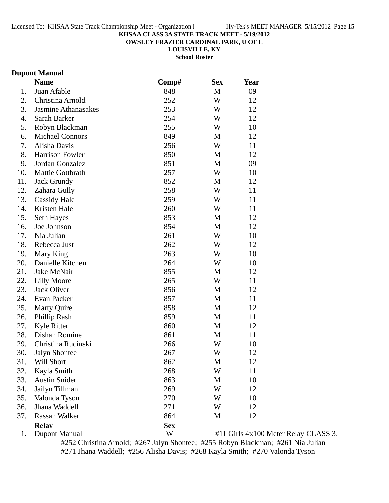**OWSLEY FRAZIER CARDINAL PARK, U OF L**

**LOUISVILLE, KY**

**School Roster**

### **Dupont Manual**

|     | <b>Name</b>                | Comp#      | <b>Sex</b> | Year |                                      |
|-----|----------------------------|------------|------------|------|--------------------------------------|
| 1.  | Juan Afable                | 848        | M          | 09   |                                      |
| 2.  | Christina Arnold           | 252        | W          | 12   |                                      |
| 3.  | <b>Jasmine Athanasakes</b> | 253        | W          | 12   |                                      |
| 4.  | Sarah Barker               | 254        | W          | 12   |                                      |
| 5.  | Robyn Blackman             | 255        | W          | 10   |                                      |
| 6.  | <b>Michael Connors</b>     | 849        | M          | 12   |                                      |
| 7.  | Alisha Davis               | 256        | W          | 11   |                                      |
| 8.  | <b>Harrison Fowler</b>     | 850        | M          | 12   |                                      |
| 9.  | Jordan Gonzalez            | 851        | M          | 09   |                                      |
| 10. | Mattie Gottbrath           | 257        | W          | 10   |                                      |
| 11. | <b>Jack Grundy</b>         | 852        | M          | 12   |                                      |
| 12. | Zahara Gully               | 258        | W          | 11   |                                      |
| 13. | <b>Cassidy Hale</b>        | 259        | W          | 11   |                                      |
| 14. | Kristen Hale               | 260        | W          | 11   |                                      |
| 15. | Seth Hayes                 | 853        | M          | 12   |                                      |
| 16. | Joe Johnson                | 854        | M          | 12   |                                      |
| 17. | Nia Julian                 | 261        | W          | 10   |                                      |
| 18. | Rebecca Just               | 262        | W          | 12   |                                      |
| 19. | Mary King                  | 263        | W          | 10   |                                      |
| 20. | Danielle Kitchen           | 264        | W          | 10   |                                      |
| 21. | Jake McNair                | 855        | M          | 12   |                                      |
| 22. | <b>Lilly Moore</b>         | 265        | W          | 11   |                                      |
| 23. | Jack Oliver                | 856        | M          | 12   |                                      |
| 24. | Evan Packer                | 857        | M          | 11   |                                      |
| 25. | <b>Marty Quire</b>         | 858        | M          | 12   |                                      |
| 26. | Phillip Rash               | 859        | M          | 11   |                                      |
| 27. | <b>Kyle Ritter</b>         | 860        | M          | 12   |                                      |
| 28. | Dishan Romine              | 861        | M          | 11   |                                      |
| 29. | Christina Rucinski         | 266        | W          | 10   |                                      |
| 30. | Jalyn Shontee              | 267        | W          | 12   |                                      |
| 31. | <b>Will Short</b>          | 862        | M          | 12   |                                      |
| 32. | Kayla Smith                | 268        | W          | 11   |                                      |
| 33. | <b>Austin Snider</b>       | 863        | M          | 10   |                                      |
| 34. | Jailyn Tillman             | 269        | W          | 12   |                                      |
| 35. | Valonda Tyson              | 270        | W          | 10   |                                      |
| 36. | Jhana Waddell              | 271        | W          | 12   |                                      |
| 37. | Rassan Walker              | 864        | M          | 12   |                                      |
|     | <b>Relay</b>               | <b>Sex</b> |            |      |                                      |
| 1.  | <b>Dupont Manual</b>       | W          |            |      | #11 Girls 4x100 Meter Relay CLASS 3. |

#252 Christina Arnold; #267 Jalyn Shontee; #255 Robyn Blackman; #261 Nia Julian #271 Jhana Waddell; #256 Alisha Davis; #268 Kayla Smith; #270 Valonda Tyson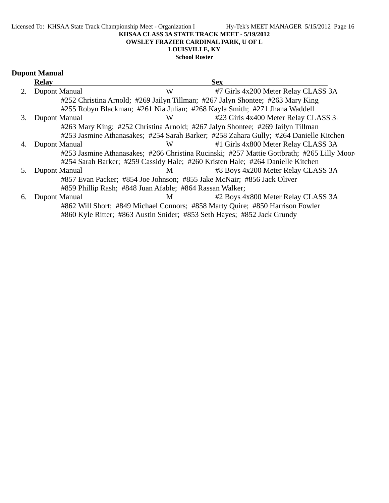#### Licensed To: KHSAA State Track Championship Meet - Organization I Hy-Tek's MEET MANAGER 5/15/2012 Page 16 **KHSAA CLASS 3A STATE TRACK MEET - 5/19/2012 OWSLEY FRAZIER CARDINAL PARK, U OF L LOUISVILLE, KY School Roster**

# **Dupont Manual**

|    | <b>Relay</b>                                             |   | <b>Sex</b>                                                                                |
|----|----------------------------------------------------------|---|-------------------------------------------------------------------------------------------|
| 2. | <b>Dupont Manual</b>                                     | W | #7 Girls 4x200 Meter Relay CLASS 3A                                                       |
|    |                                                          |   | #252 Christina Arnold; #269 Jailyn Tillman; #267 Jalyn Shontee; #263 Mary King            |
|    |                                                          |   | #255 Robyn Blackman; #261 Nia Julian; #268 Kayla Smith; #271 Jhana Waddell                |
| 3. | Dupont Manual                                            | W | #23 Girls 4x400 Meter Relay CLASS 3.                                                      |
|    |                                                          |   | #263 Mary King; #252 Christina Arnold; #267 Jalyn Shontee; #269 Jailyn Tillman            |
|    |                                                          |   | #253 Jasmine Athanasakes; #254 Sarah Barker; #258 Zahara Gully; #264 Danielle Kitchen     |
| 4. | Dupont Manual                                            | W | #1 Girls 4x800 Meter Relay CLASS 3A                                                       |
|    |                                                          |   | #253 Jasmine Athanasakes; #266 Christina Rucinski; #257 Mattie Gottbrath; #265 Lilly Moor |
|    |                                                          |   | #254 Sarah Barker; #259 Cassidy Hale; #260 Kristen Hale; #264 Danielle Kitchen            |
| 5. | Dupont Manual                                            | M | #8 Boys 4x200 Meter Relay CLASS 3A                                                        |
|    |                                                          |   | #857 Evan Packer; #854 Joe Johnson; #855 Jake McNair; #856 Jack Oliver                    |
|    | #859 Phillip Rash; #848 Juan Afable; #864 Rassan Walker; |   |                                                                                           |
| 6. | Dupont Manual                                            | M | #2 Boys 4x800 Meter Relay CLASS 3A                                                        |
|    |                                                          |   | #862 Will Short; #849 Michael Connors; #858 Marty Quire; #850 Harrison Fowler             |
|    |                                                          |   | #860 Kyle Ritter; #863 Austin Snider; #853 Seth Hayes; #852 Jack Grundy                   |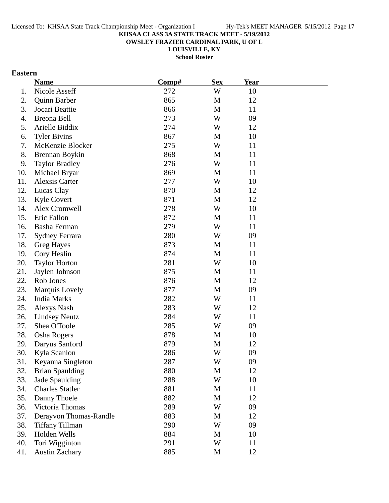**OWSLEY FRAZIER CARDINAL PARK, U OF L**

**LOUISVILLE, KY**

**School Roster**

### **Eastern**

|     | <b>Name</b>            | Comp# | <b>Sex</b> | Year |  |
|-----|------------------------|-------|------------|------|--|
| 1.  | Nicole Asseff          | 272   | W          | 10   |  |
| 2.  | Quinn Barber           | 865   | M          | 12   |  |
| 3.  | Jocari Beattie         | 866   | M          | 11   |  |
| 4.  | Breona Bell            | 273   | W          | 09   |  |
| 5.  | Arielle Biddix         | 274   | W          | 12   |  |
| 6.  | <b>Tyler Bivins</b>    | 867   | M          | 10   |  |
| 7.  | McKenzie Blocker       | 275   | W          | 11   |  |
| 8.  | Brennan Boykin         | 868   | M          | 11   |  |
| 9.  | <b>Taylor Bradley</b>  | 276   | W          | 11   |  |
| 10. | Michael Bryar          | 869   | M          | 11   |  |
| 11. | <b>Alexsis Carter</b>  | 277   | W          | 10   |  |
| 12. | Lucas Clay             | 870   | M          | 12   |  |
| 13. | <b>Kyle Covert</b>     | 871   | M          | 12   |  |
| 14. | Alex Cromwell          | 278   | W          | 10   |  |
| 15. | Eric Fallon            | 872   | M          | 11   |  |
| 16. | Basha Ferman           | 279   | W          | 11   |  |
| 17. | <b>Sydney Ferrara</b>  | 280   | W          | 09   |  |
| 18. | Greg Hayes             | 873   | M          | 11   |  |
| 19. | Cory Heslin            | 874   | M          | 11   |  |
| 20. | <b>Taylor Horton</b>   | 281   | W          | 10   |  |
| 21. | Jaylen Johnson         | 875   | M          | 11   |  |
| 22. | Rob Jones              | 876   | M          | 12   |  |
| 23. | Marquis Lovely         | 877   | M          | 09   |  |
| 24. | <b>India Marks</b>     | 282   | W          | 11   |  |
| 25. | <b>Alexys Nash</b>     | 283   | W          | 12   |  |
| 26. | <b>Lindsey Neutz</b>   | 284   | W          | 11   |  |
| 27. | Shea O'Toole           | 285   | W          | 09   |  |
| 28. | <b>Osha Rogers</b>     | 878   | M          | 10   |  |
| 29. | Daryus Sanford         | 879   | M          | 12   |  |
| 30. | Kyla Scanlon           | 286   | W          | 09   |  |
| 31. | Keyanna Singleton      | 287   | W          | 09   |  |
| 32. | <b>Brian Spaulding</b> | 880   | M          | 12   |  |
| 33. | Jade Spaulding         | 288   | W          | 10   |  |
| 34. | <b>Charles Statler</b> | 881   | M          | 11   |  |
| 35. | Danny Thoele           | 882   | M          | 12   |  |
| 36. | Victoria Thomas        | 289   | W          | 09   |  |
| 37. | Derayvon Thomas-Randle | 883   | M          | 12   |  |
| 38. | <b>Tiffany Tillman</b> | 290   | W          | 09   |  |
| 39. | Holden Wells           | 884   | M          | 10   |  |
| 40. | Tori Wigginton         | 291   | W          | 11   |  |
| 41. | <b>Austin Zachary</b>  | 885   | M          | 12   |  |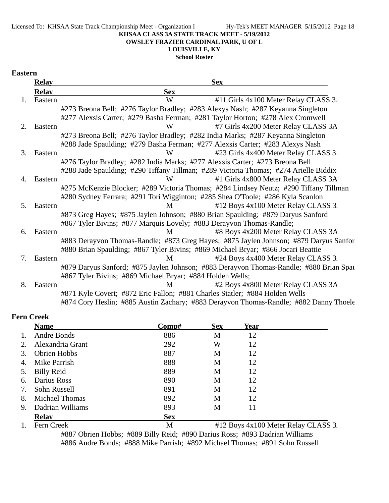#### **OWSLEY FRAZIER CARDINAL PARK, U OF L**

### **LOUISVILLE, KY**

**School Roster**

#### **Eastern**

|    | <b>Relay</b> | <b>Sex</b>                                                                             |
|----|--------------|----------------------------------------------------------------------------------------|
|    | <b>Relay</b> | <b>Sex</b>                                                                             |
| 1. | Eastern      | W<br>#11 Girls $4x100$ Meter Relay CLASS $3i$                                          |
|    |              | #273 Breona Bell; #276 Taylor Bradley; #283 Alexys Nash; #287 Keyanna Singleton        |
|    |              | #277 Alexsis Carter; #279 Basha Ferman; #281 Taylor Horton; #278 Alex Cromwell         |
| 2. | Eastern      | W<br>#7 Girls 4x200 Meter Relay CLASS 3A                                               |
|    |              | #273 Breona Bell; #276 Taylor Bradley; #282 India Marks; #287 Keyanna Singleton        |
|    |              | #288 Jade Spaulding; #279 Basha Ferman; #277 Alexsis Carter; #283 Alexys Nash          |
| 3. | Eastern      | #23 Girls 4x400 Meter Relay CLASS 3.<br>W                                              |
|    |              | #276 Taylor Bradley; #282 India Marks; #277 Alexsis Carter; #273 Breona Bell           |
|    |              | #288 Jade Spaulding; #290 Tiffany Tillman; #289 Victoria Thomas; #274 Arielle Biddix   |
| 4. | Eastern      | W<br>#1 Girls 4x800 Meter Relay CLASS 3A                                               |
|    |              | #275 McKenzie Blocker; #289 Victoria Thomas; #284 Lindsey Neutz; #290 Tiffany Tillman  |
|    |              | #280 Sydney Ferrara; #291 Tori Wigginton; #285 Shea O'Toole; #286 Kyla Scanlon         |
| 5. | Eastern      | #12 Boys 4x100 Meter Relay CLASS 3.<br>M                                               |
|    |              | #873 Greg Hayes; #875 Jaylen Johnson; #880 Brian Spaulding; #879 Daryus Sanford        |
|    |              | #867 Tyler Bivins; #877 Marquis Lovely; #883 Derayvon Thomas-Randle;                   |
| 6. | Eastern      | #8 Boys 4x200 Meter Relay CLASS 3A<br>M                                                |
|    |              | #883 Derayvon Thomas-Randle; #873 Greg Hayes; #875 Jaylen Johnson; #879 Daryus Sanfor  |
|    |              | #880 Brian Spaulding; #867 Tyler Bivins; #869 Michael Bryar; #866 Jocari Beattie       |
| 7. | Eastern      | #24 Boys 4x400 Meter Relay CLASS 3.<br>M                                               |
|    |              | #879 Daryus Sanford; #875 Jaylen Johnson; #883 Derayvon Thomas-Randle; #880 Brian Spar |
|    |              | #867 Tyler Bivins; #869 Michael Bryar; #884 Holden Wells;                              |
| 8. | Eastern      | #2 Boys 4x800 Meter Relay CLASS 3A<br>M                                                |
|    |              | #871 Kyle Covert; #872 Eric Fallon; #881 Charles Statler; #884 Holden Wells            |
|    |              | #874 Cory Heslin; #885 Austin Zachary; #883 Derayvon Thomas-Randle; #882 Danny Thoele  |

#### **Fern Creek**

|    | <b>Name</b>                        | Comp#        | <b>Sex</b>                | <b>Year</b> |                                                        |  |
|----|------------------------------------|--------------|---------------------------|-------------|--------------------------------------------------------|--|
|    | Andre Bonds                        | 886          | M                         | 12          |                                                        |  |
| 2. | Alexandria Grant                   | 292          | W                         | 12          |                                                        |  |
| 3. | Obrien Hobbs                       | 887          | M                         | 12          |                                                        |  |
| 4. | Mike Parrish                       | 888          | М                         | 12          |                                                        |  |
| 5. | <b>Billy Reid</b>                  | 889          | M                         | 12          |                                                        |  |
| 6. | Darius Ross                        | 890          | M                         | 12          |                                                        |  |
| 7. | Sohn Russell                       | 891          | M                         | 12          |                                                        |  |
| 8. | Michael Thomas                     | 892          | M                         | 12          |                                                        |  |
| 9. | Dadrian Williams                   | 893          | M                         | 11          |                                                        |  |
|    | <b>Relav</b>                       | <b>Sex</b>   |                           |             |                                                        |  |
|    | $\mathbf{r}$ $\alpha$ $\mathbf{r}$ | $\mathbf{r}$ | $\mathbf{u}$ $\mathbf{A}$ |             | $\overline{10011}$ $\overline{01}$ $\overline{011000}$ |  |

1. Fern Creek M #12 Boys 4x100 Meter Relay CLASS 3.

#887 Obrien Hobbs; #889 Billy Reid; #890 Darius Ross; #893 Dadrian Williams #886 Andre Bonds; #888 Mike Parrish; #892 Michael Thomas; #891 Sohn Russell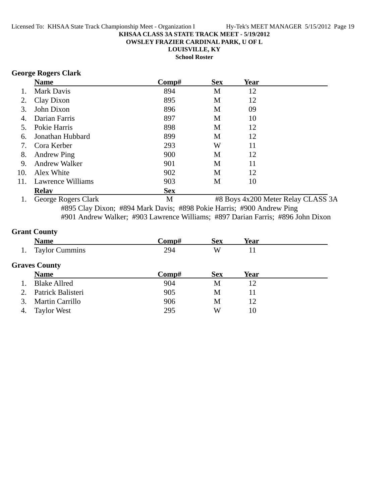**OWSLEY FRAZIER CARDINAL PARK, U OF L**

**LOUISVILLE, KY**

**School Roster**

### **George Rogers Clark**

|     | <b>Name</b>          | $\bf Comp\#$ | <b>Sex</b> | <b>Year</b> |                                    |
|-----|----------------------|--------------|------------|-------------|------------------------------------|
|     | Mark Davis           | 894          | M          | 12          |                                    |
| 2.  | Clay Dixon           | 895          | M          | 12          |                                    |
| 3.  | John Dixon           | 896          | M          | 09          |                                    |
|     | Darian Farris        | 897          | M          | 10          |                                    |
| 5.  | Pokie Harris         | 898          | M          | 12          |                                    |
| 6.  | Jonathan Hubbard     | 899          | M          | 12          |                                    |
| 7.  | Cora Kerber          | 293          | W          | 11          |                                    |
| 8.  | <b>Andrew Ping</b>   | 900          | M          | 12          |                                    |
| 9.  | <b>Andrew Walker</b> | 901          | M          | 11          |                                    |
| 10. | Alex White           | 902          | M          | 12          |                                    |
| 11. | Lawrence Williams    | 903          | М          | 10          |                                    |
|     | <b>Relay</b>         | <b>Sex</b>   |            |             |                                    |
|     | George Rogers Clark  | M            |            |             | #8 Boys 4x200 Meter Relay CLASS 3A |

#895 Clay Dixon; #894 Mark Davis; #898 Pokie Harris; #900 Andrew Ping #901 Andrew Walker; #903 Lawrence Williams; #897 Darian Farris; #896 John Dixon

### **Grant County**

|             | <b>Name</b>            | Comp# | <b>Sex</b> | Year |  |
|-------------|------------------------|-------|------------|------|--|
|             | <b>Taylor Cummins</b>  | 294   | W          | 11   |  |
|             | <b>Graves County</b>   |       |            |      |  |
|             | <b>Name</b>            | Comp# | <b>Sex</b> | Year |  |
|             | <b>Blake Allred</b>    | 904   | M          | 12   |  |
| $2^{\circ}$ | Patrick Balisteri      | 905   | M          | 11   |  |
|             | <b>Martin Carrillo</b> | 906   | M          | 12   |  |
| 4.          | <b>Taylor West</b>     | 295   | W          | 10   |  |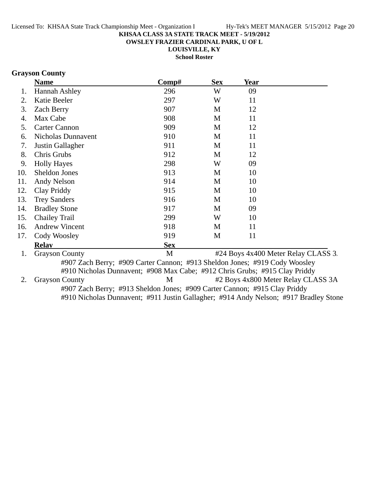**OWSLEY FRAZIER CARDINAL PARK, U OF L**

**LOUISVILLE, KY School Roster**

### **Grayson County**

|     | <b>Name</b>                                                                          | Comp#      | <b>Sex</b> | Year |                                     |
|-----|--------------------------------------------------------------------------------------|------------|------------|------|-------------------------------------|
| 1.  | Hannah Ashley                                                                        | 296        | W          | 09   |                                     |
| 2.  | Katie Beeler                                                                         | 297        | W          | 11   |                                     |
| 3.  | <b>Zach Berry</b>                                                                    | 907        | M          | 12   |                                     |
| 4.  | Max Cabe                                                                             | 908        | M          | 11   |                                     |
| 5.  | <b>Carter Cannon</b>                                                                 | 909        | M          | 12   |                                     |
| 6.  | <b>Nicholas Dunnavent</b>                                                            | 910        | M          | 11   |                                     |
| 7.  | Justin Gallagher                                                                     | 911        | M          | 11   |                                     |
| 8.  | Chris Grubs                                                                          | 912        | M          | 12   |                                     |
| 9.  | <b>Holly Hayes</b>                                                                   | 298        | W          | 09   |                                     |
| 10. | Sheldon Jones                                                                        | 913        | M          | 10   |                                     |
| 11. | Andy Nelson                                                                          | 914        | M          | 10   |                                     |
| 12. | Clay Priddy                                                                          | 915        | M          | 10   |                                     |
| 13. | <b>Trey Sanders</b>                                                                  | 916        | M          | 10   |                                     |
| 14. | <b>Bradley Stone</b>                                                                 | 917        | M          | 09   |                                     |
| 15. | <b>Chailey Trail</b>                                                                 | 299        | W          | 10   |                                     |
| 16. | <b>Andrew Vincent</b>                                                                | 918        | M          | 11   |                                     |
| 17. | Cody Woosley                                                                         | 919        | M          | 11   |                                     |
|     | <b>Relay</b>                                                                         | <b>Sex</b> |            |      |                                     |
| 1.  | <b>Grayson County</b>                                                                | M          |            |      | #24 Boys 4x400 Meter Relay CLASS 3. |
|     | #907 Zach Berry; #909 Carter Cannon; #913 Sheldon Jones; #919 Cody Woosley           |            |            |      |                                     |
|     | #910 Nicholas Dunnavent; #908 Max Cabe; #912 Chris Grubs; #915 Clay Priddy           |            |            |      |                                     |
| 2.  | <b>Grayson County</b>                                                                | M          |            |      | #2 Boys 4x800 Meter Relay CLASS 3A  |
|     | #907 Zach Berry; #913 Sheldon Jones; #909 Carter Cannon; #915 Clay Priddy            |            |            |      |                                     |
|     | #910 Nicholas Dunnavent; #911 Justin Gallagher; #914 Andy Nelson; #917 Bradley Stone |            |            |      |                                     |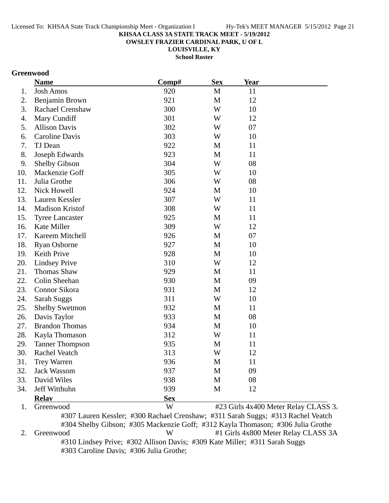**OWSLEY FRAZIER CARDINAL PARK, U OF L**

**LOUISVILLE, KY**

**School Roster**

### **Greenwood**

|     | <b>Name</b>             | Comp#      | <b>Sex</b>  | <b>Year</b> |                                      |
|-----|-------------------------|------------|-------------|-------------|--------------------------------------|
| 1.  | <b>Josh Amos</b>        | 920        | M           | 11          |                                      |
| 2.  | Benjamin Brown          | 921        | $\mathbf M$ | 12          |                                      |
| 3.  | <b>Rachael Crenshaw</b> | 300        | W           | 10          |                                      |
| 4.  | Mary Cundiff            | 301        | W           | 12          |                                      |
| 5.  | <b>Allison Davis</b>    | 302        | W           | 07          |                                      |
| 6.  | Caroline Davis          | 303        | W           | 10          |                                      |
| 7.  | TJ Dean                 | 922        | M           | 11          |                                      |
| 8.  | Joseph Edwards          | 923        | $\mathbf M$ | 11          |                                      |
| 9.  | <b>Shelby Gibson</b>    | 304        | W           | 08          |                                      |
| 10. | Mackenzie Goff          | 305        | W           | 10          |                                      |
| 11. | Julia Grothe            | 306        | W           | 08          |                                      |
| 12. | Nick Howell             | 924        | M           | 10          |                                      |
| 13. | Lauren Kessler          | 307        | W           | 11          |                                      |
| 14. | Madison Kristof         | 308        | W           | 11          |                                      |
| 15. | <b>Tyree Lancaster</b>  | 925        | M           | 11          |                                      |
| 16. | Kate Miller             | 309        | W           | 12          |                                      |
| 17. | Kareem Mitchell         | 926        | M           | 07          |                                      |
| 18. | <b>Ryan Osborne</b>     | 927        | M           | 10          |                                      |
| 19. | Keith Prive             | 928        | M           | 10          |                                      |
| 20. | <b>Lindsey Prive</b>    | 310        | W           | 12          |                                      |
| 21. | <b>Thomas Shaw</b>      | 929        | M           | 11          |                                      |
| 22. | Colin Sheehan           | 930        | M           | 09          |                                      |
| 23. | Connor Sikora           | 931        | M           | 12          |                                      |
| 24. | <b>Sarah Suggs</b>      | 311        | W           | 10          |                                      |
| 25. | <b>Shelby Swetmon</b>   | 932        | M           | 11          |                                      |
| 26. | Davis Taylor            | 933        | $\mathbf M$ | 08          |                                      |
| 27. | <b>Brandon Thomas</b>   | 934        | $\mathbf M$ | 10          |                                      |
| 28. | Kayla Thomason          | 312        | W           | 11          |                                      |
| 29. | <b>Tanner Thompson</b>  | 935        | M           | 11          |                                      |
| 30. | Rachel Veatch           | 313        | W           | 12          |                                      |
| 31. | Trey Warren             | 936        | M           | 11          |                                      |
| 32. | <b>Jack Wassom</b>      | 937        | M           | 09          |                                      |
| 33. | David Wiles             | 938        | M           | 08          |                                      |
| 34. | Jeff Witthuhn           | 939        | M           | 12          |                                      |
|     | <b>Relay</b>            | <b>Sex</b> |             |             |                                      |
| 1.  | Greenwood               | W          |             |             | #23 Girls 4x400 Meter Relay CLASS 3. |

#307 Lauren Kessler; #300 Rachael Crenshaw; #311 Sarah Suggs; #313 Rachel Veatch #304 Shelby Gibson; #305 Mackenzie Goff; #312 Kayla Thomason; #306 Julia Grothe 2. Greenwood W #1 Girls 4x800 Meter Relay CLASS 3A #310 Lindsey Prive; #302 Allison Davis; #309 Kate Miller; #311 Sarah Suggs #303 Caroline Davis; #306 Julia Grothe;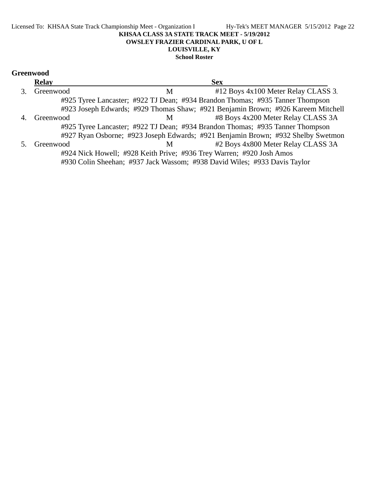## **Greenwood**

| <b>Relay</b> |   | <b>Sex</b>                                                                       |  |
|--------------|---|----------------------------------------------------------------------------------|--|
| Greenwood    | М | #12 Boys 4x100 Meter Relay CLASS 3.                                              |  |
|              |   | #925 Tyree Lancaster; #922 TJ Dean; #934 Brandon Thomas; #935 Tanner Thompson    |  |
|              |   | #923 Joseph Edwards; #929 Thomas Shaw; #921 Benjamin Brown; #926 Kareem Mitchell |  |
| Greenwood    | M | #8 Boys 4x200 Meter Relay CLASS 3A                                               |  |
|              |   | #925 Tyree Lancaster; #922 TJ Dean; #934 Brandon Thomas; #935 Tanner Thompson    |  |
|              |   | #927 Ryan Osborne; #923 Joseph Edwards; #921 Benjamin Brown; #932 Shelby Swetmon |  |
| Greenwood    | M | #2 Boys 4x800 Meter Relay CLASS 3A                                               |  |
|              |   | #924 Nick Howell; #928 Keith Prive; #936 Trey Warren; #920 Josh Amos             |  |
|              |   | #930 Colin Sheehan; #937 Jack Wassom; #938 David Wiles; #933 Davis Taylor        |  |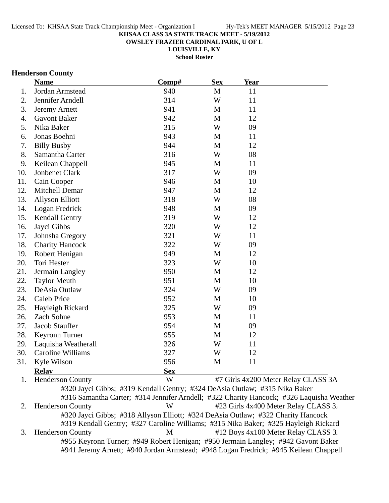**OWSLEY FRAZIER CARDINAL PARK, U OF L**

**LOUISVILLE, KY**

**School Roster**

#### **Henderson County**

|     | <b>Name</b>            | Comp#      | <b>Sex</b>   | <b>Year</b> |  |
|-----|------------------------|------------|--------------|-------------|--|
| 1.  | Jordan Armstead        | 940        | $\mathbf{M}$ | 11          |  |
| 2.  | Jennifer Arndell       | 314        | W            | 11          |  |
| 3.  | Jeremy Arnett          | 941        | M            | 11          |  |
| 4.  | <b>Gavont Baker</b>    | 942        | M            | 12          |  |
| 5.  | Nika Baker             | 315        | W            | 09          |  |
| 6.  | Jonas Boehni           | 943        | M            | 11          |  |
| 7.  | <b>Billy Busby</b>     | 944        | M            | 12          |  |
| 8.  | Samantha Carter        | 316        | W            | 08          |  |
| 9.  | Keilean Chappell       | 945        | M            | 11          |  |
| 10. | Jonbenet Clark         | 317        | W            | 09          |  |
| 11. | Cain Cooper            | 946        | M            | 10          |  |
| 12. | Mitchell Demar         | 947        | M            | 12          |  |
| 13. | <b>Allyson Elliott</b> | 318        | W            | 08          |  |
| 14. | Logan Fredrick         | 948        | M            | 09          |  |
| 15. | Kendall Gentry         | 319        | W            | 12          |  |
| 16. | Jayci Gibbs            | 320        | W            | 12          |  |
| 17. | Johnsha Gregory        | 321        | W            | 11          |  |
| 18. | <b>Charity Hancock</b> | 322        | W            | 09          |  |
| 19. | Robert Henigan         | 949        | $\mathbf M$  | 12          |  |
| 20. | Tori Hester            | 323        | W            | 10          |  |
| 21. | Jermain Langley        | 950        | M            | 12          |  |
| 22. | <b>Taylor Meuth</b>    | 951        | M            | 10          |  |
| 23. | DeAsia Outlaw          | 324        | W            | 09          |  |
| 24. | <b>Caleb Price</b>     | 952        | M            | 10          |  |
| 25. | Hayleigh Rickard       | 325        | W            | 09          |  |
| 26. | Zach Sohne             | 953        | $\mathbf M$  | 11          |  |
| 27. | Jacob Stauffer         | 954        | M            | 09          |  |
| 28. | Keyronn Turner         | 955        | M            | 12          |  |
| 29. | Laquisha Weatherall    | 326        | W            | 11          |  |
| 30. | Caroline Williams      | 327        | W            | 12          |  |
| 31. | Kyle Wilson            | 956        | M            | 11          |  |
|     | <b>Relay</b>           | <b>Sex</b> |              |             |  |

1. Henderson County W #7 Girls 4x200 Meter Relay CLASS 3A #320 Jayci Gibbs; #319 Kendall Gentry; #324 DeAsia Outlaw; #315 Nika Baker #316 Samantha Carter; #314 Jennifer Arndell; #322 Charity Hancock; #326 Laquisha Weather 2. Henderson County W #23 Girls 4x400 Meter Relay CLASS 3. #320 Jayci Gibbs; #318 Allyson Elliott; #324 DeAsia Outlaw; #322 Charity Hancock #319 Kendall Gentry; #327 Caroline Williams; #315 Nika Baker; #325 Hayleigh Rickard 3. Henderson County M #12 Boys 4x100 Meter Relay CLASS 3. #955 Keyronn Turner; #949 Robert Henigan; #950 Jermain Langley; #942 Gavont Baker #941 Jeremy Arnett; #940 Jordan Armstead; #948 Logan Fredrick; #945 Keilean Chappell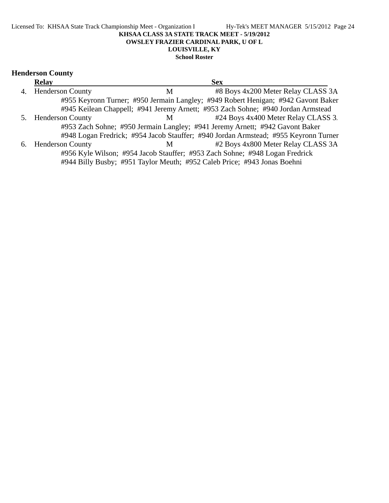#### Licensed To: KHSAA State Track Championship Meet - Organization I Hy-Tek's MEET MANAGER 5/15/2012 Page 24 **KHSAA CLASS 3A STATE TRACK MEET - 5/19/2012 OWSLEY FRAZIER CARDINAL PARK, U OF L LOUISVILLE, KY School Roster**

#### **Henderson County**

| <b>Relay</b>        |   | <b>Sex</b>                                                                          |
|---------------------|---|-------------------------------------------------------------------------------------|
| 4. Henderson County | М | #8 Boys 4x200 Meter Relay CLASS 3A                                                  |
|                     |   | #955 Keyronn Turner; #950 Jermain Langley; #949 Robert Henigan; #942 Gavont Baker   |
|                     |   | #945 Keilean Chappell; #941 Jeremy Arnett; #953 Zach Sohne; #940 Jordan Armstead    |
| 5. Henderson County | M | #24 Boys 4x400 Meter Relay CLASS 3.                                                 |
|                     |   | #953 Zach Sohne; #950 Jermain Langley; #941 Jeremy Arnett; #942 Gavont Baker        |
|                     |   | #948 Logan Fredrick; #954 Jacob Stauffer; #940 Jordan Armstead; #955 Keyronn Turner |
| 6. Henderson County | M | #2 Boys 4x800 Meter Relay CLASS 3A                                                  |
|                     |   | #956 Kyle Wilson; #954 Jacob Stauffer; #953 Zach Sohne; #948 Logan Fredrick         |
|                     |   | #944 Billy Busby; #951 Taylor Meuth; #952 Caleb Price; #943 Jonas Boehni            |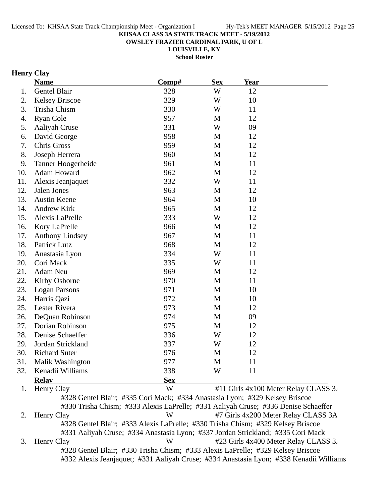**OWSLEY FRAZIER CARDINAL PARK, U OF L**

**LOUISVILLE, KY**

**School Roster**

### **Henry Clay**

|     | <b>Name</b>            | Comp#                                                                              | <b>Sex</b>  | <u>Year</u> |                                      |
|-----|------------------------|------------------------------------------------------------------------------------|-------------|-------------|--------------------------------------|
| 1.  | Gentel Blair           | 328                                                                                | W           | 12          |                                      |
| 2.  | <b>Kelsey Briscoe</b>  | 329                                                                                | W           | 10          |                                      |
| 3.  | Trisha Chism           | 330                                                                                | W           | 11          |                                      |
| 4.  | <b>Ryan Cole</b>       | 957                                                                                | M           | 12          |                                      |
| 5.  | Aaliyah Cruse          | 331                                                                                | W           | 09          |                                      |
| 6.  | David George           | 958                                                                                | M           | 12          |                                      |
| 7.  | Chris Gross            | 959                                                                                | M           | 12          |                                      |
| 8.  | Joseph Herrera         | 960                                                                                | M           | 12          |                                      |
| 9.  | Tanner Hoogerheide     | 961                                                                                | M           | 11          |                                      |
| 10. | Adam Howard            | 962                                                                                | $\mathbf M$ | 12          |                                      |
| 11. | Alexis Jeanjaquet      | 332                                                                                | W           | 11          |                                      |
| 12. | Jalen Jones            | 963                                                                                | M           | 12          |                                      |
| 13. | <b>Austin Keene</b>    | 964                                                                                | $\mathbf M$ | 10          |                                      |
| 14. | Andrew Kirk            | 965                                                                                | M           | 12          |                                      |
| 15. | Alexis LaPrelle        | 333                                                                                | W           | 12          |                                      |
| 16. | Kory LaPrelle          | 966                                                                                | M           | 12          |                                      |
| 17. | <b>Anthony Lindsey</b> | 967                                                                                | M           | 11          |                                      |
| 18. | Patrick Lutz           | 968                                                                                | M           | 12          |                                      |
| 19. | Anastasia Lyon         | 334                                                                                | W           | 11          |                                      |
| 20. | Cori Mack              | 335                                                                                | W           | 11          |                                      |
| 21. | Adam Neu               | 969                                                                                | M           | 12          |                                      |
| 22. | Kirby Osborne          | 970                                                                                | M           | 11          |                                      |
| 23. | <b>Logan Parsons</b>   | 971                                                                                | M           | 10          |                                      |
| 24. | Harris Qazi            | 972                                                                                | M           | 10          |                                      |
| 25. | Lester Rivera          | 973                                                                                | M           | 12          |                                      |
| 26. | DeQuan Robinson        | 974                                                                                | M           | 09          |                                      |
| 27. | Dorian Robinson        | 975                                                                                | M           | 12          |                                      |
| 28. | Denise Schaeffer       | 336                                                                                | W           | 12          |                                      |
| 29. | Jordan Strickland      | 337                                                                                | W           | 12          |                                      |
| 30. | <b>Richard Suter</b>   | 976                                                                                | M           | 12          |                                      |
| 31. | Malik Washington       | 977                                                                                | M           | 11          |                                      |
| 32. | Kenadii Williams       | 338                                                                                | W           | 11          |                                      |
|     | <b>Relav</b>           | <b>Sex</b>                                                                         |             |             |                                      |
| 1.  | Henry Clay             | W                                                                                  |             |             | #11 Girls 4x100 Meter Relay CLASS 3. |
|     |                        | #328 Gentel Blair; #335 Cori Mack; #334 Anastasia Lyon; #329 Kelsey Briscoe        |             |             |                                      |
|     |                        | #330 Trisha Chism; #333 Alexis LaPrelle; #331 Aaliyah Cruse; #336 Denise Schaeffer |             |             |                                      |
| 2.  | Henry Clay             | W                                                                                  |             |             | #7 Girls 4x200 Meter Relay CLASS 3A  |

#328 Gentel Blair; #333 Alexis LaPrelle; #330 Trisha Chism; #329 Kelsey Briscoe #331 Aaliyah Cruse; #334 Anastasia Lyon; #337 Jordan Strickland; #335 Cori Mack 3. Henry Clay W #23 Girls 4x400 Meter Relay CLASS 3. #328 Gentel Blair; #330 Trisha Chism; #333 Alexis LaPrelle; #329 Kelsey Briscoe

#332 Alexis Jeanjaquet; #331 Aaliyah Cruse; #334 Anastasia Lyon; #338 Kenadii Williams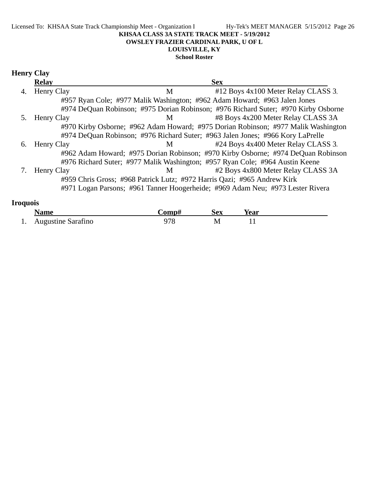#### Licensed To: KHSAA State Track Championship Meet - Organization I Hy-Tek's MEET MANAGER 5/15/2012 Page 26 **KHSAA CLASS 3A STATE TRACK MEET - 5/19/2012 OWSLEY FRAZIER CARDINAL PARK, U OF L LOUISVILLE, KY School Roster**

### **Henry Clay**

|    | <b>Relay</b> | <b>Sex</b>                                                                         |  |
|----|--------------|------------------------------------------------------------------------------------|--|
| 4. | Henry Clay   | #12 Boys 4x100 Meter Relay CLASS 3.<br>М                                           |  |
|    |              | #957 Ryan Cole; #977 Malik Washington; #962 Adam Howard; #963 Jalen Jones          |  |
|    |              | #974 DeQuan Robinson; #975 Dorian Robinson; #976 Richard Suter; #970 Kirby Osborne |  |
|    | Henry Clay   | #8 Boys 4x200 Meter Relay CLASS 3A<br>M                                            |  |
|    |              | #970 Kirby Osborne; #962 Adam Howard; #975 Dorian Robinson; #977 Malik Washington  |  |
|    |              | #974 DeQuan Robinson; #976 Richard Suter; #963 Jalen Jones; #966 Kory LaPrelle     |  |
| 6. | Henry Clay   | #24 Boys 4x400 Meter Relay CLASS 3.<br>M                                           |  |
|    |              | #962 Adam Howard; #975 Dorian Robinson; #970 Kirby Osborne; #974 DeQuan Robinson   |  |
|    |              | #976 Richard Suter; #977 Malik Washington; #957 Ryan Cole; #964 Austin Keene       |  |
|    | Henry Clay   | #2 Boys 4x800 Meter Relay CLASS 3A<br>M                                            |  |
|    |              | #959 Chris Gross; #968 Patrick Lutz; #972 Harris Qazi; #965 Andrew Kirk            |  |
|    |              | #971 Logan Parsons; #961 Tanner Hoogerheide; #969 Adam Neu; #973 Lester Rivera     |  |
|    |              |                                                                                    |  |

### **Iroquois**

|   | <b>Name</b>        | $^{\circ}$ omn $^{\star}$ | Sex | Year |  |
|---|--------------------|---------------------------|-----|------|--|
| . | Augustine Sarafino |                           | M   |      |  |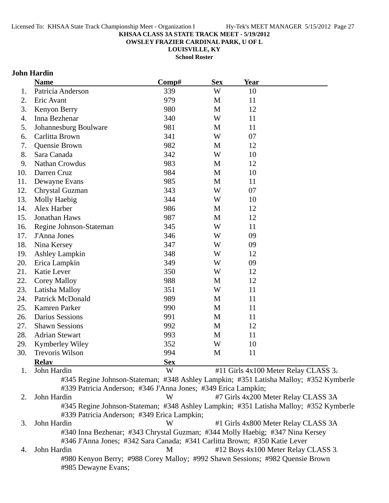**OWSLEY FRAZIER CARDINAL PARK, U OF L**

**LOUISVILLE, KY**

**School Roster**

### **John Hardin**

|     | <b>Name</b>                                                    | Comp#      | <b>Sex</b> | <b>Year</b> |                                                                                       |
|-----|----------------------------------------------------------------|------------|------------|-------------|---------------------------------------------------------------------------------------|
| 1.  | Patricia Anderson                                              | 339        | W          | 10          |                                                                                       |
| 2.  | Eric Avant                                                     | 979        | M          | 11          |                                                                                       |
| 3.  | Kenyon Berry                                                   | 980        | M          | 12          |                                                                                       |
| 4.  | Inna Bezhenar                                                  | 340        | W          | 11          |                                                                                       |
| 5.  | Johannesburg Boulware                                          | 981        | M          | 11          |                                                                                       |
| 6.  | Carlitta Brown                                                 | 341        | W          | 07          |                                                                                       |
| 7.  | Quensie Brown                                                  | 982        | M          | 12          |                                                                                       |
| 8.  | Sara Canada                                                    | 342        | W          | 10          |                                                                                       |
| 9.  | Nathan Crowdus                                                 | 983        | M          | 12          |                                                                                       |
| 10. | Darren Cruz                                                    | 984        | M          | 10          |                                                                                       |
| 11. | Dewayne Evans                                                  | 985        | M          | 11          |                                                                                       |
| 12. | Chrystal Guzman                                                | 343        | W          | 07          |                                                                                       |
| 13. | Molly Haebig                                                   | 344        | W          | 10          |                                                                                       |
| 14. | Alex Harber                                                    | 986        | M          | 12          |                                                                                       |
| 15. | Jonathan Haws                                                  | 987        | M          | 12          |                                                                                       |
| 16. | Regine Johnson-Stateman                                        | 345        | W          | 11          |                                                                                       |
| 17. | J'Anna Jones                                                   | 346        | W          | 09          |                                                                                       |
| 18. | Nina Kersey                                                    | 347        | W          | 09          |                                                                                       |
| 19. | <b>Ashley Lampkin</b>                                          | 348        | W          | 12          |                                                                                       |
| 20. | Erica Lampkin                                                  | 349        | W          | 09          |                                                                                       |
| 21. | Katie Lever                                                    | 350        | W          | 12          |                                                                                       |
| 22. | <b>Corey Malloy</b>                                            | 988        | M          | 12          |                                                                                       |
| 23. | Latisha Malloy                                                 | 351        | W          | 11          |                                                                                       |
| 24. | <b>Patrick McDonald</b>                                        | 989        | M          | 11          |                                                                                       |
| 25. | Kamren Parker                                                  | 990        | M          | 11          |                                                                                       |
| 26. | <b>Darius Sessions</b>                                         | 991        | M          | 11          |                                                                                       |
| 27. | <b>Shawn Sessions</b>                                          | 992        | M          | 12          |                                                                                       |
| 28. | <b>Adrian Stewart</b>                                          | 993        | M          | 11          |                                                                                       |
| 29. | Kymberley Wiley                                                | 352        | W          | 10          |                                                                                       |
| 30. | Trevoris Wilson                                                | 994        | M          | 11          |                                                                                       |
|     | <b>Relay</b>                                                   | <b>Sex</b> |            |             |                                                                                       |
| 1.  | John Hardin                                                    | W          |            |             | #11 Girls 4x100 Meter Relay CLASS 3.                                                  |
|     | #339 Patricia Anderson; #346 J'Anna Jones; #349 Erica Lampkin; |            |            |             | #345 Regine Johnson-Stateman; #348 Ashley Lampkin; #351 Latisha Malloy; #352 Kymberle |

2. John Hardin W #7 Girls 4x200 Meter Relay CLASS 3A #345 Regine Johnson-Stateman; #348 Ashley Lampkin; #351 Latisha Malloy; #352 Kymberle #339 Patricia Anderson; #349 Erica Lampkin;

3. John Hardin **W** #1 Girls 4x800 Meter Relay CLASS 3A #340 Inna Bezhenar; #343 Chrystal Guzman; #344 Molly Haebig; #347 Nina Kersey #346 J'Anna Jones; #342 Sara Canada; #341 Carlitta Brown; #350 Katie Lever 4. John Hardin M #12 Boys 4x100 Meter Relay CLASS 3. #980 Kenyon Berry; #988 Corey Malloy; #992 Shawn Sessions; #982 Quensie Brown #985 Dewayne Evans;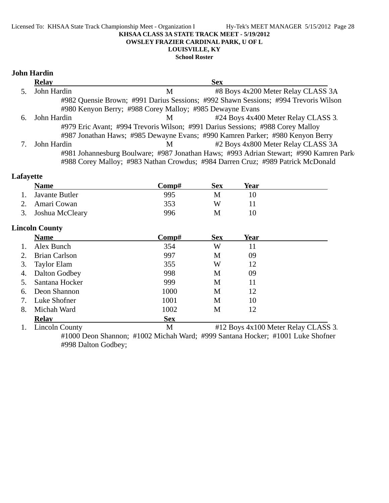#### Licensed To: KHSAA State Track Championship Meet - Organization I Hy-Tek's MEET MANAGER 5/15/2012 Page 28 **KHSAA CLASS 3A STATE TRACK MEET - 5/19/2012 OWSLEY FRAZIER CARDINAL PARK, U OF L LOUISVILLE, KY**

**School Roster**

### **John Hardin**

|    | <b>Relay</b> |                                                          | <b>Sex</b>                                                                            |
|----|--------------|----------------------------------------------------------|---------------------------------------------------------------------------------------|
|    | John Hardin  | M                                                        | #8 Boys 4x200 Meter Relay CLASS 3A                                                    |
|    |              |                                                          | #982 Quensie Brown; #991 Darius Sessions; #992 Shawn Sessions; #994 Trevoris Wilson   |
|    |              | #980 Kenyon Berry; #988 Corey Malloy; #985 Dewayne Evans |                                                                                       |
| 6. | John Hardin  | M                                                        | #24 Boys 4x400 Meter Relay CLASS 3.                                                   |
|    |              |                                                          | #979 Eric Avant; #994 Trevoris Wilson; #991 Darius Sessions; #988 Corey Malloy        |
|    |              |                                                          | #987 Jonathan Haws; #985 Dewayne Evans; #990 Kamren Parker; #980 Kenyon Berry         |
|    | John Hardin  | M                                                        | #2 Boys 4x800 Meter Relay CLASS 3A                                                    |
|    |              |                                                          | #981 Johannesburg Boulware; #987 Jonathan Haws; #993 Adrian Stewart; #990 Kamren Park |
|    |              |                                                          | #988 Corey Malloy; #983 Nathan Crowdus; #984 Darren Cruz; #989 Patrick McDonald       |

### **Lafayette**

|    | <b>Name</b>           | Comp#      | <b>Sex</b> | <b>Year</b>                         |  |
|----|-----------------------|------------|------------|-------------------------------------|--|
| 1. | Javante Butler        | 995        | M          | 10                                  |  |
| 2. | Amari Cowan           | 353        | W          | 11                                  |  |
| 3. | Joshua McCleary       | 996        | M          | 10                                  |  |
|    | <b>Lincoln County</b> |            |            |                                     |  |
|    | <b>Name</b>           | Comp#      | <b>Sex</b> | <b>Year</b>                         |  |
| 1. | Alex Bunch            | 354        | W          | 11                                  |  |
| 2. | <b>Brian Carlson</b>  | 997        | M          | 09                                  |  |
| 3. | <b>Taylor Elam</b>    | 355        | W          | 12                                  |  |
| 4. | Dalton Godbey         | 998        | M          | 09                                  |  |
| 5. | Santana Hocker        | 999        | M          | 11                                  |  |
| 6. | Deon Shannon          | 1000       | M          | 12                                  |  |
| 7. | Luke Shofner          | 1001       | M          | 10                                  |  |
| 8. | Michah Ward           | 1002       | M          | 12                                  |  |
|    | <b>Relay</b>          | <b>Sex</b> |            |                                     |  |
| 1. | <b>Lincoln County</b> | M          |            | #12 Boys 4x100 Meter Relay CLASS 3. |  |

#1000 Deon Shannon; #1002 Michah Ward; #999 Santana Hocker; #1001 Luke Shofner #998 Dalton Godbey;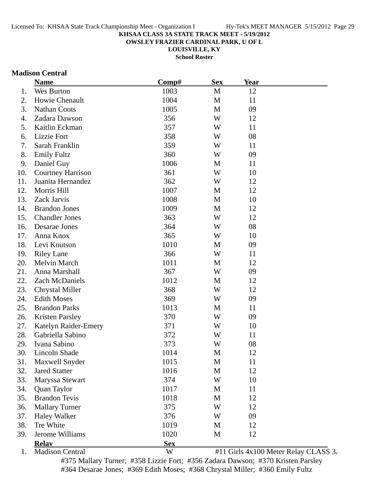**OWSLEY FRAZIER CARDINAL PARK, U OF L**

**LOUISVILLE, KY**

**School Roster**

### **Madison Central**

|     | <b>Name</b>              | Comp#        | <b>Sex</b>   | <b>Year</b> |                                                    |
|-----|--------------------------|--------------|--------------|-------------|----------------------------------------------------|
| 1.  | Wes Burton               | 1003         | M            | 12          |                                                    |
| 2.  | Howie Chenault           | 1004         | $\mathbf{M}$ | 11          |                                                    |
| 3.  | <b>Nathan Coots</b>      | 1005         | M            | 09          |                                                    |
| 4.  | Zadara Dawson            | 356          | W            | 12          |                                                    |
| 5.  | Kaitlin Eckman           | 357          | W            | 11          |                                                    |
| 6.  | Lizzie Fort              | 358          | W            | 08          |                                                    |
| 7.  | Sarah Franklin           | 359          | W            | 11          |                                                    |
| 8.  | <b>Emily Fultz</b>       | 360          | W            | 09          |                                                    |
| 9.  | Daniel Guy               | 1006         | M            | 11          |                                                    |
| 10. | <b>Courtney Harrison</b> | 361          | W            | 10          |                                                    |
| 11. | Juanita Hernandez        | 362          | W            | 12          |                                                    |
| 12. | Morris Hill              | 1007         | M            | 12          |                                                    |
| 13. | Zack Jarvis              | 1008         | M            | 10          |                                                    |
| 14. | <b>Brandon Jones</b>     | 1009         | M            | 12          |                                                    |
| 15. | <b>Chandler Jones</b>    | 363          | W            | 12          |                                                    |
| 16. | Desarae Jones            | 364          | W            | 08          |                                                    |
| 17. | Anna Knox                | 365          | W            | 10          |                                                    |
| 18. | Levi Knutson             | 1010         | M            | 09          |                                                    |
| 19. | <b>Riley Lane</b>        | 366          | W            | 11          |                                                    |
| 20. | Melvin March             | 1011         | M            | 12          |                                                    |
| 21. | Anna Marshall            | 367          | W            | 09          |                                                    |
| 22. | Zach McDaniels           | 1012         | M            | 12          |                                                    |
| 23. | <b>Chrystal Miller</b>   | 368          | W            | 12          |                                                    |
| 24. | <b>Edith Moses</b>       | 369          | W            | 09          |                                                    |
| 25. | <b>Brandon Parks</b>     | 1013         | M            | 11          |                                                    |
| 26. | <b>Kristen Parsley</b>   | 370          | W            | 09          |                                                    |
| 27. | Katelyn Raider-Emery     | 371          | W            | 10          |                                                    |
| 28. | Gabriella Sabino         | 372          | W            | 11          |                                                    |
| 29. | Ivana Sabino             | 373          | W            | 08          |                                                    |
| 30. | Lincoln Shade            | 1014         | M            | 12          |                                                    |
| 31. | Maxwell Snyder           | 1015         | M            | 11          |                                                    |
| 32. | <b>Jared Statter</b>     | 1016         | M            | 12          |                                                    |
| 33. | Maryssa Stewart          | 374          | W            | 10          |                                                    |
| 34. | Quan Taylor              | 1017         | M            | 11          |                                                    |
| 35. | <b>Brandon Tevis</b>     | 1018         | M            | 12          |                                                    |
| 36. | <b>Mallary Turner</b>    | 375          | W            | 12          |                                                    |
| 37. | <b>Haley Walker</b>      | 376          | W            | 09          |                                                    |
| 38. | Tre White                | 1019         | M            | 12          |                                                    |
| 39. | Jerome Williams          | 1020         | M            | 12          |                                                    |
|     | <b>Relay</b>             | <b>Sex</b>   |              |             |                                                    |
|     | Modison Control          | $\mathbf{X}$ |              |             | $#11$ Cirls $4x100$ Motor $D_{\text{olov}}$ CL ASS |

1. Madison Central  $W$  #11 Girls 4x100 Meter Relay CLASS 3. #375 Mallary Turner; #358 Lizzie Fort; #356 Zadara Dawson; #370 Kristen Parsley #364 Desarae Jones; #369 Edith Moses; #368 Chrystal Miller; #360 Emily Fultz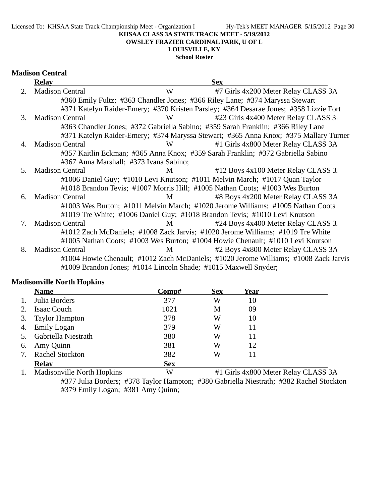**OWSLEY FRAZIER CARDINAL PARK, U OF L**

### **LOUISVILLE, KY**

**School Roster**

|    | <b>Relay</b>                           |   | <b>Sex</b>                                                                            |
|----|----------------------------------------|---|---------------------------------------------------------------------------------------|
| 2. | <b>Madison Central</b>                 | W | #7 Girls 4x200 Meter Relay CLASS 3A                                                   |
|    |                                        |   | #360 Emily Fultz; #363 Chandler Jones; #366 Riley Lane; #374 Maryssa Stewart          |
|    |                                        |   | #371 Katelyn Raider-Emery; #370 Kristen Parsley; #364 Desarae Jones; #358 Lizzie Fort |
| 3. | <b>Madison Central</b>                 | W | #23 Girls 4x400 Meter Relay CLASS 3.                                                  |
|    |                                        |   | #363 Chandler Jones; #372 Gabriella Sabino; #359 Sarah Franklin; #366 Riley Lane      |
|    |                                        |   | #371 Katelyn Raider-Emery; #374 Maryssa Stewart; #365 Anna Knox; #375 Mallary Turner  |
| 4. | <b>Madison Central</b>                 | W | #1 Girls 4x800 Meter Relay CLASS 3A                                                   |
|    |                                        |   | #357 Kaitlin Eckman; #365 Anna Knox; #359 Sarah Franklin; #372 Gabriella Sabino       |
|    | #367 Anna Marshall; #373 Ivana Sabino; |   |                                                                                       |
| 5. | <b>Madison Central</b>                 | M | #12 Boys 4x100 Meter Relay CLASS 3.                                                   |
|    |                                        |   | #1006 Daniel Guy; #1010 Levi Knutson; #1011 Melvin March; #1017 Quan Taylor           |
|    |                                        |   | #1018 Brandon Tevis; #1007 Morris Hill; #1005 Nathan Coots; #1003 Wes Burton          |
| 6. | <b>Madison Central</b>                 | M | #8 Boys 4x200 Meter Relay CLASS 3A                                                    |
|    |                                        |   | #1003 Wes Burton; #1011 Melvin March; #1020 Jerome Williams; #1005 Nathan Coots       |
|    |                                        |   | #1019 Tre White; #1006 Daniel Guy; #1018 Brandon Tevis; #1010 Levi Knutson            |
| 7. | <b>Madison Central</b>                 | M | #24 Boys 4x400 Meter Relay CLASS 3.                                                   |
|    |                                        |   | #1012 Zach McDaniels; #1008 Zack Jarvis; #1020 Jerome Williams; #1019 Tre White       |
|    |                                        |   | #1005 Nathan Coots; #1003 Wes Burton; #1004 Howie Chenault; #1010 Levi Knutson        |
| 8. | <b>Madison Central</b>                 | M | #2 Boys 4x800 Meter Relay CLASS 3A                                                    |
|    |                                        |   | #1004 Howie Chenault; #1012 Zach McDaniels; #1020 Jerome Williams; #1008 Zack Jarvis  |
|    |                                        |   | #1009 Brandon Jones; #1014 Lincoln Shade; #1015 Maxwell Snyder;                       |

### **Madisonville North Hopkins**

|    | <b>Name</b>            | Comp#      | <b>Sex</b> | Year |  |
|----|------------------------|------------|------------|------|--|
|    | Julia Borders          | 377        | W          | 10   |  |
|    | Isaac Couch            | 1021       | М          | 09   |  |
| 3. | <b>Taylor Hampton</b>  | 378        | W          | 10   |  |
| 4. | <b>Emily Logan</b>     | 379        | W          | 11   |  |
|    | Gabriella Niestrath    | 380        | W          | 11   |  |
| 6. | Amy Quinn              | 381        | W          | 12   |  |
|    | <b>Rachel Stockton</b> | 382        | W          | 11   |  |
|    | <b>Relay</b>           | <b>Sex</b> |            |      |  |

1. Madisonville North Hopkins W #1 Girls 4x800 Meter Relay CLASS 3A #377 Julia Borders; #378 Taylor Hampton; #380 Gabriella Niestrath; #382 Rachel Stockton #379 Emily Logan; #381 Amy Quinn;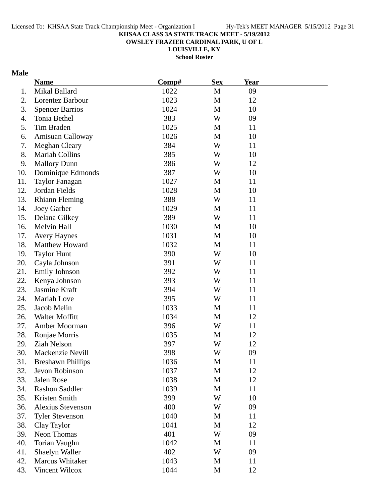**OWSLEY FRAZIER CARDINAL PARK, U OF L**

**LOUISVILLE, KY School Roster**

### **Male**

|     | <b>Name</b>              | Comp# | <b>Sex</b>   | <b>Year</b> |  |
|-----|--------------------------|-------|--------------|-------------|--|
| 1.  | Mikal Ballard            | 1022  | M            | 09          |  |
| 2.  | Lorentez Barbour         | 1023  | M            | 12          |  |
| 3.  | <b>Spencer Barrios</b>   | 1024  | M            | 10          |  |
| 4.  | Tonia Bethel             | 383   | W            | 09          |  |
| 5.  | Tim Braden               | 1025  | M            | 11          |  |
| 6.  | Amisuan Calloway         | 1026  | M            | 10          |  |
| 7.  | <b>Meghan Cleary</b>     | 384   | W            | 11          |  |
| 8.  | <b>Mariah Collins</b>    | 385   | W            | 10          |  |
| 9.  | <b>Mallory Dunn</b>      | 386   | W            | 12          |  |
| 10. | Dominique Edmonds        | 387   | W            | 10          |  |
| 11. | Taylor Fanagan           | 1027  | M            | 11          |  |
| 12. | Jordan Fields            | 1028  | M            | 10          |  |
| 13. | <b>Rhiann Fleming</b>    | 388   | W            | 11          |  |
| 14. | Joey Garber              | 1029  | M            | 11          |  |
| 15. | Delana Gilkey            | 389   | W            | 11          |  |
| 16. | Melvin Hall              | 1030  | M            | 10          |  |
| 17. | <b>Avery Haynes</b>      | 1031  | M            | 10          |  |
| 18. | Matthew Howard           | 1032  | M            | 11          |  |
| 19. | <b>Taylor Hunt</b>       | 390   | W            | 10          |  |
| 20. | Cayla Johnson            | 391   | W            | 11          |  |
| 21. | <b>Emily Johnson</b>     | 392   | W            | 11          |  |
| 22. | Kenya Johnson            | 393   | W            | 11          |  |
| 23. | Jasmine Kraft            | 394   | W            | 11          |  |
| 24. | Mariah Love              | 395   | W            | 11          |  |
| 25. | Jacob Melin              | 1033  | M            | 11          |  |
| 26. | Walter Moffitt           | 1034  | $\mathbf{M}$ | 12          |  |
| 27. | Amber Moorman            | 396   | W            | 11          |  |
| 28. | Ronjae Morris            | 1035  | M            | 12          |  |
| 29. | Ziah Nelson              | 397   | W            | 12          |  |
| 30. | Mackenzie Nevill         | 398   | W            | 09          |  |
| 31. | <b>Breshawn Phillips</b> | 1036  | M            | 11          |  |
| 32. | Jevon Robinson           | 1037  | M            | 12          |  |
| 33. | Jalen Rose               | 1038  | M            | 12          |  |
| 34. | <b>Rashon Saddler</b>    | 1039  | $\mathbf M$  | 11          |  |
| 35. | Kristen Smith            | 399   | W            | 10          |  |
| 36. | <b>Alexius Stevenson</b> | 400   | W            | 09          |  |
| 37. | <b>Tyler Stevenson</b>   | 1040  | M            | 11          |  |
| 38. | Clay Taylor              | 1041  | M            | 12          |  |
| 39. | Neon Thomas              | 401   | W            | 09          |  |
| 40. | <b>Torian Vaughn</b>     | 1042  | M            | 11          |  |
| 41. | Shaelyn Waller           | 402   | W            | 09          |  |
| 42. | Marcus Whitaker          | 1043  | M            | 11          |  |
| 43. | Vincent Wilcox           | 1044  | $\mathbf M$  | 12          |  |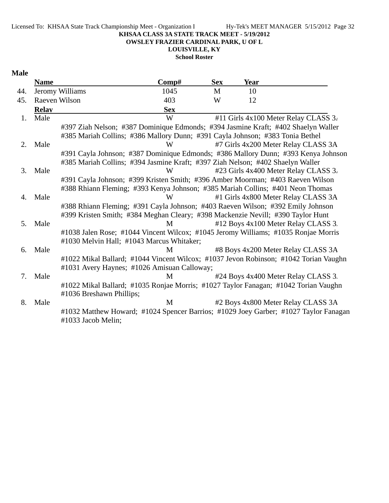**OWSLEY FRAZIER CARDINAL PARK, U OF L**

**LOUISVILLE, KY**

**School Roster**

#### **Male**

|     | <b>Name</b>  |                                                                                      | Comp#                                                                             | <b>Sex</b> | <b>Year</b> |                                      |  |  |
|-----|--------------|--------------------------------------------------------------------------------------|-----------------------------------------------------------------------------------|------------|-------------|--------------------------------------|--|--|
| 44. |              | Jeromy Williams                                                                      | 1045                                                                              | M          | 10          |                                      |  |  |
| 45. |              | Raeven Wilson                                                                        | 403                                                                               | W          | 12          |                                      |  |  |
|     | <b>Relay</b> |                                                                                      | <b>Sex</b>                                                                        |            |             |                                      |  |  |
| 1.  | Male         |                                                                                      | W                                                                                 |            |             | #11 Girls 4x100 Meter Relay CLASS 3. |  |  |
|     |              | #397 Ziah Nelson; #387 Dominique Edmonds; #394 Jasmine Kraft; #402 Shaelyn Waller    |                                                                                   |            |             |                                      |  |  |
|     |              | #385 Mariah Collins; #386 Mallory Dunn; #391 Cayla Johnson; #383 Tonia Bethel        |                                                                                   |            |             |                                      |  |  |
| 2.  | Male         |                                                                                      | W                                                                                 |            |             | #7 Girls 4x200 Meter Relay CLASS 3A  |  |  |
|     |              |                                                                                      | #391 Cayla Johnson; #387 Dominique Edmonds; #386 Mallory Dunn; #393 Kenya Johnson |            |             |                                      |  |  |
|     |              | #385 Mariah Collins; #394 Jasmine Kraft; #397 Ziah Nelson; #402 Shaelyn Waller       |                                                                                   |            |             |                                      |  |  |
| 3.  | Male         |                                                                                      | W                                                                                 |            |             | #23 Girls 4x400 Meter Relay CLASS 3. |  |  |
|     |              | #391 Cayla Johnson; #399 Kristen Smith; #396 Amber Moorman; #403 Raeven Wilson       |                                                                                   |            |             |                                      |  |  |
|     |              | #388 Rhiann Fleming; #393 Kenya Johnson; #385 Mariah Collins; #401 Neon Thomas       |                                                                                   |            |             |                                      |  |  |
| 4.  | Male         |                                                                                      | W                                                                                 |            |             | #1 Girls 4x800 Meter Relay CLASS 3A  |  |  |
|     |              | #388 Rhiann Fleming; #391 Cayla Johnson; #403 Raeven Wilson; #392 Emily Johnson      |                                                                                   |            |             |                                      |  |  |
|     |              | #399 Kristen Smith; #384 Meghan Cleary; #398 Mackenzie Nevill; #390 Taylor Hunt      |                                                                                   |            |             |                                      |  |  |
| 5.  | Male         |                                                                                      | M                                                                                 |            |             | #12 Boys 4x100 Meter Relay CLASS 3.  |  |  |
|     |              | #1038 Jalen Rose; #1044 Vincent Wilcox; #1045 Jeromy Williams; #1035 Ronjae Morris   |                                                                                   |            |             |                                      |  |  |
|     |              | #1030 Melvin Hall; #1043 Marcus Whitaker;                                            |                                                                                   |            |             |                                      |  |  |
| 6.  | Male         |                                                                                      | M                                                                                 |            |             | #8 Boys 4x200 Meter Relay CLASS 3A   |  |  |
|     |              | #1022 Mikal Ballard; #1044 Vincent Wilcox; #1037 Jevon Robinson; #1042 Torian Vaughn |                                                                                   |            |             |                                      |  |  |
|     |              | #1031 Avery Haynes; #1026 Amisuan Calloway;                                          |                                                                                   |            |             |                                      |  |  |
| 7.  | Male         |                                                                                      | M                                                                                 |            |             | #24 Boys 4x400 Meter Relay CLASS 3.  |  |  |
|     |              | #1022 Mikal Ballard; #1035 Ronjae Morris; #1027 Taylor Fanagan; #1042 Torian Vaughn  |                                                                                   |            |             |                                      |  |  |
|     |              | #1036 Breshawn Phillips;                                                             |                                                                                   |            |             |                                      |  |  |
| 8.  | Male         |                                                                                      | M                                                                                 |            |             | #2 Boys 4x800 Meter Relay CLASS 3A   |  |  |
|     |              | #1032 Matthew Howard; #1024 Spencer Barrios; #1029 Joey Garber; #1027 Taylor Fanagan |                                                                                   |            |             |                                      |  |  |
|     |              | #1033 Jacob Melin;                                                                   |                                                                                   |            |             |                                      |  |  |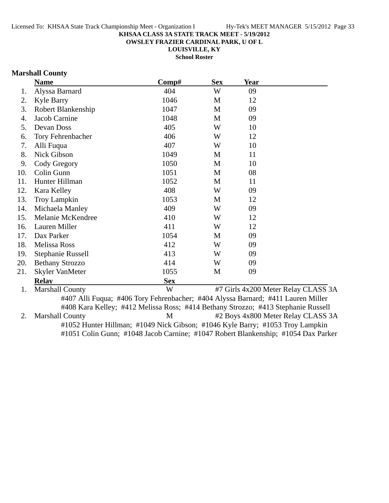**OWSLEY FRAZIER CARDINAL PARK, U OF L**

**LOUISVILLE, KY**

**School Roster**

### **Marshall County**

|     | <b>Name</b>            | Comp#      | <b>Sex</b> | <b>Year</b>                         |  |
|-----|------------------------|------------|------------|-------------------------------------|--|
| 1.  | Alyssa Barnard         | 404        | W          | 09                                  |  |
| 2.  | <b>Kyle Barry</b>      | 1046       | M          | 12                                  |  |
| 3.  | Robert Blankenship     | 1047       | M          | 09                                  |  |
| 4.  | Jacob Carnine          | 1048       | M          | 09                                  |  |
| 5.  | Devan Doss             | 405        | W          | 10                                  |  |
| 6.  | Tory Fehrenbacher      | 406        | W          | 12                                  |  |
| 7.  | Alli Fuqua             | 407        | W          | 10                                  |  |
| 8.  | Nick Gibson            | 1049       | M          | 11                                  |  |
| 9.  | Cody Gregory           | 1050       | M          | 10                                  |  |
| 10. | Colin Gunn             | 1051       | M          | 08                                  |  |
| 11. | Hunter Hillman         | 1052       | M          | 11                                  |  |
| 12. | Kara Kelley            | 408        | W          | 09                                  |  |
| 13. | <b>Troy Lampkin</b>    | 1053       | M          | 12                                  |  |
| 14. | Michaela Manley        | 409        | W          | 09                                  |  |
| 15. | Melanie McKendree      | 410        | W          | 12                                  |  |
| 16. | Lauren Miller          | 411        | W          | 12                                  |  |
| 17. | Dax Parker             | 1054       | M          | 09                                  |  |
| 18. | Melissa Ross           | 412        | W          | 09                                  |  |
| 19. | Stephanie Russell      | 413        | W          | 09                                  |  |
| 20. | <b>Bethany Strozzo</b> | 414        | W          | 09                                  |  |
| 21. | Skyler VanMeter        | 1055       | M          | 09                                  |  |
|     | <b>Relav</b>           | <b>Sex</b> |            |                                     |  |
| 1.  | <b>Marshall County</b> | W          |            | #7 Girls 4x200 Meter Relay CLASS 3A |  |

#407 Alli Fuqua; #406 Tory Fehrenbacher; #404 Alyssa Barnard; #411 Lauren Miller #408 Kara Kelley; #412 Melissa Ross; #414 Bethany Strozzo; #413 Stephanie Russell 2. Marshall County M #2 Boys 4x800 Meter Relay CLASS 3A #1052 Hunter Hillman; #1049 Nick Gibson; #1046 Kyle Barry; #1053 Troy Lampkin #1051 Colin Gunn; #1048 Jacob Carnine; #1047 Robert Blankenship; #1054 Dax Parker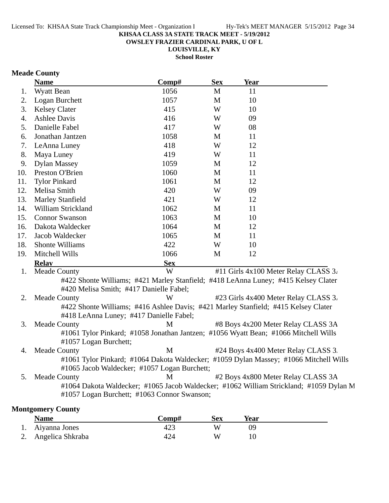**OWSLEY FRAZIER CARDINAL PARK, U OF L**

**LOUISVILLE, KY School Roster**

### **Meade County**

|     | <b>Name</b>                                                                                                                           | Comp#      | <b>Sex</b> | <b>Year</b> |                                      |
|-----|---------------------------------------------------------------------------------------------------------------------------------------|------------|------------|-------------|--------------------------------------|
| 1.  | Wyatt Bean                                                                                                                            | 1056       | M          | 11          |                                      |
| 2.  | Logan Burchett                                                                                                                        | 1057       | M          | 10          |                                      |
| 3.  | <b>Kelsey Clater</b>                                                                                                                  | 415        | W          | 10          |                                      |
| 4.  | <b>Ashlee Davis</b>                                                                                                                   | 416        | W          | 09          |                                      |
| 5.  | Danielle Fabel                                                                                                                        | 417        | W          | 08          |                                      |
| 6.  | Jonathan Jantzen                                                                                                                      | 1058       | M          | 11          |                                      |
| 7.  | LeAnna Luney                                                                                                                          | 418        | W          | 12          |                                      |
| 8.  | Maya Luney                                                                                                                            | 419        | W          | 11          |                                      |
| 9.  | <b>Dylan Massey</b>                                                                                                                   | 1059       | M          | 12          |                                      |
| 10. | Preston O'Brien                                                                                                                       | 1060       | M          | 11          |                                      |
| 11. | <b>Tylor Pinkard</b>                                                                                                                  | 1061       | M          | 12          |                                      |
| 12. | Melisa Smith                                                                                                                          | 420        | W          | 09          |                                      |
| 13. | <b>Marley Stanfield</b>                                                                                                               | 421        | W          | 12          |                                      |
| 14. | William Strickland                                                                                                                    | 1062       | M          | 11          |                                      |
| 15. | <b>Connor Swanson</b>                                                                                                                 | 1063       | M          | 10          |                                      |
| 16. | Dakota Waldecker                                                                                                                      | 1064       | M          | 12          |                                      |
| 17. | Jacob Waldecker                                                                                                                       | 1065       | M          | 11          |                                      |
| 18. | Shonte Williams                                                                                                                       | 422        | W          | 10          |                                      |
| 19. | Mitchell Wills                                                                                                                        | 1066       | M          | 12          |                                      |
|     | <b>Relay</b>                                                                                                                          | <b>Sex</b> |            |             |                                      |
| 1.  | <b>Meade County</b>                                                                                                                   | W          |            |             | #11 Girls 4x100 Meter Relay CLASS 3. |
|     | #422 Shonte Williams; #421 Marley Stanfield; #418 LeAnna Luney; #415 Kelsey Clater<br>#420 Melisa Smith; #417 Danielle Fabel;         |            |            |             |                                      |
| 2.  | <b>Meade County</b>                                                                                                                   | W          |            |             | #23 Girls 4x400 Meter Relay CLASS 3. |
|     | #422 Shonte Williams; #416 Ashlee Davis; #421 Marley Stanfield; #415 Kelsey Clater<br>#418 LeAnna Luney; #417 Danielle Fabel;         |            |            |             |                                      |
| 3.  | <b>Meade County</b>                                                                                                                   | M          |            |             | #8 Boys 4x200 Meter Relay CLASS 3A   |
|     | #1061 Tylor Pinkard; #1058 Jonathan Jantzen; #1056 Wyatt Bean; #1066 Mitchell Wills<br>#1057 Logan Burchett;                          |            |            |             |                                      |
| 4.  | <b>Meade County</b>                                                                                                                   | M          |            |             | #24 Boys 4x400 Meter Relay CLASS 3.  |
|     | #1061 Tylor Pinkard; #1064 Dakota Waldecker; #1059 Dylan Massey; #1066 Mitchell Wills<br>#1065 Jacob Waldecker; #1057 Logan Burchett; |            |            |             |                                      |
| 5.  | <b>Meade County</b>                                                                                                                   | М          |            |             | #2 Boys 4x800 Meter Relay CLASS 3A   |
|     | #1064 Dakota Waldecker; #1065 Jacob Waldecker; #1062 William Strickland; #1059 Dylan M<br>#1057 Logan Burchett; #1063 Connor Swanson; |            |            |             |                                      |
|     | <b>Montgomery County</b>                                                                                                              |            |            |             |                                      |

| <b>Name</b>         | Comp# | Sex | Year |  |
|---------------------|-------|-----|------|--|
| 1. Aiyanna Jones    | 423   | W   | 0S   |  |
| 2. Angelica Shkraba | 424   | W   |      |  |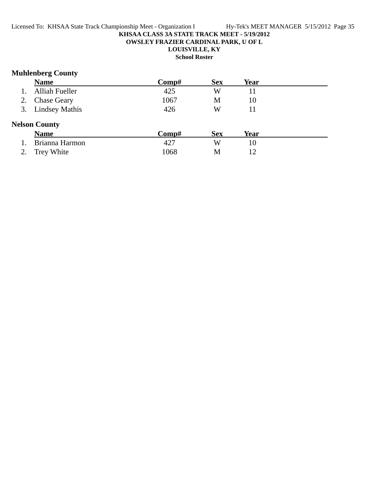**OWSLEY FRAZIER CARDINAL PARK, U OF L**

### **LOUISVILLE, KY**

**School Roster**

### **Muhlenberg County**

|    | <b>Name</b>           | Comp# | <b>Sex</b> | Year |  |
|----|-----------------------|-------|------------|------|--|
|    | <b>Alliah Fueller</b> | 425   | W          | 11   |  |
|    | <b>Chase Geary</b>    | 1067  | M          | 10   |  |
| 3. | <b>Lindsey Mathis</b> | 426   | W          | 11   |  |
|    | <b>Nelson County</b>  |       |            |      |  |
|    | <b>Name</b>           | Comp# | <b>Sex</b> | Year |  |
|    | Brianna Harmon        | 427   | W          | 10   |  |
|    | Trey White            | 1068  | M          | 12   |  |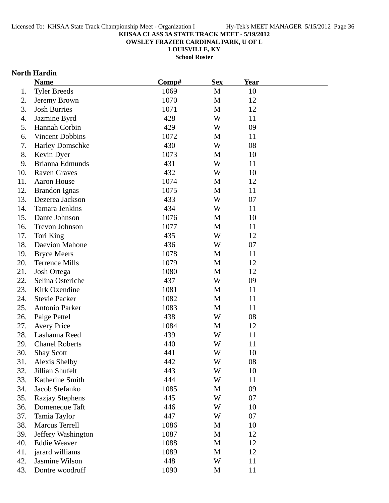**OWSLEY FRAZIER CARDINAL PARK, U OF L**

**LOUISVILLE, KY**

**School Roster**

### **North Hardin**

|     | <b>Name</b>            | Comp# | <b>Sex</b> | <b>Year</b> |  |
|-----|------------------------|-------|------------|-------------|--|
| 1.  | <b>Tyler Breeds</b>    | 1069  | M          | 10          |  |
| 2.  | Jeremy Brown           | 1070  | M          | 12          |  |
| 3.  | <b>Josh Burries</b>    | 1071  | M          | 12          |  |
| 4.  | Jazmine Byrd           | 428   | W          | 11          |  |
| 5.  | Hannah Corbin          | 429   | W          | 09          |  |
| 6.  | <b>Vincent Dobbins</b> | 1072  | M          | 11          |  |
| 7.  | Harley Domschke        | 430   | W          | 08          |  |
| 8.  | Kevin Dyer             | 1073  | M          | 10          |  |
| 9.  | Brianna Edmunds        | 431   | W          | 11          |  |
| 10. | <b>Raven Graves</b>    | 432   | W          | 10          |  |
| 11. | Aaron House            | 1074  | M          | 12          |  |
| 12. | <b>Brandon Ignas</b>   | 1075  | M          | 11          |  |
| 13. | Dezerea Jackson        | 433   | W          | 07          |  |
| 14. | <b>Tamara Jenkins</b>  | 434   | W          | 11          |  |
| 15. | Dante Johnson          | 1076  | M          | 10          |  |
| 16. | Trevon Johnson         | 1077  | M          | 11          |  |
| 17. | Tori King              | 435   | W          | 12          |  |
| 18. | Daevion Mahone         | 436   | W          | 07          |  |
| 19. | <b>Bryce Meers</b>     | 1078  | M          | 11          |  |
| 20. | <b>Terrence Mills</b>  | 1079  | M          | 12          |  |
| 21. | Josh Ortega            | 1080  | M          | 12          |  |
| 22. | Selina Osteriche       | 437   | W          | 09          |  |
| 23. | Kirk Oxendine          | 1081  | M          | 11          |  |
| 24. | <b>Stevie Packer</b>   | 1082  | M          | 11          |  |
| 25. | Antonio Parker         | 1083  | M          | 11          |  |
| 26. | Paige Pettel           | 438   | W          | 08          |  |
| 27. | <b>Avery Price</b>     | 1084  | M          | 12          |  |
| 28. | Lashauna Reed          | 439   | W          | 11          |  |
| 29. | <b>Chanel Roberts</b>  | 440   | W          | 11          |  |
| 30. | <b>Shay Scott</b>      | 441   | W          | 10          |  |
| 31. | <b>Alexis Shelby</b>   | 442   | W          | 08          |  |
| 32. | Jillian Shufelt        | 443   | W          | 10          |  |
| 33. | Katherine Smith        | 444   | W          | 11          |  |
| 34. | Jacob Stefanko         | 1085  | M          | 09          |  |
| 35. | Razjay Stephens        | 445   | W          | 07          |  |
| 36. | Domeneque Taft         | 446   | W          | 10          |  |
| 37. | Tamia Taylor           | 447   | W          | 07          |  |
| 38. | <b>Marcus Terrell</b>  | 1086  | M          | 10          |  |
| 39. | Jeffery Washington     | 1087  | M          | 12          |  |
| 40. | <b>Eddie Weaver</b>    | 1088  | M          | 12          |  |
| 41. | jarard williams        | 1089  | M          | 12          |  |
| 42. | Jasmine Wilson         | 448   | W          | 11          |  |
| 43. | Dontre woodruff        | 1090  | M          | 11          |  |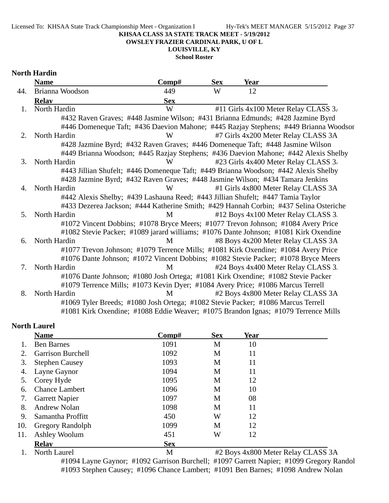Licensed To: KHSAA State Track Championship Meet - Organization I Hy-Tek's MEET MANAGER 5/15/2012 Page 37

#### **KHSAA CLASS 3A STATE TRACK MEET - 5/19/2012**

**OWSLEY FRAZIER CARDINAL PARK, U OF L**

**LOUISVILLE, KY**

**School Roster**

### **North Hardin**

|                                  | <b>Name</b>                                                                           | Comp#      | <b>Sex</b> | Year |                                      |
|----------------------------------|---------------------------------------------------------------------------------------|------------|------------|------|--------------------------------------|
| 44.                              | Brianna Woodson                                                                       | 449        | W          | 12   |                                      |
|                                  | <b>Relay</b>                                                                          | <b>Sex</b> |            |      |                                      |
| $\mathbf{1}$ .                   | North Hardin                                                                          | W          |            |      | #11 Girls 4x100 Meter Relay CLASS 3. |
|                                  | #432 Raven Graves; #448 Jasmine Wilson; #431 Brianna Edmunds; #428 Jazmine Byrd       |            |            |      |                                      |
|                                  | #446 Domeneque Taft; #436 Daevion Mahone; #445 Razjay Stephens; #449 Brianna Woodsor  |            |            |      |                                      |
| 2.                               | North Hardin                                                                          | W          |            |      | #7 Girls 4x200 Meter Relay CLASS 3A  |
|                                  | #428 Jazmine Byrd; #432 Raven Graves; #446 Domeneque Taft; #448 Jasmine Wilson        |            |            |      |                                      |
|                                  | #449 Brianna Woodson; #445 Razjay Stephens; #436 Daevion Mahone; #442 Alexis Shelby   |            |            |      |                                      |
| 3.                               | North Hardin                                                                          | W          |            |      | #23 Girls 4x400 Meter Relay CLASS 3. |
|                                  | #443 Jillian Shufelt; #446 Domeneque Taft; #449 Brianna Woodson; #442 Alexis Shelby   |            |            |      |                                      |
|                                  | #428 Jazmine Byrd; #432 Raven Graves; #448 Jasmine Wilson; #434 Tamara Jenkins        |            |            |      |                                      |
| 4.                               | North Hardin                                                                          | W          |            |      | #1 Girls 4x800 Meter Relay CLASS 3A  |
|                                  | #442 Alexis Shelby; #439 Lashauna Reed; #443 Jillian Shufelt; #447 Tamia Taylor       |            |            |      |                                      |
|                                  | #433 Dezerea Jackson; #444 Katherine Smith; #429 Hannah Corbin; #437 Selina Osteriche |            |            |      |                                      |
| 5.                               | North Hardin                                                                          | M          |            |      | #12 Boys 4x100 Meter Relay CLASS 3.  |
|                                  | #1072 Vincent Dobbins; #1078 Bryce Meers; #1077 Trevon Johnson; #1084 Avery Price     |            |            |      |                                      |
|                                  | #1082 Stevie Packer; #1089 jarard williams; #1076 Dante Johnson; #1081 Kirk Oxendine  |            |            |      |                                      |
| 6.                               | North Hardin                                                                          | M          |            |      | #8 Boys 4x200 Meter Relay CLASS 3A   |
|                                  | #1077 Trevon Johnson; #1079 Terrence Mills; #1081 Kirk Oxendine; #1084 Avery Price    |            |            |      |                                      |
|                                  | #1076 Dante Johnson; #1072 Vincent Dobbins; #1082 Stevie Packer; #1078 Bryce Meers    |            |            |      |                                      |
| $7_{\scriptscriptstyle{\ddots}}$ | North Hardin                                                                          | M          |            |      | #24 Boys 4x400 Meter Relay CLASS 3.  |
|                                  | #1076 Dante Johnson; #1080 Josh Ortega; #1081 Kirk Oxendine; #1082 Stevie Packer      |            |            |      |                                      |
|                                  | #1079 Terrence Mills; #1073 Kevin Dyer; #1084 Avery Price; #1086 Marcus Terrell       |            |            |      |                                      |
| 8.                               | North Hardin                                                                          | M          |            |      | #2 Boys 4x800 Meter Relay CLASS 3A   |
|                                  | #1069 Tyler Breeds; #1080 Josh Ortega; #1082 Stevie Packer; #1086 Marcus Terrell      |            |            |      |                                      |
|                                  | #1081 Kirk Oxendine; #1088 Eddie Weaver; #1075 Brandon Ignas; #1079 Terrence Mills    |            |            |      |                                      |

### **North Laurel**

|     | <b>Name</b>              | Comp#        | <b>Sex</b>   | Year       |                                                                   |
|-----|--------------------------|--------------|--------------|------------|-------------------------------------------------------------------|
|     | <b>Ben Barnes</b>        | 1091         | M            | 10         |                                                                   |
|     | <b>Garrison Burchell</b> | 1092         | M            | 11         |                                                                   |
| 3.  | <b>Stephen Causey</b>    | 1093         | M            | 11         |                                                                   |
| 4.  | Layne Gaynor             | 1094         | M            | 11         |                                                                   |
| 5.  | Corey Hyde               | 1095         | M            | 12         |                                                                   |
| 6.  | <b>Chance Lambert</b>    | 1096         | M            | 10         |                                                                   |
| 7.  | <b>Garrett Napier</b>    | 1097         | M            | 08         |                                                                   |
| 8.  | <b>Andrew Nolan</b>      | 1098         | M            | 11         |                                                                   |
| 9.  | Samantha Proffitt        | 450          | W            | 12         |                                                                   |
| 10. | Gregory Randolph         | 1099         | M            | 12         |                                                                   |
| 11. | Ashley Woolum            | 451          | W            | 12         |                                                                   |
|     | <b>Relav</b>             | <b>Sex</b>   |              |            |                                                                   |
|     | $\mathbf{X}$             | $\mathbf{r}$ | $\mathbf{a}$ | $\sqrt{2}$ | $\alpha$ <sup>T</sup> $\alpha$ $\alpha$ $\beta$<br>$\mathbf{r}$ 1 |

1. North Laurel M #2 Boys 4x800 Meter Relay CLASS 3A #1094 Layne Gaynor; #1092 Garrison Burchell; #1097 Garrett Napier; #1099 Gregory Randol #1093 Stephen Causey; #1096 Chance Lambert; #1091 Ben Barnes; #1098 Andrew Nolan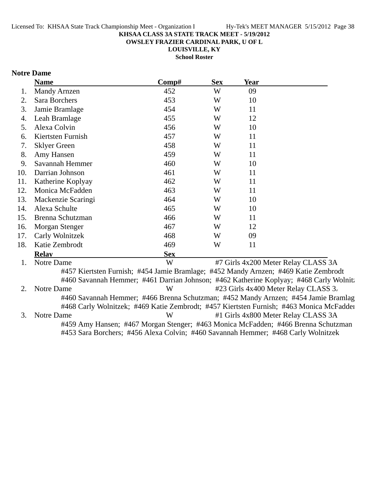**OWSLEY FRAZIER CARDINAL PARK, U OF L**

**LOUISVILLE, KY School Roster**

### **Notre Dame**

|     | <b>Name</b>                                                                         | Comp#      | <b>Sex</b> | <b>Year</b> |                                                                                                                                                                               |
|-----|-------------------------------------------------------------------------------------|------------|------------|-------------|-------------------------------------------------------------------------------------------------------------------------------------------------------------------------------|
| 1.  | <b>Mandy Arnzen</b>                                                                 | 452        | W          | 09          |                                                                                                                                                                               |
| 2.  | Sara Borchers                                                                       | 453        | W          | 10          |                                                                                                                                                                               |
| 3.  | Jamie Bramlage                                                                      | 454        | W          | 11          |                                                                                                                                                                               |
| 4.  | Leah Bramlage                                                                       | 455        | W          | 12          |                                                                                                                                                                               |
| 5.  | Alexa Colvin                                                                        | 456        | W          | 10          |                                                                                                                                                                               |
| 6.  | Kiertsten Furnish                                                                   | 457        | W          | 11          |                                                                                                                                                                               |
| 7.  | <b>Sklyer Green</b>                                                                 | 458        | W          | 11          |                                                                                                                                                                               |
| 8.  | Amy Hansen                                                                          | 459        | W          | 11          |                                                                                                                                                                               |
| 9.  | Savannah Hemmer                                                                     | 460        | W          | 10          |                                                                                                                                                                               |
| 10. | Darrian Johnson                                                                     | 461        | W          | 11          |                                                                                                                                                                               |
| 11. | Katherine Koplyay                                                                   | 462        | W          | 11          |                                                                                                                                                                               |
| 12. | Monica McFadden                                                                     | 463        | W          | 11          |                                                                                                                                                                               |
| 13. | Mackenzie Scaringi                                                                  | 464        | W          | 10          |                                                                                                                                                                               |
| 14. | Alexa Schulte                                                                       | 465        | W          | 10          |                                                                                                                                                                               |
| 15. | Brenna Schutzman                                                                    | 466        | W          | 11          |                                                                                                                                                                               |
| 16. | Morgan Stenger                                                                      | 467        | W          | 12          |                                                                                                                                                                               |
| 17. | Carly Wolnitzek                                                                     | 468        | W          | 09          |                                                                                                                                                                               |
| 18. | Katie Zembrodt                                                                      | 469        | W          | 11          |                                                                                                                                                                               |
|     | <b>Relay</b>                                                                        | <b>Sex</b> |            |             |                                                                                                                                                                               |
| 1.  | Notre Dame                                                                          | W          |            |             | #7 Girls 4x200 Meter Relay CLASS 3A                                                                                                                                           |
|     | #457 Kiertsten Furnish; #454 Jamie Bramlage; #452 Mandy Arnzen; #469 Katie Zembrodt |            |            |             |                                                                                                                                                                               |
|     |                                                                                     |            |            |             | #460 Savannah Hemmer; #461 Darrian Johnson; #462 Katherine Koplyay; #468 Carly Wolnit:                                                                                        |
| 2.  | Notre Dame                                                                          | W          |            |             | #23 Girls 4x400 Meter Relay CLASS 3.                                                                                                                                          |
|     |                                                                                     |            |            |             | #460 Savannah Hemmer; #466 Brenna Schutzman; #452 Mandy Arnzen; #454 Jamie Bramlag<br>#468 Carly Wolnitzek; #469 Katie Zembrodt; #457 Kiertsten Furnish; #463 Monica McFadder |
| 3.  | Notre Dame                                                                          | W          |            |             | #1 Girls 4x800 Meter Relay CLASS 3A                                                                                                                                           |
|     |                                                                                     |            |            |             | #459 Amy Hansen; #467 Morgan Stenger; #463 Monica McFadden; #466 Brenna Schutzman                                                                                             |
|     | #453 Sara Borchers; #456 Alexa Colvin; #460 Savannah Hemmer; #468 Carly Wolnitzek   |            |            |             |                                                                                                                                                                               |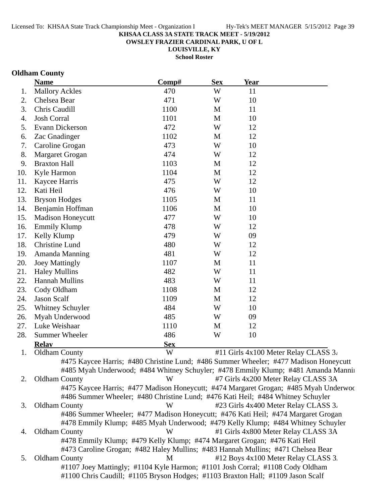**OWSLEY FRAZIER CARDINAL PARK, U OF L**

**LOUISVILLE, KY School Roster**

# **Oldham County**

|     | <b>Name</b>                                                                          | Comp#      | <b>Sex</b>  | <b>Year</b> |                                      |
|-----|--------------------------------------------------------------------------------------|------------|-------------|-------------|--------------------------------------|
| 1.  | <b>Mallory Ackles</b>                                                                | 470        | W           | 11          |                                      |
| 2.  | Chelsea Bear                                                                         | 471        | W           | 10          |                                      |
| 3.  | Chris Caudill                                                                        | 1100       | M           | 11          |                                      |
| 4.  | <b>Josh Corral</b>                                                                   | 1101       | M           | 10          |                                      |
| 5.  | Evann Dickerson                                                                      | 472        | W           | 12          |                                      |
| 6.  | Zac Gnadinger                                                                        | 1102       | M           | 12          |                                      |
| 7.  | Caroline Grogan                                                                      | 473        | W           | 10          |                                      |
| 8.  | Margaret Grogan                                                                      | 474        | W           | 12          |                                      |
| 9.  | <b>Braxton Hall</b>                                                                  | 1103       | M           | 12          |                                      |
| 10. | Kyle Harmon                                                                          | 1104       | M           | 12          |                                      |
| 11. | Kaycee Harris                                                                        | 475        | W           | 12          |                                      |
| 12. | Kati Heil                                                                            | 476        | W           | 10          |                                      |
| 13. | <b>Bryson Hodges</b>                                                                 | 1105       | M           | 11          |                                      |
| 14. | Benjamin Hoffman                                                                     | 1106       | M           | 10          |                                      |
| 15. | <b>Madison Honeycutt</b>                                                             | 477        | W           | 10          |                                      |
| 16. | <b>Emmily Klump</b>                                                                  | 478        | W           | 12          |                                      |
| 17. | Kelly Klump                                                                          | 479        | W           | 09          |                                      |
| 18. | Christine Lund                                                                       | 480        | W           | 12          |                                      |
| 19. | Amanda Manning                                                                       | 481        | W           | 12          |                                      |
| 20. | <b>Joey Mattingly</b>                                                                | 1107       | M           | 11          |                                      |
| 21. | <b>Haley Mullins</b>                                                                 | 482        | W           | 11          |                                      |
| 22. | <b>Hannah Mullins</b>                                                                | 483        | W           | 11          |                                      |
| 23. | Cody Oldham                                                                          | 1108       | M           | 12          |                                      |
| 24. | <b>Jason Scalf</b>                                                                   | 1109       | M           | 12          |                                      |
| 25. | Whitney Schuyler                                                                     | 484        | W           | 10          |                                      |
| 26. | Myah Underwood                                                                       | 485        | W           | 09          |                                      |
| 27. | Luke Weishaar                                                                        | 1110       | $\mathbf M$ | 12          |                                      |
| 28. | <b>Summer Wheeler</b>                                                                | 486        | W           | 10          |                                      |
|     | <b>Relav</b>                                                                         | <b>Sex</b> |             |             |                                      |
| 1.  | <b>Oldham County</b>                                                                 | W          |             |             | #11 Girls 4x100 Meter Relay CLASS 3. |
|     | #475 Kaycee Harris; #480 Christine Lund; #486 Summer Wheeler; #477 Madison Honeycutt |            |             |             |                                      |
|     | #485 Myah Underwood; #484 Whitney Schuyler; #478 Emmily Klump; #481 Amanda Manni     |            |             |             |                                      |
| 2.  | <b>Oldham County</b>                                                                 | W          |             |             | #7 Girls 4x200 Meter Relay CLASS 3A  |
|     | #475 Kaycee Harris; #477 Madison Honeycutt; #474 Margaret Grogan; #485 Myah Underwoo |            |             |             |                                      |
|     | #486 Summer Wheeler; #480 Christine Lund; #476 Kati Heil; #484 Whitney Schuyler      |            |             |             |                                      |
| 3.  | <b>Oldham County</b>                                                                 | W          |             |             | #23 Girls 4x400 Meter Relay CLASS 3. |
|     | #486 Summer Wheeler; #477 Madison Honeycutt; #476 Kati Heil; #474 Margaret Grogan    |            |             |             |                                      |
|     | #478 Emmily Klump; #485 Myah Underwood; #479 Kelly Klump; #484 Whitney Schuyler      |            |             |             |                                      |
| 4.  | <b>Oldham County</b>                                                                 | W          |             |             | #1 Girls 4x800 Meter Relay CLASS 3A  |
|     | #478 Emmily Klump; #479 Kelly Klump; #474 Margaret Grogan; #476 Kati Heil            |            |             |             |                                      |
|     | #473 Caroline Grogan; #482 Haley Mullins; #483 Hannah Mullins; #471 Chelsea Bear     |            |             |             |                                      |
| 5.  | <b>Oldham County</b>                                                                 | M          |             |             | #12 Boys 4x100 Meter Relay CLASS 3.  |
|     | #1107 Joey Mattingly; #1104 Kyle Harmon; #1101 Josh Corral; #1108 Cody Oldham        |            |             |             |                                      |
|     | #1100 Chris Caudill; #1105 Bryson Hodges; #1103 Braxton Hall; #1109 Jason Scalf      |            |             |             |                                      |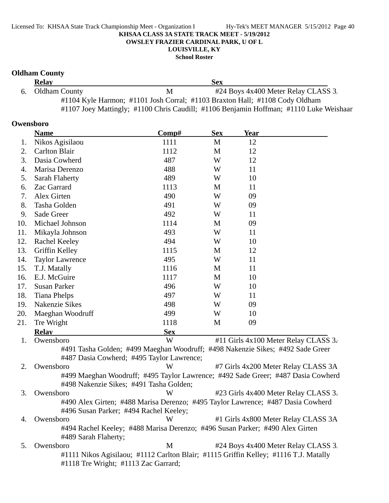**School Roster**

### **Oldham County**

| <b>Relay</b>     |   | <b>Sex</b>                                                                             |
|------------------|---|----------------------------------------------------------------------------------------|
| 6. Oldham County | M | #24 Boys 4x400 Meter Relay CLASS 3.                                                    |
|                  |   | #1104 Kyle Harmon; #1101 Josh Corral; #1103 Braxton Hall; #1108 Cody Oldham            |
|                  |   | #1107 Joey Mattingly; #1100 Chris Caudill; #1106 Benjamin Hoffman; #1110 Luke Weishaar |

#### **Owensboro**

|     | <b>Name</b>                                                                          | Comp#      | <b>Sex</b> | <b>Year</b> |                                      |
|-----|--------------------------------------------------------------------------------------|------------|------------|-------------|--------------------------------------|
| 1.  | Nikos Agisilaou                                                                      | 1111       | M          | 12          |                                      |
| 2.  | <b>Carlton Blair</b>                                                                 | 1112       | M          | 12          |                                      |
| 3.  | Dasia Cowherd                                                                        | 487        | W          | 12          |                                      |
| 4.  | Marisa Derenzo                                                                       | 488        | W          | 11          |                                      |
| 5.  | <b>Sarah Flaherty</b>                                                                | 489        | W          | 10          |                                      |
| 6.  | Zac Garrard                                                                          | 1113       | M          | 11          |                                      |
| 7.  | Alex Girten                                                                          | 490        | W          | 09          |                                      |
| 8.  | Tasha Golden                                                                         | 491        | W          | 09          |                                      |
| 9.  | Sade Greer                                                                           | 492        | W          | 11          |                                      |
| 10. | Michael Johnson                                                                      | 1114       | M          | 09          |                                      |
| 11. | Mikayla Johnson                                                                      | 493        | W          | 11          |                                      |
| 12. | Rachel Keeley                                                                        | 494        | W          | 10          |                                      |
| 13. | Griffin Kelley                                                                       | 1115       | M          | 12          |                                      |
| 14. | <b>Taylor Lawrence</b>                                                               | 495        | W          | 11          |                                      |
| 15. | T.J. Matally                                                                         | 1116       | M          | 11          |                                      |
| 16. | E.J. McGuire                                                                         | 1117       | M          | 10          |                                      |
| 17. | <b>Susan Parker</b>                                                                  | 496        | W          | 10          |                                      |
| 18. | <b>Tiana Phelps</b>                                                                  | 497        | W          | 11          |                                      |
| 19. | Nakenzie Sikes                                                                       | 498        | W          | 09          |                                      |
| 20. | Maeghan Woodruff                                                                     | 499        | W          | 10          |                                      |
| 21. | Tre Wright                                                                           | 1118       | M          | 09          |                                      |
|     | <b>Relay</b>                                                                         | <b>Sex</b> |            |             |                                      |
| 1.  | Owensboro                                                                            | W          |            |             | #11 Girls 4x100 Meter Relay CLASS 3. |
|     | #491 Tasha Golden; #499 Maeghan Woodruff; #498 Nakenzie Sikes; #492 Sade Greer       |            |            |             |                                      |
|     | #487 Dasia Cowherd; #495 Taylor Lawrence;                                            |            |            |             |                                      |
| 2.  | Owensboro                                                                            | W          |            |             | #7 Girls 4x200 Meter Relay CLASS 3A  |
|     | #499 Maeghan Woodruff; #495 Taylor Lawrence; #492 Sade Greer; #487 Dasia Cowherd     |            |            |             |                                      |
|     | #498 Nakenzie Sikes; #491 Tasha Golden;                                              |            |            |             |                                      |
| 3.  | Owensboro                                                                            | W          |            |             | #23 Girls 4x400 Meter Relay CLASS 3. |
|     | #490 Alex Girten; #488 Marisa Derenzo; #495 Taylor Lawrence; #487 Dasia Cowherd      |            |            |             |                                      |
|     | #496 Susan Parker; #494 Rachel Keeley;                                               |            |            |             |                                      |
| 4.  | Owensboro                                                                            | W          |            |             | #1 Girls 4x800 Meter Relay CLASS 3A  |
|     | #494 Rachel Keeley; #488 Marisa Derenzo; #496 Susan Parker; #490 Alex Girten         |            |            |             |                                      |
|     | #489 Sarah Flaherty;                                                                 |            |            |             |                                      |
| 5.  | Owensboro                                                                            | M          |            |             | #24 Boys 4x400 Meter Relay CLASS 3.  |
|     | #1111 Nikos Agisilaou; #1112 Carlton Blair; #1115 Griffin Kelley; #1116 T.J. Matally |            |            |             |                                      |
|     | #1118 Tre Wright; #1113 Zac Garrard;                                                 |            |            |             |                                      |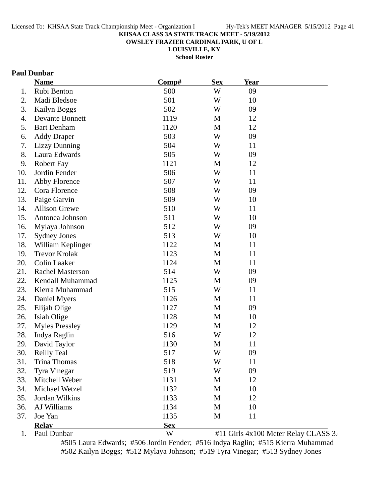**OWSLEY FRAZIER CARDINAL PARK, U OF L**

**LOUISVILLE, KY**

**School Roster**

### **Paul Dunbar**

|     | <b>Name</b>             | Comp#      | <b>Sex</b> | <b>Year</b> |                                      |
|-----|-------------------------|------------|------------|-------------|--------------------------------------|
| 1.  | Rubi Benton             | 500        | W          | 09          |                                      |
| 2.  | Madi Bledsoe            | 501        | W          | 10          |                                      |
| 3.  | <b>Kailyn Boggs</b>     | 502        | W          | 09          |                                      |
| 4.  | <b>Devante Bonnett</b>  | 1119       | M          | 12          |                                      |
| 5.  | <b>Bart Denham</b>      | 1120       | M          | 12          |                                      |
| 6.  | <b>Addy Draper</b>      | 503        | W          | 09          |                                      |
| 7.  | <b>Lizzy Dunning</b>    | 504        | W          | 11          |                                      |
| 8.  | Laura Edwards           | 505        | W          | 09          |                                      |
| 9.  | <b>Robert Fay</b>       | 1121       | M          | 12          |                                      |
| 10. | Jordin Fender           | 506        | W          | 11          |                                      |
| 11. | Abby Florence           | 507        | W          | 11          |                                      |
| 12. | Cora Florence           | 508        | W          | 09          |                                      |
| 13. | Paige Garvin            | 509        | W          | 10          |                                      |
| 14. | <b>Allison Grewe</b>    | 510        | W          | 11          |                                      |
| 15. | Antonea Johnson         | 511        | W          | 10          |                                      |
| 16. | Mylaya Johnson          | 512        | W          | 09          |                                      |
| 17. | <b>Sydney Jones</b>     | 513        | W          | 10          |                                      |
| 18. | William Keplinger       | 1122       | M          | 11          |                                      |
| 19. | <b>Trevor Krolak</b>    | 1123       | M          | 11          |                                      |
| 20. | <b>Colin Laaker</b>     | 1124       | M          | 11          |                                      |
| 21. | <b>Rachel Masterson</b> | 514        | W          | 09          |                                      |
| 22. | Kendall Muhammad        | 1125       | M          | 09          |                                      |
| 23. | Kierra Muhammad         | 515        | W          | 11          |                                      |
| 24. | Daniel Myers            | 1126       | M          | 11          |                                      |
| 25. | Elijah Olige            | 1127       | M          | 09          |                                      |
| 26. | Isiah Olige             | 1128       | M          | 10          |                                      |
| 27. | <b>Myles Pressley</b>   | 1129       | M          | 12          |                                      |
| 28. | Indya Raglin            | 516        | W          | 12          |                                      |
| 29. | David Taylor            | 1130       | M          | 11          |                                      |
| 30. | <b>Reilly Teal</b>      | 517        | W          | 09          |                                      |
| 31. | <b>Trina Thomas</b>     | 518        | W          | 11          |                                      |
| 32. | Tyra Vinegar            | 519        | W          | 09          |                                      |
| 33. | Mitchell Weber          | 1131       | M          | 12          |                                      |
| 34. | Michael Wetzel          | 1132       | M          | 10          |                                      |
| 35. | Jordan Wilkins          | 1133       | M          | 12          |                                      |
| 36. | AJ Williams             | 1134       | M          | 10          |                                      |
| 37. | Joe Yan                 | 1135       | M          | 11          |                                      |
|     | <b>Relay</b>            | <b>Sex</b> |            |             |                                      |
| 1.  | Paul Dunbar             | W          |            |             | #11 Girls 4x100 Meter Relay CLASS 3. |

#505 Laura Edwards; #506 Jordin Fender; #516 Indya Raglin; #515 Kierra Muhammad #502 Kailyn Boggs; #512 Mylaya Johnson; #519 Tyra Vinegar; #513 Sydney Jones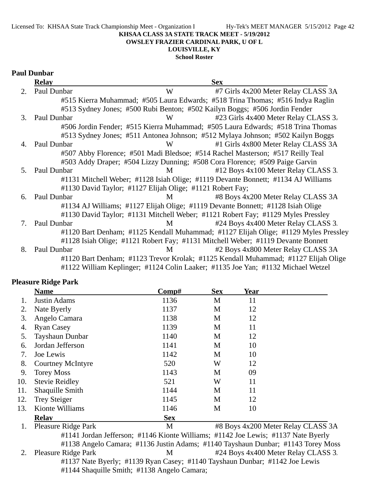Licensed To: KHSAA State Track Championship Meet - Organization I Hy-Tek's MEET MANAGER 5/15/2012 Page 42

#### **KHSAA CLASS 3A STATE TRACK MEET - 5/19/2012**

**OWSLEY FRAZIER CARDINAL PARK, U OF L**

### **LOUISVILLE, KY**

**School Roster**

### **Paul Dunbar**

|                             | <b>Relay</b>   |                                                           | <b>Sex</b>                                                                          |
|-----------------------------|----------------|-----------------------------------------------------------|-------------------------------------------------------------------------------------|
| $\mathcal{D}_{\mathcal{L}}$ | Paul Dunbar    | W                                                         | #7 Girls 4x200 Meter Relay CLASS 3A                                                 |
|                             |                |                                                           | #515 Kierra Muhammad; #505 Laura Edwards; #518 Trina Thomas; #516 Indya Raglin      |
|                             |                |                                                           | #513 Sydney Jones; #500 Rubi Benton; #502 Kailyn Boggs; #506 Jordin Fender          |
| 3.                          | Paul Dunbar    | W                                                         | #23 Girls 4x400 Meter Relay CLASS 3.                                                |
|                             |                |                                                           | #506 Jordin Fender; #515 Kierra Muhammad; #505 Laura Edwards; #518 Trina Thomas     |
|                             |                |                                                           | #513 Sydney Jones; #511 Antonea Johnson; #512 Mylaya Johnson; #502 Kailyn Boggs     |
| 4.                          | Paul Dunbar    | W                                                         | #1 Girls 4x800 Meter Relay CLASS 3A                                                 |
|                             |                |                                                           | #507 Abby Florence; #501 Madi Bledsoe; #514 Rachel Masterson; #517 Reilly Teal      |
|                             |                |                                                           | #503 Addy Draper; #504 Lizzy Dunning; #508 Cora Florence; #509 Paige Garvin         |
|                             | 5. Paul Dunbar | M                                                         | #12 Boys 4x100 Meter Relay CLASS 3.                                                 |
|                             |                |                                                           | #1131 Mitchell Weber; #1128 Isiah Olige; #1119 Devante Bonnett; #1134 AJ Williams   |
|                             |                | #1130 David Taylor; #1127 Elijah Olige; #1121 Robert Fay; |                                                                                     |
| 6.                          | Paul Dunbar    | M                                                         | #8 Boys 4x200 Meter Relay CLASS 3A                                                  |
|                             |                |                                                           | #1134 AJ Williams; #1127 Elijah Olige; #1119 Devante Bonnett; #1128 Isiah Olige     |
|                             |                |                                                           | #1130 David Taylor; #1131 Mitchell Weber; #1121 Robert Fay; #1129 Myles Pressley    |
| 7.                          | Paul Dunbar    | M                                                         | #24 Boys 4x400 Meter Relay CLASS 3.                                                 |
|                             |                |                                                           | #1120 Bart Denham; #1125 Kendall Muhammad; #1127 Elijah Olige; #1129 Myles Pressley |
|                             |                |                                                           | #1128 Isiah Olige; #1121 Robert Fay; #1131 Mitchell Weber; #1119 Devante Bonnett    |
| 8.                          | Paul Dunbar    | M                                                         | #2 Boys 4x800 Meter Relay CLASS 3A                                                  |
|                             |                |                                                           | #1120 Bart Denham; #1123 Trevor Krolak; #1125 Kendall Muhammad; #1127 Elijah Olige  |
|                             |                |                                                           | #1122 William Keplinger; #1124 Colin Laaker; #1135 Joe Yan; #1132 Michael Wetzel    |

#### **Pleasure Ridge Park**

|     | <b>Name</b>                | Comp#                                                                             | <b>Sex</b> | <b>Year</b> |                                    |
|-----|----------------------------|-----------------------------------------------------------------------------------|------------|-------------|------------------------------------|
|     | <b>Justin Adams</b>        | 1136                                                                              | M          | 11          |                                    |
| 2.  | Nate Byerly                | 1137                                                                              | M          | 12          |                                    |
| 3.  | Angelo Camara              | 1138                                                                              | M          | 12          |                                    |
| 4.  | <b>Ryan Casey</b>          | 1139                                                                              | M          | 11          |                                    |
| 5.  | Tayshaun Dunbar            | 1140                                                                              | M          | 12          |                                    |
| 6.  | Jordan Jefferson           | 1141                                                                              | M          | 10          |                                    |
| 7.  | Joe Lewis                  | 1142                                                                              | M          | 10          |                                    |
| 8.  | <b>Courtney McIntyre</b>   | 520                                                                               | W          | 12          |                                    |
| 9.  | <b>Torey Moss</b>          | 1143                                                                              | M          | 09          |                                    |
| 10. | <b>Stevie Reidley</b>      | 521                                                                               | W          | 11          |                                    |
| 11. | Shaquille Smith            | 1144                                                                              | M          | 11          |                                    |
| 12. | Trey Steiger               | 1145                                                                              | M          | 12          |                                    |
| 13. | Kionte Williams            | 1146                                                                              | M          | 10          |                                    |
|     | <b>Relay</b>               | <b>Sex</b>                                                                        |            |             |                                    |
| 1.  | <b>Pleasure Ridge Park</b> | M                                                                                 |            |             | #8 Boys 4x200 Meter Relay CLASS 3A |
|     |                            | #1141 Jordan Jefferson; #1146 Kionte Williams; #1142 Joe Lewis; #1137 Nate Byerly |            |             |                                    |

#1138 Angelo Camara; #1136 Justin Adams; #1140 Tayshaun Dunbar; #1143 Torey Moss 2. Pleasure Ridge Park M#24 Boys 4x400 Meter Relay CLASS 3. #1137 Nate Byerly; #1139 Ryan Casey; #1140 Tayshaun Dunbar; #1142 Joe Lewis #1144 Shaquille Smith; #1138 Angelo Camara;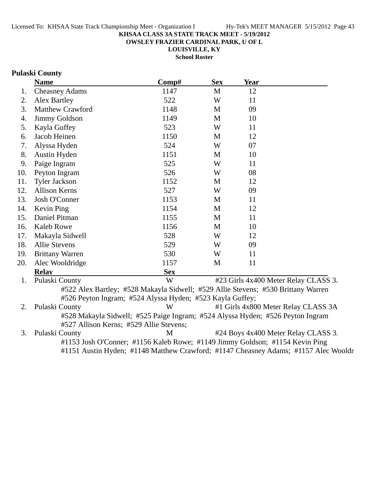**OWSLEY FRAZIER CARDINAL PARK, U OF L**

**LOUISVILLE, KY**

**School Roster**

### **Pulaski County**

|     | <b>Name</b>            | Comp#                                                     | <b>Sex</b>   | <b>Year</b>                                                                       |  |
|-----|------------------------|-----------------------------------------------------------|--------------|-----------------------------------------------------------------------------------|--|
| 1.  | <b>Cheasney Adams</b>  | 1147                                                      | $\mathbf{M}$ | 12                                                                                |  |
| 2.  | Alex Bartley           | 522                                                       | W            | 11                                                                                |  |
| 3.  | Matthew Crawford       | 1148                                                      | M            | 09                                                                                |  |
| 4.  | Jimmy Goldson          | 1149                                                      | M            | 10                                                                                |  |
| 5.  | Kayla Guffey           | 523                                                       | W            | 11                                                                                |  |
| 6.  | Jacob Heinen           | 1150                                                      | M            | 12                                                                                |  |
| 7.  | Alyssa Hyden           | 524                                                       | W            | 07                                                                                |  |
| 8.  | Austin Hyden           | 1151                                                      | M            | 10                                                                                |  |
| 9.  | Paige Ingram           | 525                                                       | W            | 11                                                                                |  |
| 10. | Peyton Ingram          | 526                                                       | W            | 08                                                                                |  |
| 11. | <b>Tyler Jackson</b>   | 1152                                                      | M            | 12                                                                                |  |
| 12. | <b>Allison Kerns</b>   | 527                                                       | W            | 09                                                                                |  |
| 13. | Josh O'Conner          | 1153                                                      | M            | 11                                                                                |  |
| 14. | Kevin Ping             | 1154                                                      | M            | 12                                                                                |  |
| 15. | Daniel Pitman          | 1155                                                      | M            | 11                                                                                |  |
| 16. | Kaleb Rowe             | 1156                                                      | M            | 10                                                                                |  |
| 17. | Makayla Sidwell        | 528                                                       | W            | 12                                                                                |  |
| 18. | <b>Allie Stevens</b>   | 529                                                       | W            | 09                                                                                |  |
| 19. | <b>Brittany Warren</b> | 530                                                       | W            | 11                                                                                |  |
| 20. | Alec Wooldridge        | 1157                                                      | M            | 11                                                                                |  |
|     | <b>Relay</b>           | <b>Sex</b>                                                |              |                                                                                   |  |
| 1.  | Pulaski County         | W                                                         |              | #23 Girls 4x400 Meter Relay CLASS 3.                                              |  |
|     |                        |                                                           |              | #522 Alex Bartley; #528 Makayla Sidwell; #529 Allie Stevens; #530 Brittany Warren |  |
|     |                        | #526 Peyton Ingram; #524 Alyssa Hyden; #523 Kayla Guffey; |              |                                                                                   |  |
| 2.  | Pulaski County         | W                                                         |              | #1 Girls 4x800 Meter Relay CLASS 3A                                               |  |
|     |                        |                                                           |              | #528 Makayla Sidwell; #525 Paige Ingram; #524 Alyssa Hyden; #526 Peyton Ingram    |  |

#527 Allison Kerns; #529 Allie Stevens; 3. Pulaski County M  $#24$  Boys 4x400 Meter Relay CLASS 3. #1153 Josh O'Conner; #1156 Kaleb Rowe; #1149 Jimmy Goldson; #1154 Kevin Ping #1151 Austin Hyden; #1148 Matthew Crawford; #1147 Cheasney Adams; #1157 Alec Wooldri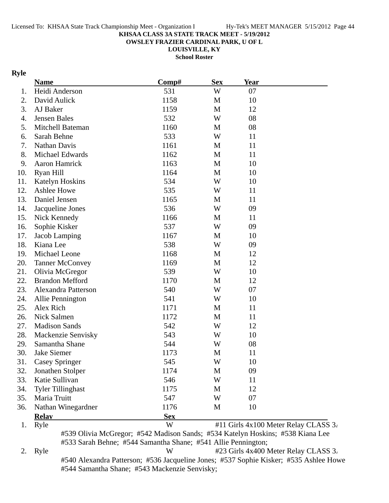**OWSLEY FRAZIER CARDINAL PARK, U OF L**

**LOUISVILLE, KY**

**School Roster**

### **Ryle**

|     | <b>Name</b>                                                                           | Comp#      | <b>Sex</b>   | <b>Year</b> |                                      |
|-----|---------------------------------------------------------------------------------------|------------|--------------|-------------|--------------------------------------|
| 1.  | Heidi Anderson                                                                        | 531        | W            | 07          |                                      |
| 2.  | David Aulick                                                                          | 1158       | M            | 10          |                                      |
| 3.  | AJ Baker                                                                              | 1159       | $\mathbf{M}$ | 12          |                                      |
| 4.  | <b>Jensen Bales</b>                                                                   | 532        | W            | 08          |                                      |
| 5.  | Mitchell Bateman                                                                      | 1160       | M            | 08          |                                      |
| 6.  | Sarah Behne                                                                           | 533        | W            | 11          |                                      |
| 7.  | Nathan Davis                                                                          | 1161       | M            | 11          |                                      |
| 8.  | Michael Edwards                                                                       | 1162       | M            | 11          |                                      |
| 9.  | <b>Aaron Hamrick</b>                                                                  | 1163       | M            | 10          |                                      |
| 10. | Ryan Hill                                                                             | 1164       | M            | 10          |                                      |
| 11. | <b>Katelyn Hoskins</b>                                                                | 534        | W            | 10          |                                      |
| 12. | Ashlee Howe                                                                           | 535        | W            | 11          |                                      |
| 13. | Daniel Jensen                                                                         | 1165       | M            | 11          |                                      |
| 14. | Jacqueline Jones                                                                      | 536        | W            | 09          |                                      |
| 15. | Nick Kennedy                                                                          | 1166       | M            | 11          |                                      |
| 16. | Sophie Kisker                                                                         | 537        | W            | 09          |                                      |
| 17. | Jacob Lamping                                                                         | 1167       | M            | 10          |                                      |
| 18. | Kiana Lee                                                                             | 538        | W            | 09          |                                      |
| 19. | Michael Leone                                                                         | 1168       | M            | 12          |                                      |
| 20. | <b>Tanner McConvey</b>                                                                | 1169       | M            | 12          |                                      |
| 21. | Olivia McGregor                                                                       | 539        | W            | 10          |                                      |
| 22. | <b>Brandon Mefford</b>                                                                | 1170       | M            | 12          |                                      |
| 23. | Alexandra Patterson                                                                   | 540        | W            | 07          |                                      |
| 24. | Allie Pennington                                                                      | 541        | W            | 10          |                                      |
| 25. | Alex Rich                                                                             | 1171       | $\mathbf{M}$ | 11          |                                      |
| 26. | Nick Salmen                                                                           | 1172       | M            | 11          |                                      |
| 27. | <b>Madison Sands</b>                                                                  | 542        | W            | 12          |                                      |
| 28. | Mackenzie Senvisky                                                                    | 543        | W            | 10          |                                      |
| 29. | Samantha Shane                                                                        | 544        | W            | 08          |                                      |
| 30. | Jake Siemer                                                                           | 1173       | M            | 11          |                                      |
| 31. | <b>Casey Springer</b>                                                                 | 545        | W            | 10          |                                      |
| 32. | Jonathen Stolper                                                                      | 1174       | M            | 09          |                                      |
| 33. | Katie Sullivan                                                                        | 546        | W            | 11          |                                      |
| 34. | <b>Tyler Tillinghast</b>                                                              | 1175       | M            | 12          |                                      |
| 35. | Maria Truitt                                                                          | 547        | W            | 07          |                                      |
| 36. | Nathan Winegardner                                                                    | 1176       | M            | 10          |                                      |
|     | <b>Relay</b>                                                                          | <b>Sex</b> |              |             |                                      |
| 1.  | Ryle                                                                                  | W          |              |             | #11 Girls 4x100 Meter Relay CLASS 3. |
|     | #539 Olivia McGregor; #542 Madison Sands; #534 Katelyn Hoskins; #538 Kiana Lee        |            |              |             |                                      |
|     | #533 Sarah Behne; #544 Samantha Shane; #541 Allie Pennington;                         |            |              |             |                                      |
| 2.  | Ryle                                                                                  | W          |              |             | #23 Girls 4x400 Meter Relay CLASS 3. |
|     | #540 Alexandra Patterson; #536 Jacqueline Jones; #537 Sophie Kisker; #535 Ashlee Howe |            |              |             |                                      |

#544 Samantha Shane; #543 Mackenzie Senvisky;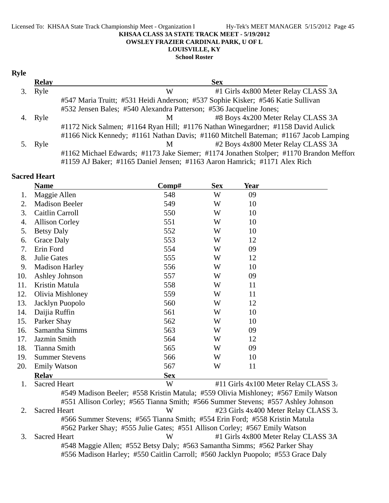#### Licensed To: KHSAA State Track Championship Meet - Organization I Hy-Tek's MEET MANAGER 5/15/2012 Page 45 **KHSAA CLASS 3A STATE TRACK MEET - 5/19/2012 OWSLEY FRAZIER CARDINAL PARK, U OF L LOUISVILLE, KY**

**School Roster**

#### **Ryle**

| <b>Relay</b> | <b>Sex</b>                                                                              |
|--------------|-----------------------------------------------------------------------------------------|
| Ryle         | #1 Girls 4x800 Meter Relay CLASS 3A<br>W                                                |
|              | #547 Maria Truitt; #531 Heidi Anderson; #537 Sophie Kisker; #546 Katie Sullivan         |
|              | #532 Jensen Bales; #540 Alexandra Patterson; #536 Jacqueline Jones;                     |
| Ryle         | #8 Boys 4x200 Meter Relay CLASS 3A<br>M                                                 |
|              | #1172 Nick Salmen; #1164 Ryan Hill; #1176 Nathan Winegardner; #1158 David Aulick        |
|              | #1166 Nick Kennedy; #1161 Nathan Davis; #1160 Mitchell Bateman; #1167 Jacob Lamping     |
| Ryle         | #2 Boys 4x800 Meter Relay CLASS 3A<br>M                                                 |
|              | #1162 Michael Edwards; #1173 Jake Siemer; #1174 Jonathen Stolper; #1170 Brandon Mefford |
|              | #1159 AJ Baker; #1165 Daniel Jensen; #1163 Aaron Hamrick; #1171 Alex Rich               |

### **Sacred Heart**

|     | <b>Name</b>           | Comp#      | <b>Sex</b> | <u>Year</u> |  |
|-----|-----------------------|------------|------------|-------------|--|
| 1.  | Maggie Allen          | 548        | W          | 09          |  |
| 2.  | <b>Madison Beeler</b> | 549        | W          | 10          |  |
| 3.  | Caitlin Carroll       | 550        | W          | 10          |  |
| 4.  | <b>Allison Corley</b> | 551        | W          | 10          |  |
| 5.  | <b>Betsy Daly</b>     | 552        | W          | 10          |  |
| 6.  | <b>Grace Daly</b>     | 553        | W          | 12          |  |
| 7.  | Erin Ford             | 554        | W          | 09          |  |
| 8.  | Julie Gates           | 555        | W          | 12          |  |
| 9.  | <b>Madison Harley</b> | 556        | W          | 10          |  |
| 10. | Ashley Johnson        | 557        | W          | 09          |  |
| 11. | Kristin Matula        | 558        | W          | 11          |  |
| 12. | Olivia Mishloney      | 559        | W          | 11          |  |
| 13. | Jacklyn Puopolo       | 560        | W          | 12          |  |
| 14. | Daijia Ruffin         | 561        | W          | 10          |  |
| 15. | Parker Shay           | 562        | W          | 10          |  |
| 16. | Samantha Simms        | 563        | W          | 09          |  |
| 17. | Jazmin Smith          | 564        | W          | 12          |  |
| 18. | Tianna Smith          | 565        | W          | 09          |  |
| 19. | <b>Summer Stevens</b> | 566        | W          | 10          |  |
| 20. | <b>Emily Watson</b>   | 567        | W          | 11          |  |
|     | <b>Relay</b>          | <b>Sex</b> |            |             |  |

1. Sacred Heart W  $\#11$  Girls  $4x100$  Meter Relay CLASS 3. #549 Madison Beeler; #558 Kristin Matula; #559 Olivia Mishloney; #567 Emily Watson #551 Allison Corley; #565 Tianna Smith; #566 Summer Stevens; #557 Ashley Johnson 2. Sacred Heart **123 Girls 4x400 Meter Relay CLASS** 3. #566 Summer Stevens; #565 Tianna Smith; #554 Erin Ford; #558 Kristin Matula #562 Parker Shay; #555 Julie Gates; #551 Allison Corley; #567 Emily Watson 3. Sacred Heart W #1 Girls 4x800 Meter Relay CLASS 3A #548 Maggie Allen; #552 Betsy Daly; #563 Samantha Simms; #562 Parker Shay #556 Madison Harley; #550 Caitlin Carroll; #560 Jacklyn Puopolo; #553 Grace Daly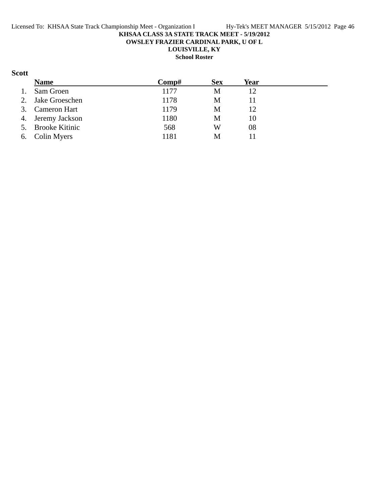**OWSLEY FRAZIER CARDINAL PARK, U OF L**

**LOUISVILLE, KY**

**School Roster**

### **Scott**

|    | <b>Name</b>       | Comp# | <b>Sex</b> | Year |  |
|----|-------------------|-------|------------|------|--|
| 1. | Sam Groen         | 1177  | M          | 12   |  |
|    | 2. Jake Groeschen | 1178  | M          | 11   |  |
|    | 3. Cameron Hart   | 1179  | M          | 12   |  |
|    | 4. Jeremy Jackson | 1180  | М          | 10   |  |
|    | 5. Brooke Kitinic | 568   | W          | 08   |  |
|    | 6. Colin Myers    | 1181  | M          |      |  |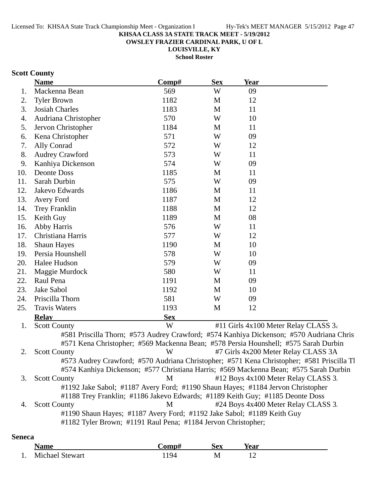**OWSLEY FRAZIER CARDINAL PARK, U OF L**

**LOUISVILLE, KY**

**School Roster**

### **Scott County**

|     | <b>Name</b>                                                                               | Comp#      | <b>Sex</b> | Year                                 |  |
|-----|-------------------------------------------------------------------------------------------|------------|------------|--------------------------------------|--|
| 1.  | Mackenna Bean                                                                             | 569        | W          | 09                                   |  |
| 2.  | <b>Tyler Brown</b>                                                                        | 1182       | M          | 12                                   |  |
| 3.  | <b>Josiah Charles</b>                                                                     | 1183       | M          | 11                                   |  |
| 4.  | Audriana Christopher                                                                      | 570        | W          | 10                                   |  |
| 5.  | Jervon Christopher                                                                        | 1184       | M          | 11                                   |  |
| 6.  | Kena Christopher                                                                          | 571        | W          | 09                                   |  |
| 7.  | Ally Conrad                                                                               | 572        | W          | 12                                   |  |
| 8.  | <b>Audrey Crawford</b>                                                                    | 573        | W          | 11                                   |  |
| 9.  | Kanhiya Dickenson                                                                         | 574        | W          | 09                                   |  |
| 10. | <b>Deonte Doss</b>                                                                        | 1185       | M          | 11                                   |  |
| 11. | Sarah Durbin                                                                              | 575        | W          | 09                                   |  |
| 12. | Jakevo Edwards                                                                            | 1186       | M          | 11                                   |  |
| 13. | Avery Ford                                                                                | 1187       | M          | 12                                   |  |
| 14. | <b>Trey Franklin</b>                                                                      | 1188       | M          | 12                                   |  |
| 15. | Keith Guy                                                                                 | 1189       | M          | 08                                   |  |
| 16. | Abby Harris                                                                               | 576        | W          | 11                                   |  |
| 17. | Christiana Harris                                                                         | 577        | W          | 12                                   |  |
| 18. | <b>Shaun Hayes</b>                                                                        | 1190       | M          | 10                                   |  |
| 19. | Persia Hounshell                                                                          | 578        | W          | 10                                   |  |
| 20. | Halee Hudson                                                                              | 579        | W          | 09                                   |  |
| 21. | Maggie Murdock                                                                            | 580        | W          | 11                                   |  |
| 22. | Raul Pena                                                                                 | 1191       | M          | 09                                   |  |
| 23. | Jake Sabol                                                                                | 1192       | M          | 10                                   |  |
| 24. | Priscilla Thorn                                                                           | 581        | W          | 09                                   |  |
| 25. | <b>Travis Waters</b>                                                                      | 1193       | M          | 12                                   |  |
|     | <b>Relav</b>                                                                              | <b>Sex</b> |            |                                      |  |
| 1.  | <b>Scott County</b>                                                                       | W          |            | #11 Girls 4x100 Meter Relay CLASS 3. |  |
|     | #581 Priscilla Thorn; #573 Audrey Crawford; #574 Kanhiya Dickenson; #570 Audriana Chris   |            |            |                                      |  |
|     | #571 Kena Christopher; #569 Mackenna Bean; #578 Persia Hounshell; #575 Sarah Durbin       |            |            |                                      |  |
| 2.  | <b>Scott County</b>                                                                       | W          |            | #7 Girls 4x200 Meter Relay CLASS 3A  |  |
|     | #573 Audrey Crawford; #570 Audriana Christopher; #571 Kena Christopher; #581 Priscilla Tl |            |            |                                      |  |
|     | #574 Kanhiya Dickenson; #577 Christiana Harris; #569 Mackenna Bean; #575 Sarah Durbin     |            |            |                                      |  |
| 3.  | <b>Scott County</b>                                                                       | M          |            | #12 Boys 4x100 Meter Relay CLASS 3.  |  |
|     | #1192 Jake Sabol; #1187 Avery Ford; #1190 Shaun Hayes; #1184 Jervon Christopher           |            |            |                                      |  |
|     | #1188 Trey Franklin; #1186 Jakevo Edwards; #1189 Keith Guy; #1185 Deonte Doss             |            |            |                                      |  |
| 4.  | <b>Scott County</b>                                                                       | M          |            | #24 Boys 4x400 Meter Relay CLASS 3.  |  |
|     | #1190 Shaun Hayes; #1187 Avery Ford; #1192 Jake Sabol; #1189 Keith Guy                    |            |            |                                      |  |
|     | #1182 Tyler Brown; #1191 Raul Pena; #1184 Jervon Christopher;                             |            |            |                                      |  |
|     |                                                                                           |            |            |                                      |  |

### **Seneca**

|     | √ame            | `omp# | Sex | rear |
|-----|-----------------|-------|-----|------|
| . . | Michael Stewart | QΔ    | M   | --   |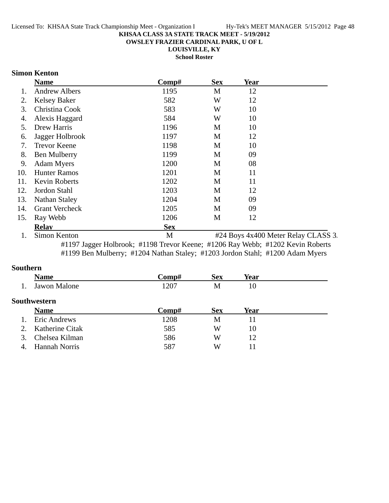**OWSLEY FRAZIER CARDINAL PARK, U OF L**

**LOUISVILLE, KY School Roster**

### **Simon Kenton**

|     | <b>Name</b>           | Comp#      | <b>Sex</b>        | <b>Year</b> |                       |
|-----|-----------------------|------------|-------------------|-------------|-----------------------|
| 1.  | <b>Andrew Albers</b>  | 1195       | M                 | 12          |                       |
| 2.  | <b>Kelsey Baker</b>   | 582        | W                 | 12          |                       |
| 3.  | Christina Cook        | 583        | W                 | 10          |                       |
| 4.  | Alexis Haggard        | 584        | W                 | 10          |                       |
| 5.  | Drew Harris           | 1196       | M                 | 10          |                       |
| 6.  | Jagger Holbrook       | 1197       | M                 | 12          |                       |
| 7.  | <b>Trevor Keene</b>   | 1198       | M                 | 10          |                       |
| 8.  | Ben Mulberry          | 1199       | M                 | 09          |                       |
| 9.  | <b>Adam Myers</b>     | 1200       | M                 | 08          |                       |
| 10. | <b>Hunter Ramos</b>   | 1201       | M                 | 11          |                       |
| 11. | <b>Kevin Roberts</b>  | 1202       | M                 | 11          |                       |
| 12. | Jordon Stahl          | 1203       | M                 | 12          |                       |
| 13. | <b>Nathan Staley</b>  | 1204       | M                 | 09          |                       |
| 14. | <b>Grant Vercheck</b> | 1205       | M                 | 09          |                       |
| 15. | Ray Webb              | 1206       | M                 | 12          |                       |
|     | <b>Relay</b>          | <b>Sex</b> |                   |             |                       |
|     | $\sim$ .              |            | $\cdots$ $\cdots$ |             | $-1$<br>$\sim$ $\sim$ |

1. Simon Kenton M #24 Boys 4x400 Meter Relay CLASS 3. #1197 Jagger Holbrook; #1198 Trevor Keene; #1206 Ray Webb; #1202 Kevin Roberts #1199 Ben Mulberry; #1204 Nathan Staley; #1203 Jordon Stahl; #1200 Adam Myers

#### **Southern**

|         | <b>Name</b>          | Comp# | <b>Sex</b> | Year |  |
|---------|----------------------|-------|------------|------|--|
|         | Jawon Malone         | 1207  | М          | 10   |  |
|         | <b>Southwestern</b>  |       |            |      |  |
|         | <b>Name</b>          | Comp# | <b>Sex</b> | Year |  |
| $1_{-}$ | Eric Andrews         | 1208  | M          | 11   |  |
| 2.      | Katherine Citak      | 585   | W          | 10   |  |
|         | Chelsea Kilman       | 586   | W          | 12   |  |
| 4       | <b>Hannah Norris</b> | 587   | W          | 11   |  |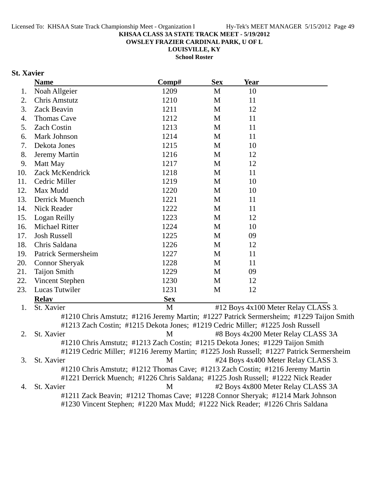**OWSLEY FRAZIER CARDINAL PARK, U OF L**

**LOUISVILLE, KY**

**School Roster**

### **St. Xavier**

|     | <b>Name</b>                                                                      | Comp#      | <b>Sex</b>   | Year |                                                                                         |
|-----|----------------------------------------------------------------------------------|------------|--------------|------|-----------------------------------------------------------------------------------------|
| 1.  | Noah Allgeier                                                                    | 1209       | M            | 10   |                                                                                         |
| 2.  | <b>Chris Amstutz</b>                                                             | 1210       | M            | 11   |                                                                                         |
| 3.  | Zack Beavin                                                                      | 1211       | $\mathbf M$  | 12   |                                                                                         |
| 4.  | Thomas Cave                                                                      | 1212       | $\mathbf M$  | 11   |                                                                                         |
| 5.  | <b>Zach Costin</b>                                                               | 1213       | M            | 11   |                                                                                         |
| 6.  | Mark Johnson                                                                     | 1214       | M            | 11   |                                                                                         |
| 7.  | Dekota Jones                                                                     | 1215       | M            | 10   |                                                                                         |
| 8.  | Jeremy Martin                                                                    | 1216       | M            | 12   |                                                                                         |
| 9.  | Matt May                                                                         | 1217       | M            | 12   |                                                                                         |
| 10. | Zack McKendrick                                                                  | 1218       | M            | 11   |                                                                                         |
| 11. | Cedric Miller                                                                    | 1219       | M            | 10   |                                                                                         |
| 12. | Max Mudd                                                                         | 1220       | M            | 10   |                                                                                         |
| 13. | Derrick Muench                                                                   | 1221       | M            | 11   |                                                                                         |
| 14. | Nick Reader                                                                      | 1222       | $\mathbf{M}$ | 11   |                                                                                         |
| 15. | Logan Reilly                                                                     | 1223       | M            | 12   |                                                                                         |
| 16. | <b>Michael Ritter</b>                                                            | 1224       | $\mathbf{M}$ | 10   |                                                                                         |
| 17. | <b>Josh Russell</b>                                                              | 1225       | M            | 09   |                                                                                         |
| 18. | Chris Saldana                                                                    | 1226       | M            | 12   |                                                                                         |
| 19. | Patrick Sermersheim                                                              | 1227       | M            | 11   |                                                                                         |
| 20. | <b>Connor Sheryak</b>                                                            | 1228       | M            | 11   |                                                                                         |
| 21. | <b>Taijon Smith</b>                                                              | 1229       | M            | 09   |                                                                                         |
| 22. | Vincent Stephen                                                                  | 1230       | M            | 12   |                                                                                         |
| 23. | Lucas Tutwiler                                                                   | 1231       | M            | 12   |                                                                                         |
|     | <b>Relay</b>                                                                     | <b>Sex</b> |              |      |                                                                                         |
| 1.  | St. Xavier                                                                       | M          |              |      | #12 Boys 4x100 Meter Relay CLASS 3.                                                     |
|     |                                                                                  |            |              |      | #1210 Chris Amstutz; #1216 Jeremy Martin; #1227 Patrick Sermersheim; #1229 Taijon Smith |
|     | #1213 Zach Costin; #1215 Dekota Jones; #1219 Cedric Miller; #1225 Josh Russell   |            |              |      |                                                                                         |
| 2.  | St. Xavier                                                                       | M          |              |      | #8 Boys 4x200 Meter Relay CLASS 3A                                                      |
|     | #1210 Chris Amstutz; #1213 Zach Costin; #1215 Dekota Jones; #1229 Taijon Smith   |            |              |      |                                                                                         |
|     |                                                                                  |            |              |      | #1219 Cedric Miller; #1216 Jeremy Martin; #1225 Josh Russell; #1227 Patrick Sermersheim |
| 3.  | St. Xavier                                                                       | M          |              |      | #24 Boys 4x400 Meter Relay CLASS 3.                                                     |
|     | #1210 Chris Amstutz; #1212 Thomas Cave; #1213 Zach Costin; #1216 Jeremy Martin   |            |              |      |                                                                                         |
|     | #1221 Derrick Muench; #1226 Chris Saldana; #1225 Josh Russell; #1222 Nick Reader |            |              |      |                                                                                         |
| 4.  | St. Xavier                                                                       | M          |              |      | #2 Boys 4x800 Meter Relay CLASS 3A                                                      |
|     | #1211 Zack Beavin; #1212 Thomas Cave; #1228 Connor Sheryak; #1214 Mark Johnson   |            |              |      |                                                                                         |
|     | #1230 Vincent Stephen; #1220 Max Mudd; #1222 Nick Reader; #1226 Chris Saldana    |            |              |      |                                                                                         |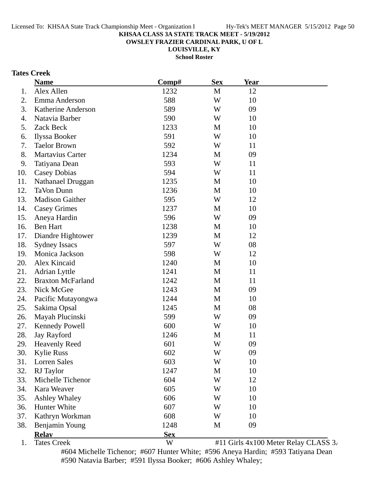**OWSLEY FRAZIER CARDINAL PARK, U OF L**

**LOUISVILLE, KY**

**School Roster**

### **Tates Creek**

|     | <b>Name</b>              | Comp#      | <b>Sex</b> | Year |  |
|-----|--------------------------|------------|------------|------|--|
| 1.  | Alex Allen               | 1232       | M          | 12   |  |
| 2.  | Emma Anderson            | 588        | W          | 10   |  |
| 3.  | Katherine Anderson       | 589        | W          | 09   |  |
| 4.  | Natavia Barber           | 590        | W          | 10   |  |
| 5.  | Zack Beck                | 1233       | M          | 10   |  |
| 6.  | Ilyssa Booker            | 591        | W          | 10   |  |
| 7.  | <b>Taelor Brown</b>      | 592        | W          | 11   |  |
| 8.  | Martavius Carter         | 1234       | M          | 09   |  |
| 9.  | Tatiyana Dean            | 593        | W          | 11   |  |
| 10. | Casey Dobias             | 594        | W          | 11   |  |
| 11. | Nathanael Druggan        | 1235       | M          | 10   |  |
| 12. | <b>TaVon Dunn</b>        | 1236       | M          | 10   |  |
| 13. | <b>Madison Gaither</b>   | 595        | W          | 12   |  |
| 14. | <b>Casey Grimes</b>      | 1237       | M          | 10   |  |
| 15. | Aneya Hardin             | 596        | W          | 09   |  |
| 16. | <b>Ben Hart</b>          | 1238       | M          | 10   |  |
| 17. | Diandre Hightower        | 1239       | M          | 12   |  |
| 18. | <b>Sydney Issacs</b>     | 597        | W          | 08   |  |
| 19. | Monica Jackson           | 598        | W          | 12   |  |
| 20. | Alex Kincaid             | 1240       | M          | 10   |  |
| 21. | <b>Adrian Lyttle</b>     | 1241       | M          | 11   |  |
| 22. | <b>Braxton McFarland</b> | 1242       | M          | 11   |  |
| 23. | Nick McGee               | 1243       | M          | 09   |  |
| 24. | Pacific Mutayongwa       | 1244       | M          | 10   |  |
| 25. | Sakima Opsal             | 1245       | M          | 08   |  |
| 26. | Mayah Plucinski          | 599        | W          | 09   |  |
| 27. | <b>Kennedy Powell</b>    | 600        | W          | 10   |  |
| 28. | Jay Rayford              | 1246       | M          | 11   |  |
| 29. | <b>Heavenly Reed</b>     | 601        | W          | 09   |  |
| 30. | <b>Kylie Russ</b>        | 602        | W          | 09   |  |
| 31. | Lorren Sales             | 603        | W          | 10   |  |
| 32. | RJ Taylor                | 1247       | M          | 10   |  |
| 33. | Michelle Tichenor        | 604        | W          | 12   |  |
| 34. | Kara Weaver              | 605        | W          | 10   |  |
| 35. | <b>Ashley Whaley</b>     | 606        | W          | 10   |  |
| 36. | Hunter White             | 607        | W          | 10   |  |
| 37. | Kathryn Workman          | 608        | W          | 10   |  |
| 38. | Benjamin Young           | 1248       | M          | 09   |  |
|     | <b>Relay</b>             | <b>Sex</b> |            |      |  |
|     |                          |            |            |      |  |

1. Tates Creek  $\mathbb{W}$  #11 Girls 4x100 Meter Relay CLASS 3.

#604 Michelle Tichenor; #607 Hunter White; #596 Aneya Hardin; #593 Tatiyana Dean #590 Natavia Barber; #591 Ilyssa Booker; #606 Ashley Whaley;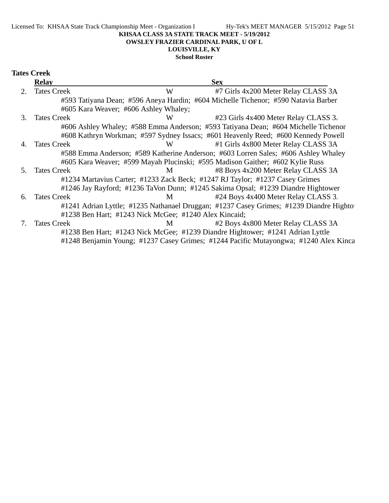Licensed To: KHSAA State Track Championship Meet - Organization I Hy-Tek's MEET MANAGER 5/15/2012 Page 51

#### **KHSAA CLASS 3A STATE TRACK MEET - 5/19/2012**

#### **OWSLEY FRAZIER CARDINAL PARK, U OF L**

### **LOUISVILLE, KY**

### **School Roster**

| <b>Tates Creek</b> |
|--------------------|
|                    |

|         | Relav                                 |                                                       | <b>Sex</b>                                                                             |
|---------|---------------------------------------|-------------------------------------------------------|----------------------------------------------------------------------------------------|
|         | <b>Tates Creek</b>                    | W                                                     | #7 Girls 4x200 Meter Relay CLASS 3A                                                    |
|         |                                       |                                                       | #593 Tatiyana Dean; #596 Aneya Hardin; #604 Michelle Tichenor; #590 Natavia Barber     |
|         | #605 Kara Weaver; #606 Ashley Whaley; |                                                       |                                                                                        |
| 3.      | <b>Tates Creek</b>                    | W                                                     | #23 Girls 4x400 Meter Relay CLASS 3.                                                   |
|         |                                       |                                                       | #606 Ashley Whaley; #588 Emma Anderson; #593 Tatiyana Dean; #604 Michelle Tichenor     |
|         |                                       |                                                       | #608 Kathryn Workman; #597 Sydney Issacs; #601 Heavenly Reed; #600 Kennedy Powell      |
| 4.      | <b>Tates Creek</b>                    | W                                                     | #1 Girls 4x800 Meter Relay CLASS 3A                                                    |
|         |                                       |                                                       | #588 Emma Anderson; #589 Katherine Anderson; #603 Lorren Sales; #606 Ashley Whaley     |
|         |                                       |                                                       | #605 Kara Weaver; #599 Mayah Plucinski; #595 Madison Gaither; #602 Kylie Russ          |
| .5      | <b>Tates Creek</b>                    | M                                                     | #8 Boys 4x200 Meter Relay CLASS 3A                                                     |
|         |                                       |                                                       | #1234 Martavius Carter; #1233 Zack Beck; #1247 RJ Taylor; #1237 Casey Grimes           |
|         |                                       |                                                       | #1246 Jay Rayford; #1236 TaVon Dunn; #1245 Sakima Opsal; #1239 Diandre Hightower       |
| 6.      | <b>Tates Creek</b>                    | M                                                     | #24 Boys 4x400 Meter Relay CLASS 3.                                                    |
|         |                                       |                                                       | #1241 Adrian Lyttle; #1235 Nathanael Druggan; #1237 Casey Grimes; #1239 Diandre Highto |
|         |                                       | #1238 Ben Hart; #1243 Nick McGee; #1240 Alex Kincaid; |                                                                                        |
| $7_{-}$ | <b>Tates Creek</b>                    | M                                                     | #2 Boys 4x800 Meter Relay CLASS 3A                                                     |
|         |                                       |                                                       | #1238 Ben Hart; #1243 Nick McGee; #1239 Diandre Hightower; #1241 Adrian Lyttle         |
|         |                                       |                                                       | #1248 Benjamin Young; #1237 Casey Grimes; #1244 Pacific Mutayongwa; #1240 Alex Kinca   |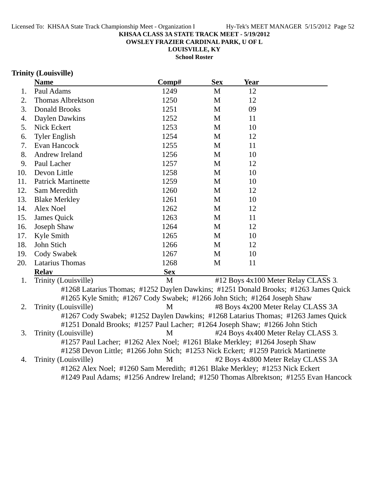**OWSLEY FRAZIER CARDINAL PARK, U OF L**

**LOUISVILLE, KY**

**School Roster**

### **Trinity (Louisville)**

|     | <b>Name</b>                                                                       | Comp#      | <b>Sex</b>   | <b>Year</b> |                                                                                     |
|-----|-----------------------------------------------------------------------------------|------------|--------------|-------------|-------------------------------------------------------------------------------------|
| 1.  | Paul Adams                                                                        | 1249       | M            | 12          |                                                                                     |
| 2.  | <b>Thomas Albrektson</b>                                                          | 1250       | $\mathbf{M}$ | 12          |                                                                                     |
| 3.  | <b>Donald Brooks</b>                                                              | 1251       | M            | 09          |                                                                                     |
| 4.  | Daylen Dawkins                                                                    | 1252       | M            | 11          |                                                                                     |
| 5.  | Nick Eckert                                                                       | 1253       | M            | 10          |                                                                                     |
| 6.  | <b>Tyler English</b>                                                              | 1254       | $\mathbf{M}$ | 12          |                                                                                     |
| 7.  | Evan Hancock                                                                      | 1255       | M            | 11          |                                                                                     |
| 8.  | Andrew Ireland                                                                    | 1256       | M            | 10          |                                                                                     |
| 9.  | Paul Lacher                                                                       | 1257       | M            | 12          |                                                                                     |
| 10. | Devon Little                                                                      | 1258       | M            | 10          |                                                                                     |
| 11. | <b>Patrick Martinette</b>                                                         | 1259       | M            | 10          |                                                                                     |
| 12. | Sam Meredith                                                                      | 1260       | M            | 12          |                                                                                     |
| 13. | <b>Blake Merkley</b>                                                              | 1261       | M            | 10          |                                                                                     |
| 14. | Alex Noel                                                                         | 1262       | M            | 12          |                                                                                     |
| 15. | James Quick                                                                       | 1263       | M            | 11          |                                                                                     |
| 16. | Joseph Shaw                                                                       | 1264       | M            | 12          |                                                                                     |
| 17. | Kyle Smith                                                                        | 1265       | M            | 10          |                                                                                     |
| 18. | John Stich                                                                        | 1266       | M            | 12          |                                                                                     |
| 19. | Cody Swabek                                                                       | 1267       | M            | 10          |                                                                                     |
| 20. | Latarius Thomas                                                                   | 1268       | M            | 11          |                                                                                     |
|     | <b>Relay</b>                                                                      | <b>Sex</b> |              |             |                                                                                     |
| 1.  | Trinity (Louisville)                                                              | M          |              |             | #12 Boys 4x100 Meter Relay CLASS 3.                                                 |
|     |                                                                                   |            |              |             | #1268 Latarius Thomas; #1252 Daylen Dawkins; #1251 Donald Brooks; #1263 James Quick |
|     | #1265 Kyle Smith; #1267 Cody Swabek; #1266 John Stich; #1264 Joseph Shaw          |            |              |             |                                                                                     |
| 2.  | Trinity (Louisville)                                                              | M          |              |             | #8 Boys 4x200 Meter Relay CLASS 3A                                                  |
|     | #1267 Cody Swabek; #1252 Daylen Dawkins; #1268 Latarius Thomas; #1263 James Quick |            |              |             |                                                                                     |
|     | #1251 Donald Brooks; #1257 Paul Lacher; #1264 Joseph Shaw; #1266 John Stich       |            |              |             |                                                                                     |
| 3.  | Trinity (Louisville)                                                              | M          |              |             | #24 Boys 4x400 Meter Relay CLASS 3.                                                 |
|     | #1257 Paul Lacher; #1262 Alex Noel; #1261 Blake Merkley; #1264 Joseph Shaw        |            |              |             |                                                                                     |
|     | #1258 Devon Little; #1266 John Stich; #1253 Nick Eckert; #1259 Patrick Martinette |            |              |             |                                                                                     |
| 4.  | Trinity (Louisville)                                                              | M          |              |             | #2 Boys 4x800 Meter Relay CLASS 3A                                                  |
|     | #1262 Alex Noel; #1260 Sam Meredith; #1261 Blake Merkley; #1253 Nick Eckert       |            |              |             |                                                                                     |
|     |                                                                                   |            |              |             | #1249 Paul Adams; #1256 Andrew Ireland; #1250 Thomas Albrektson; #1255 Evan Hancock |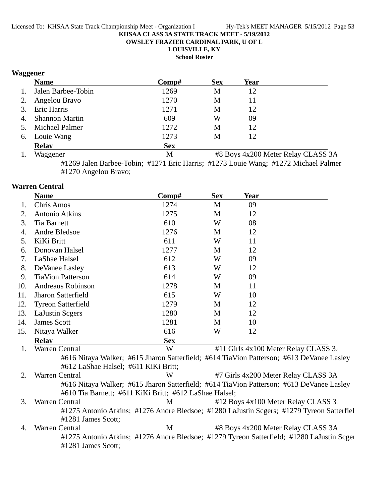**OWSLEY FRAZIER CARDINAL PARK, U OF L**

**LOUISVILLE, KY**

**School Roster**

### **Waggener**

|    | <b>Name</b>        | Comp#      | <b>Sex</b> | Year |                                    |
|----|--------------------|------------|------------|------|------------------------------------|
| 1. | Jalen Barbee-Tobin | 1269       | M          | 12   |                                    |
| 2. | Angelou Bravo      | 1270       | M          | 11   |                                    |
|    | 3. Eric Harris     | 1271       | М          | 12   |                                    |
|    | 4. Shannon Martin  | 609        | W          | 09   |                                    |
|    | 5. Michael Palmer  | 1272       | М          | 12   |                                    |
|    | 6. Louie Wang      | 1273       | М          | 12   |                                    |
|    | <b>Relay</b>       | <b>Sex</b> |            |      |                                    |
| 1. | Waggener           | M          |            |      | #8 Boys 4x200 Meter Relay CLASS 3A |

#1269 Jalen Barbee-Tobin; #1271 Eric Harris; #1273 Louie Wang; #1272 Michael Palmer #1270 Angelou Bravo;

### **Warren Central**

|     | <b>Name</b>                                                                                                                                        | Comp#      | <b>Sex</b> | Year |                                                                                           |
|-----|----------------------------------------------------------------------------------------------------------------------------------------------------|------------|------------|------|-------------------------------------------------------------------------------------------|
| 1.  | <b>Chris Amos</b>                                                                                                                                  | 1274       | M          | 09   |                                                                                           |
| 2.  | <b>Antonio Atkins</b>                                                                                                                              | 1275       | M          | 12   |                                                                                           |
| 3.  | <b>Tia Barnett</b>                                                                                                                                 | 610        | W          | 08   |                                                                                           |
| 4.  | Andre Bledsoe                                                                                                                                      | 1276       | M          | 12   |                                                                                           |
| 5.  | KiKi Britt                                                                                                                                         | 611        | W          | 11   |                                                                                           |
| 6.  | Donovan Halsel                                                                                                                                     | 1277       | M          | 12   |                                                                                           |
| 7.  | LaShae Halsel                                                                                                                                      | 612        | W          | 09   |                                                                                           |
| 8.  | De Vanee Lasley                                                                                                                                    | 613        | W          | 12   |                                                                                           |
| 9.  | <b>TiaVion Patterson</b>                                                                                                                           | 614        | W          | 09   |                                                                                           |
| 10. | Andreaus Robinson                                                                                                                                  | 1278       | M          | 11   |                                                                                           |
| 11. | <b>Jharon Satterfield</b>                                                                                                                          | 615        | W          | 10   |                                                                                           |
| 12. | <b>Tyreon Satterfield</b>                                                                                                                          | 1279       | M          | 12   |                                                                                           |
| 13. | <b>LaJustin Scgers</b>                                                                                                                             | 1280       | M          | 12   |                                                                                           |
| 14. | <b>James Scott</b>                                                                                                                                 | 1281       | M          | 10   |                                                                                           |
| 15. | Nitaya Walker                                                                                                                                      | 616        | W          | 12   |                                                                                           |
|     | <b>Relay</b>                                                                                                                                       | <b>Sex</b> |            |      |                                                                                           |
| 1.  | <b>Warren Central</b>                                                                                                                              | W          |            |      | #11 Girls 4x100 Meter Relay CLASS 3.                                                      |
|     | #612 LaShae Halsel; #611 KiKi Britt;                                                                                                               |            |            |      | #616 Nitaya Walker; #615 Jharon Satterfield; #614 TiaVion Patterson; #613 DeVanee Lasley  |
| 2.  | Warren Central                                                                                                                                     | W          |            |      | #7 Girls 4x200 Meter Relay CLASS 3A                                                       |
|     | #616 Nitaya Walker; #615 Jharon Satterfield; #614 TiaVion Patterson; #613 DeVanee Lasley<br>#610 Tia Barnett; #611 KiKi Britt; #612 LaShae Halsel; |            |            |      |                                                                                           |
| 3.  | <b>Warren Central</b>                                                                                                                              | M          |            |      | #12 Boys 4x100 Meter Relay CLASS 3.                                                       |
|     | #1281 James Scott;                                                                                                                                 |            |            |      | #1275 Antonio Atkins; #1276 Andre Bledsoe; #1280 LaJustin Scgers; #1279 Tyreon Satterfiel |
| 4.  | Warren Central                                                                                                                                     | M          |            |      | #8 Boys 4x200 Meter Relay CLASS 3A                                                        |
|     | #1281 James Scott;                                                                                                                                 |            |            |      | #1275 Antonio Atkins; #1276 Andre Bledsoe; #1279 Tyreon Satterfield; #1280 LaJustin Scger |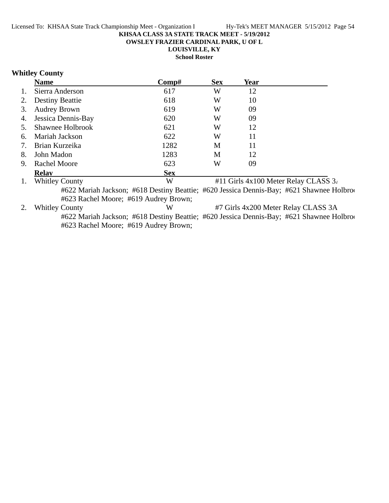**OWSLEY FRAZIER CARDINAL PARK, U OF L**

**LOUISVILLE, KY**

**School Roster**

### **Whitley County**

|    | <b>Name</b>                           | Comp#                         | <b>Sex</b>                               | Year |                                                                                          |  |
|----|---------------------------------------|-------------------------------|------------------------------------------|------|------------------------------------------------------------------------------------------|--|
|    | Sierra Anderson                       | 617                           | W                                        | 12   |                                                                                          |  |
| 2. | <b>Destiny Beattie</b>                | 618                           | W                                        | 10   |                                                                                          |  |
| 3. | <b>Audrey Brown</b>                   | 619                           | W                                        | 09   |                                                                                          |  |
| 4. | Jessica Dennis-Bay                    | 620                           | W                                        | 09   |                                                                                          |  |
|    | Shawnee Holbrook                      | 621                           | W                                        | 12   |                                                                                          |  |
| 6. | Mariah Jackson                        | 622                           | W                                        | 11   |                                                                                          |  |
|    | Brian Kurzeika                        | 1282                          | M                                        | 11   |                                                                                          |  |
| 8. | John Madon                            | 1283                          | M                                        | 12   |                                                                                          |  |
| 9. | <b>Rachel Moore</b>                   | 623                           | W                                        | 09   |                                                                                          |  |
|    | <b>Relav</b>                          | <b>Sex</b>                    |                                          |      |                                                                                          |  |
|    | <b>Whitley County</b>                 | W                             | #11 Girls $4x100$ Meter Relay CLASS $3x$ |      |                                                                                          |  |
|    |                                       |                               |                                          |      | #622 Mariah Jackson; #618 Destiny Beattie; #620 Jessica Dennis-Bay; #621 Shawnee Holbroc |  |
|    | #623 Rachel Moore; #619 Audrey Brown; |                               |                                          |      |                                                                                          |  |
|    | <b>Whitley County</b>                 | W                             |                                          |      | #7 Girls 4x200 Meter Relay CLASS 3A                                                      |  |
|    | $\frac{1}{2}$                         | $\frac{1}{2}$<br>$\mathbf{L}$ | $\frac{1}{2}$                            |      |                                                                                          |  |

#622 Mariah Jackson; #618 Destiny Beattie; #620 Jessica Dennis-Bay; #621 Shawnee Holbroo #623 Rachel Moore; #619 Audrey Brown;